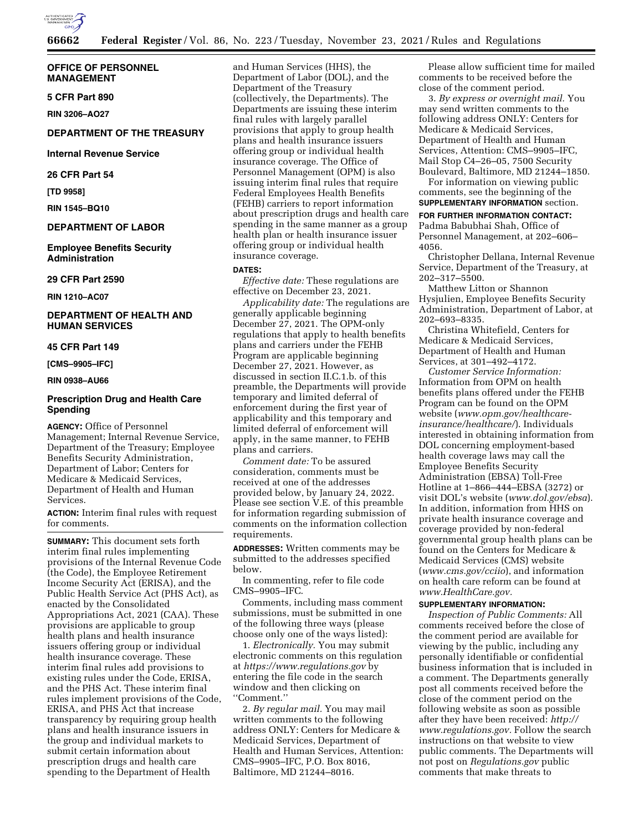

## **OFFICE OF PERSONNEL MANAGEMENT**

## **5 CFR Part 890**

**RIN 3206–AO27** 

## **DEPARTMENT OF THE TREASURY**

### **Internal Revenue Service**

## **26 CFR Part 54**

**[TD 9958]** 

**RIN 1545–BQ10** 

## **DEPARTMENT OF LABOR**

**Employee Benefits Security Administration** 

## **29 CFR Part 2590**

**RIN 1210–AC07** 

## **DEPARTMENT OF HEALTH AND HUMAN SERVICES**

# **45 CFR Part 149**

**[CMS–9905–IFC]** 

### **RIN 0938–AU66**

# **Prescription Drug and Health Care Spending**

**AGENCY:** Office of Personnel Management; Internal Revenue Service, Department of the Treasury; Employee Benefits Security Administration, Department of Labor; Centers for Medicare & Medicaid Services, Department of Health and Human Services.

**ACTION:** Interim final rules with request for comments.

**SUMMARY:** This document sets forth interim final rules implementing provisions of the Internal Revenue Code (the Code), the Employee Retirement Income Security Act (ERISA), and the Public Health Service Act (PHS Act), as enacted by the Consolidated Appropriations Act, 2021 (CAA). These provisions are applicable to group health plans and health insurance issuers offering group or individual health insurance coverage. These interim final rules add provisions to existing rules under the Code, ERISA, and the PHS Act. These interim final rules implement provisions of the Code, ERISA, and PHS Act that increase transparency by requiring group health plans and health insurance issuers in the group and individual markets to submit certain information about prescription drugs and health care spending to the Department of Health

and Human Services (HHS), the Department of Labor (DOL), and the Department of the Treasury (collectively, the Departments). The Departments are issuing these interim final rules with largely parallel provisions that apply to group health plans and health insurance issuers offering group or individual health insurance coverage. The Office of Personnel Management (OPM) is also issuing interim final rules that require Federal Employees Health Benefits (FEHB) carriers to report information about prescription drugs and health care spending in the same manner as a group health plan or health insurance issuer offering group or individual health insurance coverage.

#### **DATES:**

*Effective date:* These regulations are effective on December 23, 2021.

*Applicability date:* The regulations are generally applicable beginning December 27, 2021. The OPM-only regulations that apply to health benefits plans and carriers under the FEHB Program are applicable beginning December 27, 2021. However, as discussed in section II.C.1.b. of this preamble, the Departments will provide temporary and limited deferral of enforcement during the first year of applicability and this temporary and limited deferral of enforcement will apply, in the same manner, to FEHB plans and carriers.

*Comment date:* To be assured consideration, comments must be received at one of the addresses provided below, by January 24, 2022. Please see section V.E. of this preamble for information regarding submission of comments on the information collection requirements.

**ADDRESSES:** Written comments may be submitted to the addresses specified below.

In commenting, refer to file code CMS–9905–IFC.

Comments, including mass comment submissions, must be submitted in one of the following three ways (please choose only one of the ways listed):

1. *Electronically.* You may submit electronic comments on this regulation at *<https://www.regulations.gov>* by entering the file code in the search window and then clicking on ''Comment.''

2. *By regular mail.* You may mail written comments to the following address ONLY: Centers for Medicare & Medicaid Services, Department of Health and Human Services, Attention: CMS–9905–IFC, P.O. Box 8016, Baltimore, MD 21244–8016.

Please allow sufficient time for mailed comments to be received before the close of the comment period.

3. *By express or overnight mail.* You may send written comments to the following address ONLY: Centers for Medicare & Medicaid Services, Department of Health and Human Services, Attention: CMS–9905–IFC, Mail Stop C4–26–05, 7500 Security Boulevard, Baltimore, MD 21244–1850.

For information on viewing public comments, see the beginning of the **SUPPLEMENTARY INFORMATION** section.

#### **FOR FURTHER INFORMATION CONTACT:**

Padma Babubhai Shah, Office of Personnel Management, at 202–606– 4056.

Christopher Dellana, Internal Revenue Service, Department of the Treasury, at 202–317–5500.

Matthew Litton or Shannon Hysjulien, Employee Benefits Security Administration, Department of Labor, at 202–693–8335.

Christina Whitefield, Centers for Medicare & Medicaid Services, Department of Health and Human Services, at 301–492–4172.

*Customer Service Information:*  Information from OPM on health benefits plans offered under the FEHB Program can be found on the OPM website (*[www.opm.gov/healthcare](http://www.opm.gov/healthcare-insurance/healthcare/)[insurance/healthcare/](http://www.opm.gov/healthcare-insurance/healthcare/)*). Individuals interested in obtaining information from DOL concerning employment-based health coverage laws may call the Employee Benefits Security Administration (EBSA) Toll-Free Hotline at 1–866–444–EBSA (3272) or visit DOL's website (*[www.dol.gov/ebsa](http://www.dol.gov/ebsa)*). In addition, information from HHS on private health insurance coverage and coverage provided by non-federal governmental group health plans can be found on the Centers for Medicare & Medicaid Services (CMS) website (*[www.cms.gov/cciio](http://www.cms.gov/cciio)*), and information on health care reform can be found at *[www.HealthCare.gov.](http://www.HealthCare.gov)* 

# **SUPPLEMENTARY INFORMATION:**

*Inspection of Public Comments:* All comments received before the close of the comment period are available for viewing by the public, including any personally identifiable or confidential business information that is included in a comment. The Departments generally post all comments received before the close of the comment period on the following website as soon as possible after they have been received: *[http://](http://www.regulations.gov) [www.regulations.gov.](http://www.regulations.gov)* Follow the search instructions on that website to view public comments. The Departments will not post on *Regulations.gov* public comments that make threats to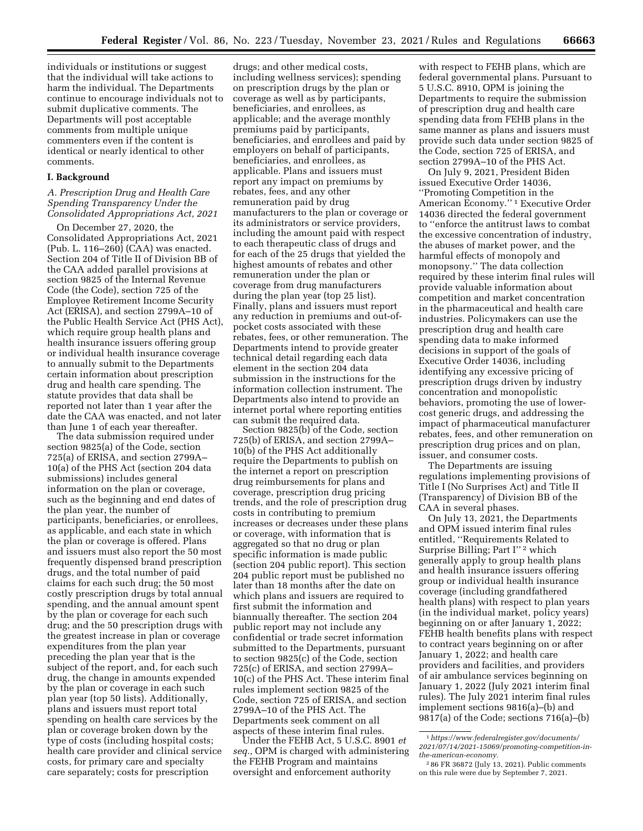individuals or institutions or suggest that the individual will take actions to harm the individual. The Departments continue to encourage individuals not to submit duplicative comments. The Departments will post acceptable comments from multiple unique commenters even if the content is identical or nearly identical to other comments.

## **I. Background**

## *A. Prescription Drug and Health Care Spending Transparency Under the Consolidated Appropriations Act, 2021*

On December 27, 2020, the Consolidated Appropriations Act, 2021 (Pub. L. 116–260) (CAA) was enacted. Section 204 of Title II of Division BB of the CAA added parallel provisions at section 9825 of the Internal Revenue Code (the Code), section 725 of the Employee Retirement Income Security Act (ERISA), and section 2799A–10 of the Public Health Service Act (PHS Act), which require group health plans and health insurance issuers offering group or individual health insurance coverage to annually submit to the Departments certain information about prescription drug and health care spending. The statute provides that data shall be reported not later than 1 year after the date the CAA was enacted, and not later than June 1 of each year thereafter.

The data submission required under section 9825(a) of the Code, section 725(a) of ERISA, and section 2799A– 10(a) of the PHS Act (section 204 data submissions) includes general information on the plan or coverage, such as the beginning and end dates of the plan year, the number of participants, beneficiaries, or enrollees, as applicable, and each state in which the plan or coverage is offered. Plans and issuers must also report the 50 most frequently dispensed brand prescription drugs, and the total number of paid claims for each such drug; the 50 most costly prescription drugs by total annual spending, and the annual amount spent by the plan or coverage for each such drug; and the 50 prescription drugs with the greatest increase in plan or coverage expenditures from the plan year preceding the plan year that is the subject of the report, and, for each such drug, the change in amounts expended by the plan or coverage in each such plan year (top 50 lists). Additionally, plans and issuers must report total spending on health care services by the plan or coverage broken down by the type of costs (including hospital costs; health care provider and clinical service costs, for primary care and specialty care separately; costs for prescription

drugs; and other medical costs, including wellness services); spending on prescription drugs by the plan or coverage as well as by participants, beneficiaries, and enrollees, as applicable; and the average monthly premiums paid by participants, beneficiaries, and enrollees and paid by employers on behalf of participants, beneficiaries, and enrollees, as applicable. Plans and issuers must report any impact on premiums by rebates, fees, and any other remuneration paid by drug manufacturers to the plan or coverage or its administrators or service providers, including the amount paid with respect to each therapeutic class of drugs and for each of the 25 drugs that yielded the highest amounts of rebates and other remuneration under the plan or coverage from drug manufacturers during the plan year (top 25 list). Finally, plans and issuers must report any reduction in premiums and out-ofpocket costs associated with these rebates, fees, or other remuneration. The Departments intend to provide greater technical detail regarding each data element in the section 204 data submission in the instructions for the information collection instrument. The Departments also intend to provide an internet portal where reporting entities can submit the required data.

Section 9825(b) of the Code, section 725(b) of ERISA, and section 2799A– 10(b) of the PHS Act additionally require the Departments to publish on the internet a report on prescription drug reimbursements for plans and coverage, prescription drug pricing trends, and the role of prescription drug costs in contributing to premium increases or decreases under these plans or coverage, with information that is aggregated so that no drug or plan specific information is made public (section 204 public report). This section 204 public report must be published no later than 18 months after the date on which plans and issuers are required to first submit the information and biannually thereafter. The section 204 public report may not include any confidential or trade secret information submitted to the Departments, pursuant to section 9825(c) of the Code, section 725(c) of ERISA, and section 2799A– 10(c) of the PHS Act. These interim final rules implement section 9825 of the Code, section 725 of ERISA, and section 2799A–10 of the PHS Act. The Departments seek comment on all aspects of these interim final rules.

Under the FEHB Act, 5 U.S.C. 8901 *et seq.,* OPM is charged with administering the FEHB Program and maintains oversight and enforcement authority

with respect to FEHB plans, which are federal governmental plans. Pursuant to 5 U.S.C. 8910, OPM is joining the Departments to require the submission of prescription drug and health care spending data from FEHB plans in the same manner as plans and issuers must provide such data under section 9825 of the Code, section 725 of ERISA, and section 2799A–10 of the PHS Act.

On July 9, 2021, President Biden issued Executive Order 14036, ''Promoting Competition in the American Economy.'' 1 Executive Order 14036 directed the federal government to ''enforce the antitrust laws to combat the excessive concentration of industry, the abuses of market power, and the harmful effects of monopoly and monopsony.'' The data collection required by these interim final rules will provide valuable information about competition and market concentration in the pharmaceutical and health care industries. Policymakers can use the prescription drug and health care spending data to make informed decisions in support of the goals of Executive Order 14036, including identifying any excessive pricing of prescription drugs driven by industry concentration and monopolistic behaviors, promoting the use of lowercost generic drugs, and addressing the impact of pharmaceutical manufacturer rebates, fees, and other remuneration on prescription drug prices and on plan, issuer, and consumer costs.

The Departments are issuing regulations implementing provisions of Title I (No Surprises Act) and Title II (Transparency) of Division BB of the CAA in several phases.

On July 13, 2021, the Departments and OPM issued interim final rules entitled, ''Requirements Related to Surprise Billing; Part I'' 2 which generally apply to group health plans and health insurance issuers offering group or individual health insurance coverage (including grandfathered health plans) with respect to plan years (in the individual market, policy years) beginning on or after January 1, 2022; FEHB health benefits plans with respect to contract years beginning on or after January 1, 2022; and health care providers and facilities, and providers of air ambulance services beginning on January 1, 2022 (July 2021 interim final rules). The July 2021 interim final rules implement sections 9816(a)–(b) and 9817(a) of the Code; sections 716(a)–(b)

<sup>1</sup>*[https://www.federalregister.gov/documents/](https://www.federalregister.gov/documents/2021/07/14/2021-15069/promoting-competition-in-the-american-economy)  [2021/07/14/2021-15069/promoting-competition-in](https://www.federalregister.gov/documents/2021/07/14/2021-15069/promoting-competition-in-the-american-economy)[the-american-economy.](https://www.federalregister.gov/documents/2021/07/14/2021-15069/promoting-competition-in-the-american-economy)* 

<sup>2</sup> 86 FR 36872 (July 13, 2021). Public comments on this rule were due by September 7, 2021.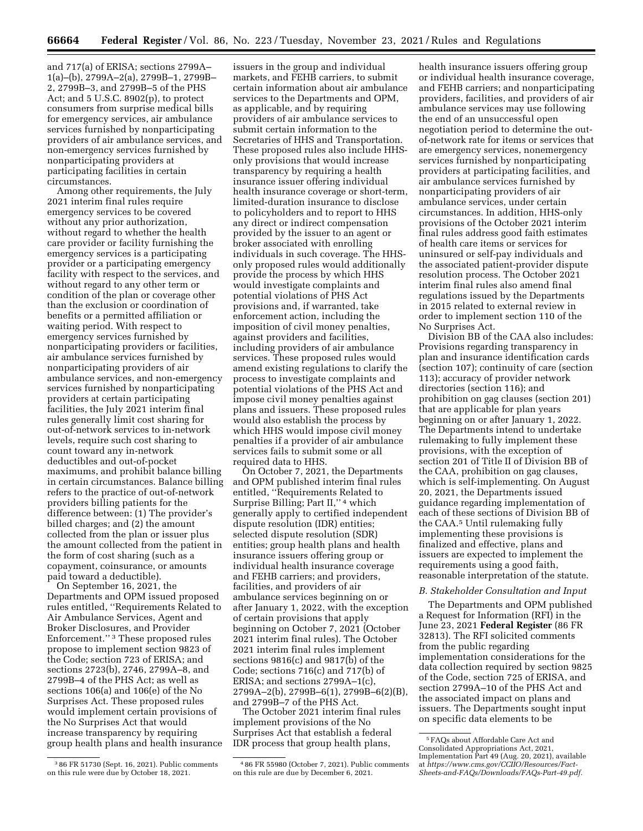and 717(a) of ERISA; sections 2799A– 1(a)–(b), 2799A–2(a), 2799B–1, 2799B– 2, 2799B–3, and 2799B–5 of the PHS Act; and 5 U.S.C. 8902(p), to protect consumers from surprise medical bills for emergency services, air ambulance services furnished by nonparticipating providers of air ambulance services, and non-emergency services furnished by nonparticipating providers at participating facilities in certain circumstances.

Among other requirements, the July 2021 interim final rules require emergency services to be covered without any prior authorization, without regard to whether the health care provider or facility furnishing the emergency services is a participating provider or a participating emergency facility with respect to the services, and without regard to any other term or condition of the plan or coverage other than the exclusion or coordination of benefits or a permitted affiliation or waiting period. With respect to emergency services furnished by nonparticipating providers or facilities, air ambulance services furnished by nonparticipating providers of air ambulance services, and non-emergency services furnished by nonparticipating providers at certain participating facilities, the July 2021 interim final rules generally limit cost sharing for out-of-network services to in-network levels, require such cost sharing to count toward any in-network deductibles and out-of-pocket maximums, and prohibit balance billing in certain circumstances. Balance billing refers to the practice of out-of-network providers billing patients for the difference between: (1) The provider's billed charges; and (2) the amount collected from the plan or issuer plus the amount collected from the patient in the form of cost sharing (such as a copayment, coinsurance, or amounts paid toward a deductible).

On September 16, 2021, the Departments and OPM issued proposed rules entitled, ''Requirements Related to Air Ambulance Services, Agent and Broker Disclosures, and Provider Enforcement.'' 3 These proposed rules propose to implement section 9823 of the Code; section 723 of ERISA; and sections 2723(b), 2746, 2799A–8, and 2799B–4 of the PHS Act; as well as sections 106(a) and 106(e) of the No Surprises Act. These proposed rules would implement certain provisions of the No Surprises Act that would increase transparency by requiring group health plans and health insurance

3 86 FR 51730 (Sept. 16, 2021). Public comments on this rule were due by October 18, 2021.

issuers in the group and individual markets, and FEHB carriers, to submit certain information about air ambulance services to the Departments and OPM, as applicable, and by requiring providers of air ambulance services to submit certain information to the Secretaries of HHS and Transportation. These proposed rules also include HHSonly provisions that would increase transparency by requiring a health insurance issuer offering individual health insurance coverage or short-term, limited-duration insurance to disclose to policyholders and to report to HHS any direct or indirect compensation provided by the issuer to an agent or broker associated with enrolling individuals in such coverage. The HHSonly proposed rules would additionally provide the process by which HHS would investigate complaints and potential violations of PHS Act provisions and, if warranted, take enforcement action, including the imposition of civil money penalties, against providers and facilities, including providers of air ambulance services. These proposed rules would amend existing regulations to clarify the process to investigate complaints and potential violations of the PHS Act and impose civil money penalties against plans and issuers. These proposed rules would also establish the process by which HHS would impose civil money penalties if a provider of air ambulance services fails to submit some or all required data to HHS.

On October 7, 2021, the Departments and OPM published interim final rules entitled, ''Requirements Related to Surprise Billing; Part II,'' 4 which generally apply to certified independent dispute resolution (IDR) entities; selected dispute resolution (SDR) entities; group health plans and health insurance issuers offering group or individual health insurance coverage and FEHB carriers; and providers, facilities, and providers of air ambulance services beginning on or after January 1, 2022, with the exception of certain provisions that apply beginning on October 7, 2021 (October 2021 interim final rules). The October 2021 interim final rules implement sections 9816(c) and 9817(b) of the Code; sections 716(c) and 717(b) of ERISA; and sections 2799A–1(c), 2799A–2(b), 2799B–6(1), 2799B–6(2)(B), and 2799B–7 of the PHS Act.

The October 2021 interim final rules implement provisions of the No Surprises Act that establish a federal IDR process that group health plans,

4 86 FR 55980 (October 7, 2021). Public comments on this rule are due by December 6, 2021.

health insurance issuers offering group or individual health insurance coverage, and FEHB carriers; and nonparticipating providers, facilities, and providers of air ambulance services may use following the end of an unsuccessful open negotiation period to determine the outof-network rate for items or services that are emergency services, nonemergency services furnished by nonparticipating providers at participating facilities, and air ambulance services furnished by nonparticipating providers of air ambulance services, under certain circumstances. In addition, HHS-only provisions of the October 2021 interim final rules address good faith estimates of health care items or services for uninsured or self-pay individuals and the associated patient-provider dispute resolution process. The October 2021 interim final rules also amend final regulations issued by the Departments in 2015 related to external review in order to implement section 110 of the No Surprises Act.

Division BB of the CAA also includes: Provisions regarding transparency in plan and insurance identification cards (section 107); continuity of care (section 113); accuracy of provider network directories (section 116); and prohibition on gag clauses (section 201) that are applicable for plan years beginning on or after January 1, 2022. The Departments intend to undertake rulemaking to fully implement these provisions, with the exception of section 201 of Title II of Division BB of the CAA, prohibition on gag clauses, which is self-implementing. On August 20, 2021, the Departments issued guidance regarding implementation of each of these sections of Division BB of the CAA.5 Until rulemaking fully implementing these provisions is finalized and effective, plans and issuers are expected to implement the requirements using a good faith, reasonable interpretation of the statute.

#### *B. Stakeholder Consultation and Input*

The Departments and OPM published a Request for Information (RFI) in the June 23, 2021 **Federal Register** (86 FR 32813). The RFI solicited comments from the public regarding implementation considerations for the data collection required by section 9825 of the Code, section 725 of ERISA, and section 2799A–10 of the PHS Act and the associated impact on plans and issuers. The Departments sought input on specific data elements to be

<sup>5</sup>FAQs about Affordable Care Act and Consolidated Appropriations Act, 2021, Implementation Part 49 (Aug. 20, 2021), available at *[https://www.cms.gov/CCIIO/Resources/Fact-](https://www.cms.gov/CCIIO/Resources/Fact-Sheets-and-FAQs/Downloads/FAQs-Part-49.pdf)[Sheets-and-FAQs/Downloads/FAQs-Part-49.pdf.](https://www.cms.gov/CCIIO/Resources/Fact-Sheets-and-FAQs/Downloads/FAQs-Part-49.pdf)*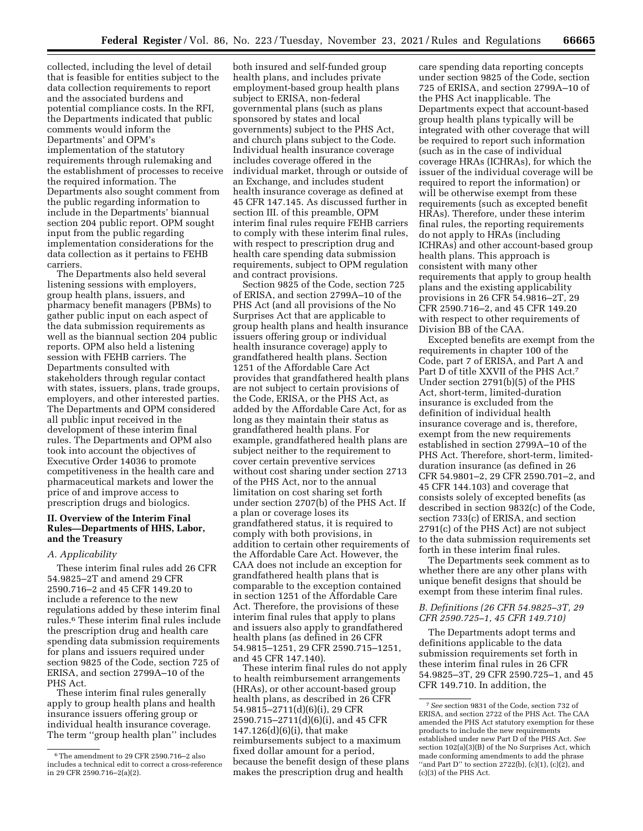collected, including the level of detail that is feasible for entities subject to the data collection requirements to report and the associated burdens and potential compliance costs. In the RFI, the Departments indicated that public comments would inform the Departments' and OPM's implementation of the statutory requirements through rulemaking and the establishment of processes to receive the required information. The Departments also sought comment from the public regarding information to include in the Departments' biannual section 204 public report. OPM sought input from the public regarding implementation considerations for the data collection as it pertains to FEHB carriers.

The Departments also held several listening sessions with employers, group health plans, issuers, and pharmacy benefit managers (PBMs) to gather public input on each aspect of the data submission requirements as well as the biannual section 204 public reports. OPM also held a listening session with FEHB carriers. The Departments consulted with stakeholders through regular contact with states, issuers, plans, trade groups, employers, and other interested parties. The Departments and OPM considered all public input received in the development of these interim final rules. The Departments and OPM also took into account the objectives of Executive Order 14036 to promote competitiveness in the health care and pharmaceutical markets and lower the price of and improve access to prescription drugs and biologics.

## **II. Overview of the Interim Final Rules—Departments of HHS, Labor, and the Treasury**

## *A. Applicability*

These interim final rules add 26 CFR 54.9825–2T and amend 29 CFR 2590.716–2 and 45 CFR 149.20 to include a reference to the new regulations added by these interim final rules.6 These interim final rules include the prescription drug and health care spending data submission requirements for plans and issuers required under section 9825 of the Code, section 725 of ERISA, and section 2799A–10 of the PHS Act.

These interim final rules generally apply to group health plans and health insurance issuers offering group or individual health insurance coverage. The term ''group health plan'' includes

both insured and self-funded group health plans, and includes private employment-based group health plans subject to ERISA, non-federal governmental plans (such as plans sponsored by states and local governments) subject to the PHS Act, and church plans subject to the Code. Individual health insurance coverage includes coverage offered in the individual market, through or outside of an Exchange, and includes student health insurance coverage as defined at 45 CFR 147.145. As discussed further in section III. of this preamble, OPM interim final rules require FEHB carriers to comply with these interim final rules, with respect to prescription drug and health care spending data submission requirements, subject to OPM regulation and contract provisions.

Section 9825 of the Code, section 725 of ERISA, and section 2799A–10 of the PHS Act (and all provisions of the No Surprises Act that are applicable to group health plans and health insurance issuers offering group or individual health insurance coverage) apply to grandfathered health plans. Section 1251 of the Affordable Care Act provides that grandfathered health plans are not subject to certain provisions of the Code, ERISA, or the PHS Act, as added by the Affordable Care Act, for as long as they maintain their status as grandfathered health plans. For example, grandfathered health plans are subject neither to the requirement to cover certain preventive services without cost sharing under section 2713 of the PHS Act, nor to the annual limitation on cost sharing set forth under section 2707(b) of the PHS Act. If a plan or coverage loses its grandfathered status, it is required to comply with both provisions, in addition to certain other requirements of the Affordable Care Act. However, the CAA does not include an exception for grandfathered health plans that is comparable to the exception contained in section 1251 of the Affordable Care Act. Therefore, the provisions of these interim final rules that apply to plans and issuers also apply to grandfathered health plans (as defined in 26 CFR 54.9815–1251, 29 CFR 2590.715–1251, and 45 CFR 147.140).

These interim final rules do not apply to health reimbursement arrangements (HRAs), or other account-based group health plans, as described in 26 CFR 54.9815–2711(d)(6)(i), 29 CFR 2590.715–2711(d)(6)(i), and 45 CFR 147.126(d)(6)(i), that make reimbursements subject to a maximum fixed dollar amount for a period, because the benefit design of these plans makes the prescription drug and health

care spending data reporting concepts under section 9825 of the Code, section 725 of ERISA, and section 2799A–10 of the PHS Act inapplicable. The Departments expect that account-based group health plans typically will be integrated with other coverage that will be required to report such information (such as in the case of individual coverage HRAs (ICHRAs), for which the issuer of the individual coverage will be required to report the information) or will be otherwise exempt from these requirements (such as excepted benefit HRAs). Therefore, under these interim final rules, the reporting requirements do not apply to HRAs (including ICHRAs) and other account-based group health plans. This approach is consistent with many other requirements that apply to group health plans and the existing applicability provisions in 26 CFR 54.9816–2T, 29 CFR 2590.716–2, and 45 CFR 149.20 with respect to other requirements of Division BB of the CAA.

Excepted benefits are exempt from the requirements in chapter 100 of the Code, part 7 of ERISA, and Part A and Part D of title XXVII of the PHS Act.7 Under section 2791(b)(5) of the PHS Act, short-term, limited-duration insurance is excluded from the definition of individual health insurance coverage and is, therefore, exempt from the new requirements established in section 2799A–10 of the PHS Act. Therefore, short-term, limitedduration insurance (as defined in 26 CFR 54.9801–2, 29 CFR 2590.701–2, and 45 CFR 144.103) and coverage that consists solely of excepted benefits (as described in section 9832(c) of the Code, section 733(c) of ERISA, and section 2791(c) of the PHS Act) are not subject to the data submission requirements set forth in these interim final rules.

The Departments seek comment as to whether there are any other plans with unique benefit designs that should be exempt from these interim final rules.

# *B. Definitions (26 CFR 54.9825–3T, 29 CFR 2590.725–1, 45 CFR 149.710)*

The Departments adopt terms and definitions applicable to the data submission requirements set forth in these interim final rules in 26 CFR 54.9825–3T, 29 CFR 2590.725–1, and 45 CFR 149.710. In addition, the

<sup>6</sup>The amendment to 29 CFR 2590.716–2 also includes a technical edit to correct a cross-reference in 29 CFR 2590.716–2(a)(2).

<sup>7</sup>*See* section 9831 of the Code, section 732 of ERISA, and section 2722 of the PHS Act. The CAA amended the PHS Act statutory exemption for these products to include the new requirements established under new Part D of the PHS Act. *See*  section 102(a)(3)(B) of the No Surprises Act, which made conforming amendments to add the phrase "and Part D" to section 2722(b),  $(c)(1)$ ,  $(c)(2)$ , and (c)(3) of the PHS Act.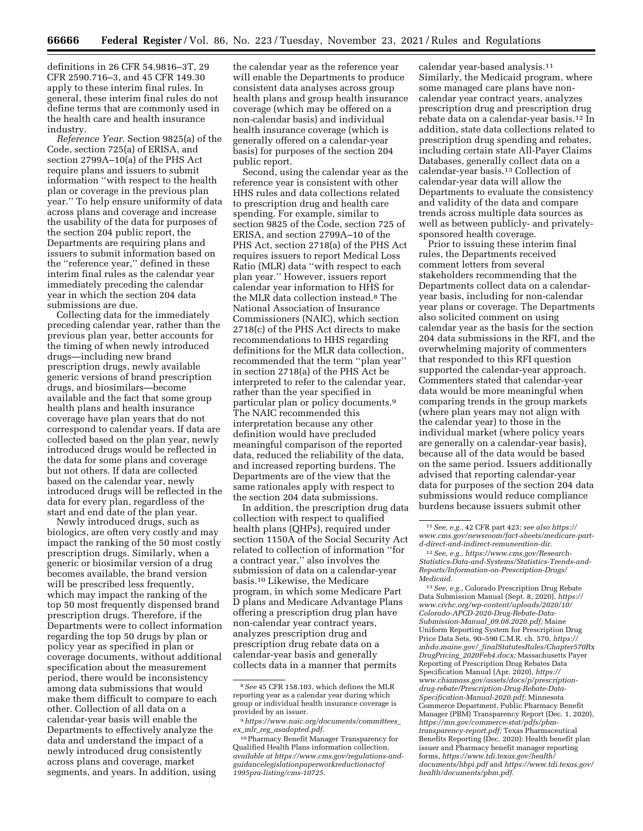definitions in 26 CFR 54.9816–3T, 29 CFR 2590.716–3, and 45 CFR 149.30 apply to these interim final rules. In general, these interim final rules do not define terms that are commonly used in the health care and health insurance industry.

*Reference Year.* Section 9825(a) of the Code, section 725(a) of ERISA, and section 2799A–10(a) of the PHS Act require plans and issuers to submit information ''with respect to the health plan or coverage in the previous plan year.'' To help ensure uniformity of data across plans and coverage and increase the usability of the data for purposes of the section 204 public report, the Departments are requiring plans and issuers to submit information based on the ''reference year,'' defined in these interim final rules as the calendar year immediately preceding the calendar year in which the section 204 data submissions are due.

Collecting data for the immediately preceding calendar year, rather than the previous plan year, better accounts for the timing of when newly introduced drugs—including new brand prescription drugs, newly available generic versions of brand prescription drugs, and biosimilars—become available and the fact that some group health plans and health insurance coverage have plan years that do not correspond to calendar years. If data are collected based on the plan year, newly introduced drugs would be reflected in the data for some plans and coverage but not others. If data are collected based on the calendar year, newly introduced drugs will be reflected in the data for every plan, regardless of the start and end date of the plan year.

Newly introduced drugs, such as biologics, are often very costly and may impact the ranking of the 50 most costly prescription drugs. Similarly, when a generic or biosimilar version of a drug becomes available, the brand version will be prescribed less frequently, which may impact the ranking of the top 50 most frequently dispensed brand prescription drugs. Therefore, if the Departments were to collect information regarding the top 50 drugs by plan or policy year as specified in plan or coverage documents, without additional specification about the measurement period, there would be inconsistency among data submissions that would make them difficult to compare to each other. Collection of all data on a calendar-year basis will enable the Departments to effectively analyze the data and understand the impact of a newly introduced drug consistently across plans and coverage, market segments, and years. In addition, using

the calendar year as the reference year will enable the Departments to produce consistent data analyses across group health plans and group health insurance coverage (which may be offered on a non-calendar basis) and individual health insurance coverage (which is generally offered on a calendar-year basis) for purposes of the section 204 public report.

Second, using the calendar year as the reference year is consistent with other HHS rules and data collections related to prescription drug and health care spending. For example, similar to section 9825 of the Code, section 725 of ERISA, and section 2799A–10 of the PHS Act, section 2718(a) of the PHS Act requires issuers to report Medical Loss Ratio (MLR) data ''with respect to each plan year.'' However, issuers report calendar year information to HHS for the MLR data collection instead.8 The National Association of Insurance Commissioners (NAIC), which section 2718(c) of the PHS Act directs to make recommendations to HHS regarding definitions for the MLR data collection, recommended that the term ''plan year'' in section 2718(a) of the PHS Act be interpreted to refer to the calendar year, rather than the year specified in particular plan or policy documents.9 The NAIC recommended this interpretation because any other definition would have precluded meaningful comparison of the reported data, reduced the reliability of the data, and increased reporting burdens. The Departments are of the view that the same rationales apply with respect to the section 204 data submissions.

In addition, the prescription drug data collection with respect to qualified health plans (QHPs), required under section 1150A of the Social Security Act related to collection of information ''for a contract year,'' also involves the submission of data on a calendar-year basis.10 Likewise, the Medicare program, in which some Medicare Part D plans and Medicare Advantage Plans offering a prescription drug plan have non-calendar year contract years, analyzes prescription drug and prescription drug rebate data on a calendar-year basis and generally collects data in a manner that permits

calendar year-based analysis.11 Similarly, the Medicaid program, where some managed care plans have noncalendar year contract years, analyzes prescription drug and prescription drug rebate data on a calendar-year basis.12 In addition, state data collections related to prescription drug spending and rebates, including certain state All-Payer Claims Databases, generally collect data on a calendar-year basis.13 Collection of calendar-year data will allow the Departments to evaluate the consistency and validity of the data and compare trends across multiple data sources as well as between publicly- and privatelysponsored health coverage.

Prior to issuing these interim final rules, the Departments received comment letters from several stakeholders recommending that the Departments collect data on a calendaryear basis, including for non-calendar year plans or coverage. The Departments also solicited comment on using calendar year as the basis for the section 204 data submissions in the RFI, and the overwhelming majority of commenters that responded to this RFI question supported the calendar-year approach. Commenters stated that calendar-year data would be more meaningful when comparing trends in the group markets (where plan years may not align with the calendar year) to those in the individual market (where policy years are generally on a calendar-year basis), because all of the data would be based on the same period. Issuers additionally advised that reporting calendar-year data for purposes of the section 204 data submissions would reduce compliance burdens because issuers submit other

13*See, e.g.,* Colorado Prescription Drug Rebate Data Submission Manual (Sept. 8, 2020), *[https://](https://www.civhc.org/wp-content/uploads/2020/10/Colorado-APCD-2020-Drug-Rebate-Data-Submission-Manual_09.08.2020.pdf) [www.civhc.org/wp-content/uploads/2020/10/](https://www.civhc.org/wp-content/uploads/2020/10/Colorado-APCD-2020-Drug-Rebate-Data-Submission-Manual_09.08.2020.pdf) [Colorado-APCD-2020-Drug-Rebate-Data-](https://www.civhc.org/wp-content/uploads/2020/10/Colorado-APCD-2020-Drug-Rebate-Data-Submission-Manual_09.08.2020.pdf)[Submission-Manual](https://www.civhc.org/wp-content/uploads/2020/10/Colorado-APCD-2020-Drug-Rebate-Data-Submission-Manual_09.08.2020.pdf)*\_*09.08.2020.pdf;* Maine Uniform Reporting System for Prescription Drug Price Data Sets, 90–590 C.M.R. ch. 570, *[https://](https://mhdo.maine.gov/_finalStatutesRules/Chapter570RxDrugPricing_2020Feb4.docx) mhdo.maine.gov/*\_*[finalStatutesRules/Chapter570Rx](https://mhdo.maine.gov/_finalStatutesRules/Chapter570RxDrugPricing_2020Feb4.docx) DrugPricing*\_*[2020Feb4.docx;](https://mhdo.maine.gov/_finalStatutesRules/Chapter570RxDrugPricing_2020Feb4.docx)* Massachusetts Payer Reporting of Prescription Drug Rebates Data Specification Manual (Apr. 2020), *[https://](https://www.chiamass.gov/assets/docs/p/prescription-drug-rebate/Prescription-Drug-Rebate-Data-Specification-Manual-2020.pdf) [www.chiamass.gov/assets/docs/p/prescription](https://www.chiamass.gov/assets/docs/p/prescription-drug-rebate/Prescription-Drug-Rebate-Data-Specification-Manual-2020.pdf)[drug-rebate/Prescription-Drug-Rebate-Data-](https://www.chiamass.gov/assets/docs/p/prescription-drug-rebate/Prescription-Drug-Rebate-Data-Specification-Manual-2020.pdf)[Specification-Manual-2020.pdf;](https://www.chiamass.gov/assets/docs/p/prescription-drug-rebate/Prescription-Drug-Rebate-Data-Specification-Manual-2020.pdf)* Minnesota Commerce Department, Public Pharmacy Benefit Manager (PBM) Transparency Report (Dec. 1, 2020), *[https://mn.gov/commerce-stat/pdfs/pbm](https://mn.gov/commerce-stat/pdfs/pbm-transparency-report.pdf)[transparency-report.pdf;](https://mn.gov/commerce-stat/pdfs/pbm-transparency-report.pdf)* Texas Pharmaceutical Benefits Reporting (Dec. 2020): Health benefit plan issuer and Pharmacy benefit manager reporting forms, *[https://www.tdi.texas.gov/health/](https://www.tdi.texas.gov/health/documents/hbpi.pdf) [documents/hbpi.pdf](https://www.tdi.texas.gov/health/documents/hbpi.pdf)* and *[https://www.tdi.texas.gov/](https://www.tdi.texas.gov/health/documents/pbm.pdf) [health/documents/pbm.pdf.](https://www.tdi.texas.gov/health/documents/pbm.pdf)* 

<sup>8</sup>*See* 45 CFR 158.103, which defines the MLR reporting year as a calendar year during which group or individual health insurance coverage is provided by an issuer.

<sup>9</sup>*[https://www.naic.org/documents/committees](https://www.naic.org/documents/committees_ex_mlr_reg_asadopted.pdf)*\_ *ex*\_*mlr*\_*reg*\_*[asadopted.pdf.](https://www.naic.org/documents/committees_ex_mlr_reg_asadopted.pdf)* 

<sup>10</sup>Pharmacy Benefit Manager Transparency for Qualified Health Plans information collection, *available at [https://www.cms.gov/regulations-and](https://www.cms.gov/regulations-and-guidancelegislationpaperworkreductionactof1995pra-listing/cms-10725)[guidancelegislationpaperworkreductionactof](https://www.cms.gov/regulations-and-guidancelegislationpaperworkreductionactof1995pra-listing/cms-10725) [1995pra-listing/cms-10725.](https://www.cms.gov/regulations-and-guidancelegislationpaperworkreductionactof1995pra-listing/cms-10725)* 

<sup>11</sup>*See, e.g.,* 42 CFR part 423; *see also [https://](https://www.cms.gov/newsroom/fact-sheets/medicare-part-d-direct-and-indirect-remuneration-dir) [www.cms.gov/newsroom/fact-sheets/medicare-part](https://www.cms.gov/newsroom/fact-sheets/medicare-part-d-direct-and-indirect-remuneration-dir)[d-direct-and-indirect-remuneration-dir.](https://www.cms.gov/newsroom/fact-sheets/medicare-part-d-direct-and-indirect-remuneration-dir)* 

<sup>12</sup>*See, e.g., [https://www.cms.gov/Research-](https://www.cms.gov/Research-Statistics-Data-and-Systems/Statistics-Trends-and-Reports/Information-on-Prescription-Drugs/Medicaid)[Statistics-Data-and-Systems/Statistics-Trends-and-](https://www.cms.gov/Research-Statistics-Data-and-Systems/Statistics-Trends-and-Reports/Information-on-Prescription-Drugs/Medicaid)[Reports/Information-on-Prescription-Drugs/](https://www.cms.gov/Research-Statistics-Data-and-Systems/Statistics-Trends-and-Reports/Information-on-Prescription-Drugs/Medicaid) [Medicaid.](https://www.cms.gov/Research-Statistics-Data-and-Systems/Statistics-Trends-and-Reports/Information-on-Prescription-Drugs/Medicaid)*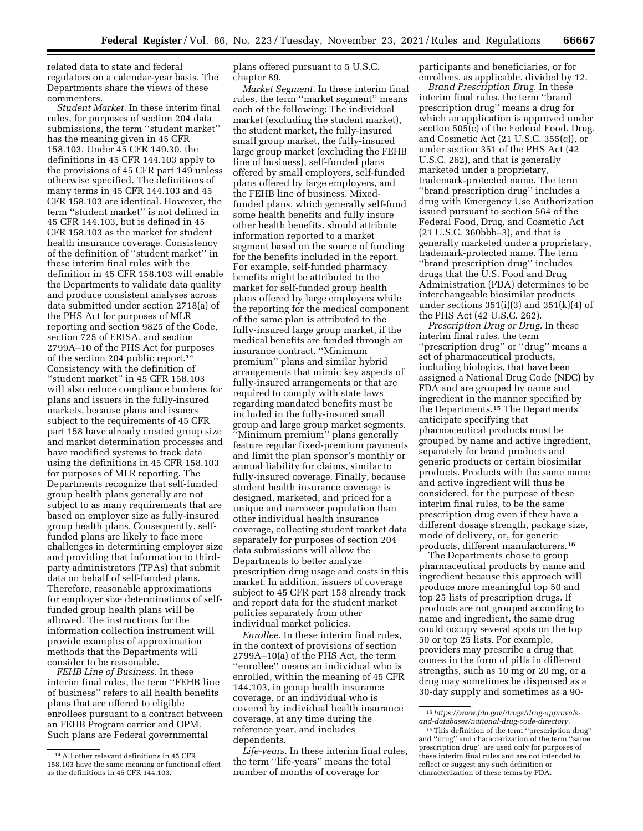related data to state and federal regulators on a calendar-year basis. The Departments share the views of these commenters.

*Student Market.* In these interim final rules, for purposes of section 204 data submissions, the term ''student market'' has the meaning given in 45 CFR 158.103. Under 45 CFR 149.30, the definitions in 45 CFR 144.103 apply to the provisions of 45 CFR part 149 unless otherwise specified. The definitions of many terms in 45 CFR 144.103 and 45 CFR 158.103 are identical. However, the term ''student market'' is not defined in 45 CFR 144.103, but is defined in 45 CFR 158.103 as the market for student health insurance coverage. Consistency of the definition of ''student market'' in these interim final rules with the definition in 45 CFR 158.103 will enable the Departments to validate data quality and produce consistent analyses across data submitted under section 2718(a) of the PHS Act for purposes of MLR reporting and section 9825 of the Code, section 725 of ERISA, and section 2799A–10 of the PHS Act for purposes of the section 204 public report.14 Consistency with the definition of "student market" in 45 CFR 158.103 will also reduce compliance burdens for plans and issuers in the fully-insured markets, because plans and issuers subject to the requirements of 45 CFR part 158 have already created group size and market determination processes and have modified systems to track data using the definitions in 45 CFR 158.103 for purposes of MLR reporting. The Departments recognize that self-funded group health plans generally are not subject to as many requirements that are based on employer size as fully-insured group health plans. Consequently, selffunded plans are likely to face more challenges in determining employer size and providing that information to thirdparty administrators (TPAs) that submit data on behalf of self-funded plans. Therefore, reasonable approximations for employer size determinations of selffunded group health plans will be allowed. The instructions for the information collection instrument will provide examples of approximation methods that the Departments will consider to be reasonable.

*FEHB Line of Business.* In these interim final rules, the term ''FEHB line of business'' refers to all health benefits plans that are offered to eligible enrollees pursuant to a contract between an FEHB Program carrier and OPM. Such plans are Federal governmental

plans offered pursuant to 5 U.S.C. chapter 89.

*Market Segment.* In these interim final rules, the term ''market segment'' means each of the following: The individual market (excluding the student market), the student market, the fully-insured small group market, the fully-insured large group market (excluding the FEHB line of business), self-funded plans offered by small employers, self-funded plans offered by large employers, and the FEHB line of business. Mixedfunded plans, which generally self-fund some health benefits and fully insure other health benefits, should attribute information reported to a market segment based on the source of funding for the benefits included in the report. For example, self-funded pharmacy benefits might be attributed to the market for self-funded group health plans offered by large employers while the reporting for the medical component of the same plan is attributed to the fully-insured large group market, if the medical benefits are funded through an insurance contract. ''Minimum premium'' plans and similar hybrid arrangements that mimic key aspects of fully-insured arrangements or that are required to comply with state laws regarding mandated benefits must be included in the fully-insured small group and large group market segments. ''Minimum premium'' plans generally feature regular fixed-premium payments and limit the plan sponsor's monthly or annual liability for claims, similar to fully-insured coverage. Finally, because student health insurance coverage is designed, marketed, and priced for a unique and narrower population than other individual health insurance coverage, collecting student market data separately for purposes of section 204 data submissions will allow the Departments to better analyze prescription drug usage and costs in this market. In addition, issuers of coverage subject to 45 CFR part 158 already track and report data for the student market policies separately from other individual market policies.

*Enrollee.* In these interim final rules, in the context of provisions of section 2799A–10(a) of the PHS Act, the term ''enrollee'' means an individual who is enrolled, within the meaning of 45 CFR 144.103, in group health insurance coverage, or an individual who is covered by individual health insurance coverage, at any time during the reference year, and includes dependents.

*Life-years.* In these interim final rules, the term ''life-years'' means the total number of months of coverage for

participants and beneficiaries, or for enrollees, as applicable, divided by 12.

*Brand Prescription Drug.* In these interim final rules, the term ''brand prescription drug'' means a drug for which an application is approved under section 505(c) of the Federal Food, Drug, and Cosmetic Act (21 U.S.C. 355(c)), or under section 351 of the PHS Act (42 U.S.C. 262), and that is generally marketed under a proprietary, trademark-protected name. The term ''brand prescription drug'' includes a drug with Emergency Use Authorization issued pursuant to section 564 of the Federal Food, Drug, and Cosmetic Act (21 U.S.C. 360bbb–3), and that is generally marketed under a proprietary, trademark-protected name. The term ''brand prescription drug'' includes drugs that the U.S. Food and Drug Administration (FDA) determines to be interchangeable biosimilar products under sections  $351(i)(3)$  and  $351(k)(4)$  of the PHS Act (42 U.S.C. 262).

*Prescription Drug or Drug.* In these interim final rules, the term ''prescription drug'' or ''drug'' means a set of pharmaceutical products, including biologics, that have been assigned a National Drug Code (NDC) by FDA and are grouped by name and ingredient in the manner specified by the Departments.15 The Departments anticipate specifying that pharmaceutical products must be grouped by name and active ingredient, separately for brand products and generic products or certain biosimilar products. Products with the same name and active ingredient will thus be considered, for the purpose of these interim final rules, to be the same prescription drug even if they have a different dosage strength, package size, mode of delivery, or, for generic products, different manufacturers.16

The Departments chose to group pharmaceutical products by name and ingredient because this approach will produce more meaningful top 50 and top 25 lists of prescription drugs. If products are not grouped according to name and ingredient, the same drug could occupy several spots on the top 50 or top 25 lists. For example, providers may prescribe a drug that comes in the form of pills in different strengths, such as 10 mg or 20 mg, or a drug may sometimes be dispensed as a 30-day supply and sometimes as a 90-

<sup>14</sup>All other relevant definitions in 45 CFR 158.103 have the same meaning or functional effect as the definitions in 45 CFR 144.103.

<sup>15</sup>*[https://www.fda.gov/drugs/drug-approvals](https://www.fda.gov/drugs/drug-approvals-and-databases/national-drug-code-directory)[and-databases/national-drug-code-directory.](https://www.fda.gov/drugs/drug-approvals-and-databases/national-drug-code-directory)* 

<sup>16</sup>This definition of the term ''prescription drug'' and ''drug'' and characterization of the term ''same prescription drug'' are used only for purposes of these interim final rules and are not intended to reflect or suggest any such definition or characterization of these terms by FDA.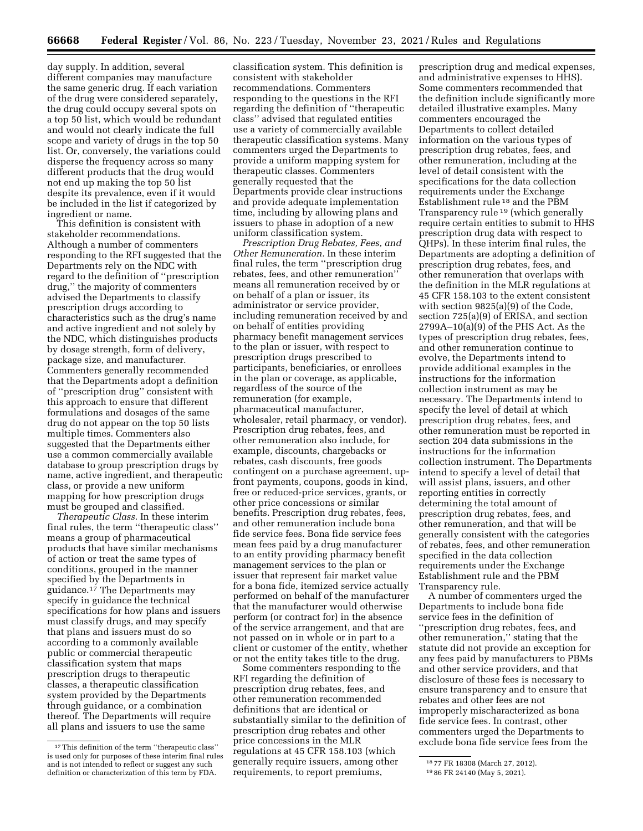day supply. In addition, several different companies may manufacture the same generic drug. If each variation of the drug were considered separately, the drug could occupy several spots on a top 50 list, which would be redundant and would not clearly indicate the full scope and variety of drugs in the top 50 list. Or, conversely, the variations could disperse the frequency across so many different products that the drug would not end up making the top 50 list despite its prevalence, even if it would be included in the list if categorized by ingredient or name.

This definition is consistent with stakeholder recommendations. Although a number of commenters responding to the RFI suggested that the Departments rely on the NDC with regard to the definition of ''prescription drug,'' the majority of commenters advised the Departments to classify prescription drugs according to characteristics such as the drug's name and active ingredient and not solely by the NDC, which distinguishes products by dosage strength, form of delivery, package size, and manufacturer. Commenters generally recommended that the Departments adopt a definition of ''prescription drug'' consistent with this approach to ensure that different formulations and dosages of the same drug do not appear on the top 50 lists multiple times. Commenters also suggested that the Departments either use a common commercially available database to group prescription drugs by name, active ingredient, and therapeutic class, or provide a new uniform mapping for how prescription drugs must be grouped and classified.

*Therapeutic Class.* In these interim final rules, the term ''therapeutic class'' means a group of pharmaceutical products that have similar mechanisms of action or treat the same types of conditions, grouped in the manner specified by the Departments in guidance.<sup>17</sup> The Departments may specify in guidance the technical specifications for how plans and issuers must classify drugs, and may specify that plans and issuers must do so according to a commonly available public or commercial therapeutic classification system that maps prescription drugs to therapeutic classes, a therapeutic classification system provided by the Departments through guidance, or a combination thereof. The Departments will require all plans and issuers to use the same

classification system. This definition is consistent with stakeholder recommendations. Commenters responding to the questions in the RFI regarding the definition of ''therapeutic class'' advised that regulated entities use a variety of commercially available therapeutic classification systems. Many commenters urged the Departments to provide a uniform mapping system for therapeutic classes. Commenters generally requested that the Departments provide clear instructions and provide adequate implementation time, including by allowing plans and issuers to phase in adoption of a new uniform classification system.

*Prescription Drug Rebates, Fees, and Other Remuneration.* In these interim final rules, the term ''prescription drug rebates, fees, and other remuneration'' means all remuneration received by or on behalf of a plan or issuer, its administrator or service provider, including remuneration received by and on behalf of entities providing pharmacy benefit management services to the plan or issuer, with respect to prescription drugs prescribed to participants, beneficiaries, or enrollees in the plan or coverage, as applicable, regardless of the source of the remuneration (for example, pharmaceutical manufacturer, wholesaler, retail pharmacy, or vendor). Prescription drug rebates, fees, and other remuneration also include, for example, discounts, chargebacks or rebates, cash discounts, free goods contingent on a purchase agreement, upfront payments, coupons, goods in kind, free or reduced-price services, grants, or other price concessions or similar benefits. Prescription drug rebates, fees, and other remuneration include bona fide service fees. Bona fide service fees mean fees paid by a drug manufacturer to an entity providing pharmacy benefit management services to the plan or issuer that represent fair market value for a bona fide, itemized service actually performed on behalf of the manufacturer that the manufacturer would otherwise perform (or contract for) in the absence of the service arrangement, and that are not passed on in whole or in part to a client or customer of the entity, whether or not the entity takes title to the drug.

Some commenters responding to the RFI regarding the definition of prescription drug rebates, fees, and other remuneration recommended definitions that are identical or substantially similar to the definition of prescription drug rebates and other price concessions in the MLR regulations at 45 CFR 158.103 (which generally require issuers, among other requirements, to report premiums,

prescription drug and medical expenses, and administrative expenses to HHS). Some commenters recommended that the definition include significantly more detailed illustrative examples. Many commenters encouraged the Departments to collect detailed information on the various types of prescription drug rebates, fees, and other remuneration, including at the level of detail consistent with the specifications for the data collection requirements under the Exchange Establishment rule 18 and the PBM Transparency rule 19 (which generally require certain entities to submit to HHS prescription drug data with respect to QHPs). In these interim final rules, the Departments are adopting a definition of prescription drug rebates, fees, and other remuneration that overlaps with the definition in the MLR regulations at 45 CFR 158.103 to the extent consistent with section 9825(a)(9) of the Code, section 725(a)(9) of ERISA, and section  $2799A-10(a)(9)$  of the PHS Act. As the types of prescription drug rebates, fees, and other remuneration continue to evolve, the Departments intend to provide additional examples in the instructions for the information collection instrument as may be necessary. The Departments intend to specify the level of detail at which prescription drug rebates, fees, and other remuneration must be reported in section 204 data submissions in the instructions for the information collection instrument. The Departments intend to specify a level of detail that will assist plans, issuers, and other reporting entities in correctly determining the total amount of prescription drug rebates, fees, and other remuneration, and that will be generally consistent with the categories of rebates, fees, and other remuneration specified in the data collection requirements under the Exchange Establishment rule and the PBM Transparency rule.

A number of commenters urged the Departments to include bona fide service fees in the definition of ''prescription drug rebates, fees, and other remuneration,'' stating that the statute did not provide an exception for any fees paid by manufacturers to PBMs and other service providers, and that disclosure of these fees is necessary to ensure transparency and to ensure that rebates and other fees are not improperly mischaracterized as bona fide service fees. In contrast, other commenters urged the Departments to exclude bona fide service fees from the

<sup>17</sup>This definition of the term ''therapeutic class'' is used only for purposes of these interim final rules and is not intended to reflect or suggest any such definition or characterization of this term by FDA.

<sup>18</sup> 77 FR 18308 (March 27, 2012).

<sup>19</sup> 86 FR 24140 (May 5, 2021).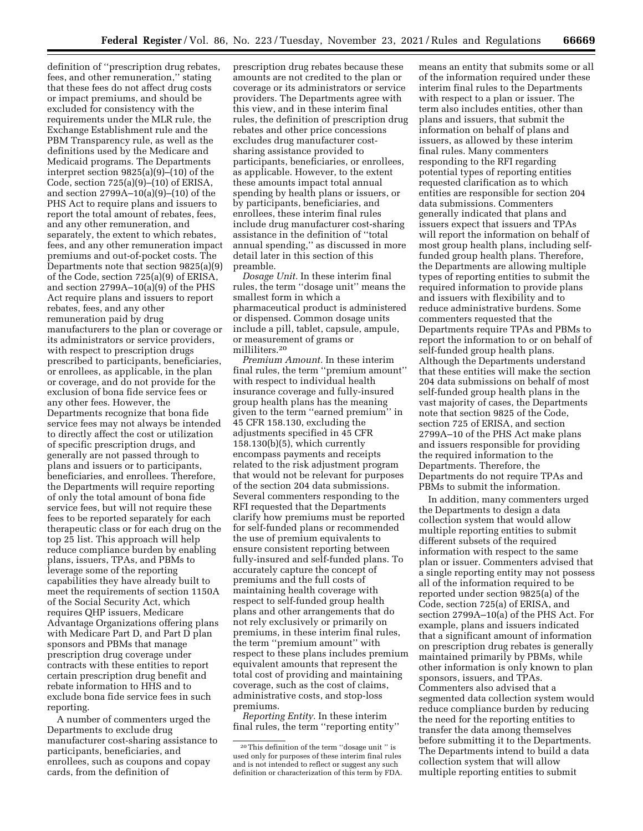definition of ''prescription drug rebates, fees, and other remuneration,'' stating that these fees do not affect drug costs or impact premiums, and should be excluded for consistency with the requirements under the MLR rule, the Exchange Establishment rule and the PBM Transparency rule, as well as the definitions used by the Medicare and Medicaid programs. The Departments interpret section 9825(a)(9)–(10) of the Code, section 725(a)(9)–(10) of ERISA, and section 2799A–10(a)(9)–(10) of the PHS Act to require plans and issuers to report the total amount of rebates, fees, and any other remuneration, and separately, the extent to which rebates, fees, and any other remuneration impact premiums and out-of-pocket costs. The Departments note that section 9825(a)(9) of the Code, section 725(a)(9) of ERISA, and section 2799A–10(a)(9) of the PHS Act require plans and issuers to report rebates, fees, and any other remuneration paid by drug manufacturers to the plan or coverage or its administrators or service providers, with respect to prescription drugs prescribed to participants, beneficiaries, or enrollees, as applicable, in the plan or coverage, and do not provide for the exclusion of bona fide service fees or any other fees. However, the Departments recognize that bona fide service fees may not always be intended to directly affect the cost or utilization of specific prescription drugs, and generally are not passed through to plans and issuers or to participants, beneficiaries, and enrollees. Therefore, the Departments will require reporting of only the total amount of bona fide service fees, but will not require these fees to be reported separately for each therapeutic class or for each drug on the top 25 list. This approach will help reduce compliance burden by enabling plans, issuers, TPAs, and PBMs to leverage some of the reporting capabilities they have already built to meet the requirements of section 1150A of the Social Security Act, which requires QHP issuers, Medicare Advantage Organizations offering plans with Medicare Part D, and Part D plan sponsors and PBMs that manage prescription drug coverage under contracts with these entities to report certain prescription drug benefit and rebate information to HHS and to exclude bona fide service fees in such reporting.

A number of commenters urged the Departments to exclude drug manufacturer cost-sharing assistance to participants, beneficiaries, and enrollees, such as coupons and copay cards, from the definition of

prescription drug rebates because these amounts are not credited to the plan or coverage or its administrators or service providers. The Departments agree with this view, and in these interim final rules, the definition of prescription drug rebates and other price concessions excludes drug manufacturer costsharing assistance provided to participants, beneficiaries, or enrollees, as applicable. However, to the extent these amounts impact total annual spending by health plans or issuers, or by participants, beneficiaries, and enrollees, these interim final rules include drug manufacturer cost-sharing assistance in the definition of ''total annual spending,'' as discussed in more detail later in this section of this preamble.

*Dosage Unit.* In these interim final rules, the term ''dosage unit'' means the smallest form in which a pharmaceutical product is administered or dispensed. Common dosage units include a pill, tablet, capsule, ampule, or measurement of grams or milliliters.20

*Premium Amount.* In these interim final rules, the term ''premium amount'' with respect to individual health insurance coverage and fully-insured group health plans has the meaning given to the term ''earned premium'' in 45 CFR 158.130, excluding the adjustments specified in 45 CFR 158.130(b)(5), which currently encompass payments and receipts related to the risk adjustment program that would not be relevant for purposes of the section 204 data submissions. Several commenters responding to the RFI requested that the Departments clarify how premiums must be reported for self-funded plans or recommended the use of premium equivalents to ensure consistent reporting between fully-insured and self-funded plans. To accurately capture the concept of premiums and the full costs of maintaining health coverage with respect to self-funded group health plans and other arrangements that do not rely exclusively or primarily on premiums, in these interim final rules, the term ''premium amount'' with respect to these plans includes premium equivalent amounts that represent the total cost of providing and maintaining coverage, such as the cost of claims, administrative costs, and stop-loss premiums.

*Reporting Entity.* In these interim final rules, the term ''reporting entity''

means an entity that submits some or all of the information required under these interim final rules to the Departments with respect to a plan or issuer. The term also includes entities, other than plans and issuers, that submit the information on behalf of plans and issuers, as allowed by these interim final rules. Many commenters responding to the RFI regarding potential types of reporting entities requested clarification as to which entities are responsible for section 204 data submissions. Commenters generally indicated that plans and issuers expect that issuers and TPAs will report the information on behalf of most group health plans, including selffunded group health plans. Therefore, the Departments are allowing multiple types of reporting entities to submit the required information to provide plans and issuers with flexibility and to reduce administrative burdens. Some commenters requested that the Departments require TPAs and PBMs to report the information to or on behalf of self-funded group health plans. Although the Departments understand that these entities will make the section 204 data submissions on behalf of most self-funded group health plans in the vast majority of cases, the Departments note that section 9825 of the Code, section 725 of ERISA, and section 2799A–10 of the PHS Act make plans and issuers responsible for providing the required information to the Departments. Therefore, the Departments do not require TPAs and PBMs to submit the information.

In addition, many commenters urged the Departments to design a data collection system that would allow multiple reporting entities to submit different subsets of the required information with respect to the same plan or issuer. Commenters advised that a single reporting entity may not possess all of the information required to be reported under section 9825(a) of the Code, section 725(a) of ERISA, and section 2799A–10(a) of the PHS Act. For example, plans and issuers indicated that a significant amount of information on prescription drug rebates is generally maintained primarily by PBMs, while other information is only known to plan sponsors, issuers, and TPAs. Commenters also advised that a segmented data collection system would reduce compliance burden by reducing the need for the reporting entities to transfer the data among themselves before submitting it to the Departments. The Departments intend to build a data collection system that will allow multiple reporting entities to submit

<sup>20</sup>This definition of the term ''dosage unit '' is used only for purposes of these interim final rules and is not intended to reflect or suggest any such definition or characterization of this term by FDA.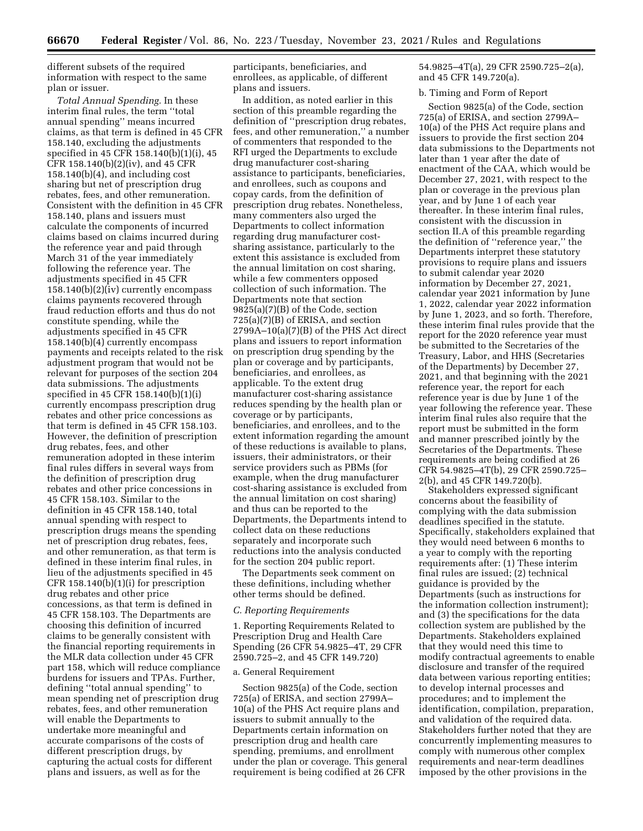different subsets of the required information with respect to the same plan or issuer.

*Total Annual Spending.* In these interim final rules, the term ''total annual spending'' means incurred claims, as that term is defined in 45 CFR 158.140, excluding the adjustments specified in 45 CFR 158.140(b)(1)(i), 45 CFR 158.140(b)(2)(iv), and 45 CFR 158.140(b)(4), and including cost sharing but net of prescription drug rebates, fees, and other remuneration. Consistent with the definition in 45 CFR 158.140, plans and issuers must calculate the components of incurred claims based on claims incurred during the reference year and paid through March 31 of the year immediately following the reference year. The adjustments specified in 45 CFR 158.140(b)(2)(iv) currently encompass claims payments recovered through fraud reduction efforts and thus do not constitute spending, while the adjustments specified in 45 CFR 158.140(b)(4) currently encompass payments and receipts related to the risk adjustment program that would not be relevant for purposes of the section 204 data submissions. The adjustments specified in 45 CFR 158.140(b)(1)(i) currently encompass prescription drug rebates and other price concessions as that term is defined in 45 CFR 158.103. However, the definition of prescription drug rebates, fees, and other remuneration adopted in these interim final rules differs in several ways from the definition of prescription drug rebates and other price concessions in 45 CFR 158.103. Similar to the definition in 45 CFR 158.140, total annual spending with respect to prescription drugs means the spending net of prescription drug rebates, fees, and other remuneration, as that term is defined in these interim final rules, in lieu of the adjustments specified in 45 CFR 158.140(b)(1)(i) for prescription drug rebates and other price concessions, as that term is defined in 45 CFR 158.103. The Departments are choosing this definition of incurred claims to be generally consistent with the financial reporting requirements in the MLR data collection under 45 CFR part 158, which will reduce compliance burdens for issuers and TPAs. Further, defining ''total annual spending'' to mean spending net of prescription drug rebates, fees, and other remuneration will enable the Departments to undertake more meaningful and accurate comparisons of the costs of different prescription drugs, by capturing the actual costs for different plans and issuers, as well as for the

participants, beneficiaries, and enrollees, as applicable, of different plans and issuers.

In addition, as noted earlier in this section of this preamble regarding the definition of ''prescription drug rebates, fees, and other remuneration,'' a number of commenters that responded to the RFI urged the Departments to exclude drug manufacturer cost-sharing assistance to participants, beneficiaries, and enrollees, such as coupons and copay cards, from the definition of prescription drug rebates. Nonetheless, many commenters also urged the Departments to collect information regarding drug manufacturer costsharing assistance, particularly to the extent this assistance is excluded from the annual limitation on cost sharing, while a few commenters opposed collection of such information. The Departments note that section 9825(a)(7)(B) of the Code, section 725(a)(7)(B) of ERISA, and section 2799A–10(a)(7)(B) of the PHS Act direct plans and issuers to report information on prescription drug spending by the plan or coverage and by participants, beneficiaries, and enrollees, as applicable. To the extent drug manufacturer cost-sharing assistance reduces spending by the health plan or coverage or by participants, beneficiaries, and enrollees, and to the extent information regarding the amount of these reductions is available to plans, issuers, their administrators, or their service providers such as PBMs (for example, when the drug manufacturer cost-sharing assistance is excluded from the annual limitation on cost sharing) and thus can be reported to the Departments, the Departments intend to collect data on these reductions separately and incorporate such reductions into the analysis conducted for the section 204 public report.

The Departments seek comment on these definitions, including whether other terms should be defined.

### *C. Reporting Requirements*

1. Reporting Requirements Related to Prescription Drug and Health Care Spending (26 CFR 54.9825–4T, 29 CFR 2590.725–2, and 45 CFR 149.720)

#### a. General Requirement

Section 9825(a) of the Code, section 725(a) of ERISA, and section 2799A– 10(a) of the PHS Act require plans and issuers to submit annually to the Departments certain information on prescription drug and health care spending, premiums, and enrollment under the plan or coverage. This general requirement is being codified at 26 CFR

54.9825–4T(a), 29 CFR 2590.725–2(a), and 45 CFR 149.720(a).

### b. Timing and Form of Report

Section 9825(a) of the Code, section 725(a) of ERISA, and section 2799A– 10(a) of the PHS Act require plans and issuers to provide the first section 204 data submissions to the Departments not later than 1 year after the date of enactment of the CAA, which would be December 27, 2021, with respect to the plan or coverage in the previous plan year, and by June 1 of each year thereafter. In these interim final rules, consistent with the discussion in section II.A of this preamble regarding the definition of ''reference year,'' the Departments interpret these statutory provisions to require plans and issuers to submit calendar year 2020 information by December 27, 2021, calendar year 2021 information by June 1, 2022, calendar year 2022 information by June 1, 2023, and so forth. Therefore, these interim final rules provide that the report for the 2020 reference year must be submitted to the Secretaries of the Treasury, Labor, and HHS (Secretaries of the Departments) by December 27, 2021, and that beginning with the 2021 reference year, the report for each reference year is due by June 1 of the year following the reference year. These interim final rules also require that the report must be submitted in the form and manner prescribed jointly by the Secretaries of the Departments. These requirements are being codified at 26 CFR 54.9825–4T(b), 29 CFR 2590.725– 2(b), and 45 CFR 149.720(b).

Stakeholders expressed significant concerns about the feasibility of complying with the data submission deadlines specified in the statute. Specifically, stakeholders explained that they would need between 6 months to a year to comply with the reporting requirements after: (1) These interim final rules are issued; (2) technical guidance is provided by the Departments (such as instructions for the information collection instrument); and (3) the specifications for the data collection system are published by the Departments. Stakeholders explained that they would need this time to modify contractual agreements to enable disclosure and transfer of the required data between various reporting entities; to develop internal processes and procedures; and to implement the identification, compilation, preparation, and validation of the required data. Stakeholders further noted that they are concurrently implementing measures to comply with numerous other complex requirements and near-term deadlines imposed by the other provisions in the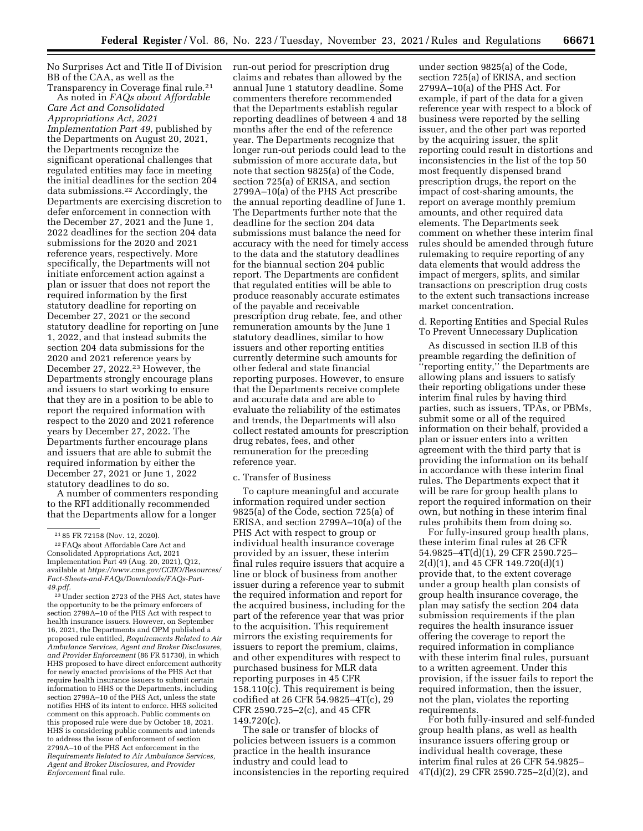No Surprises Act and Title II of Division BB of the CAA, as well as the Transparency in Coverage final rule.<sup>21</sup>

As noted in *FAQs about Affordable Care Act and Consolidated Appropriations Act, 2021 Implementation Part 49,* published by the Departments on August 20, 2021, the Departments recognize the significant operational challenges that regulated entities may face in meeting the initial deadlines for the section 204 data submissions.22 Accordingly, the Departments are exercising discretion to defer enforcement in connection with the December 27, 2021 and the June 1, 2022 deadlines for the section 204 data submissions for the 2020 and 2021 reference years, respectively. More specifically, the Departments will not initiate enforcement action against a plan or issuer that does not report the required information by the first statutory deadline for reporting on December 27, 2021 or the second statutory deadline for reporting on June 1, 2022, and that instead submits the section 204 data submissions for the 2020 and 2021 reference years by December 27, 2022.23 However, the Departments strongly encourage plans and issuers to start working to ensure that they are in a position to be able to report the required information with respect to the 2020 and 2021 reference years by December 27, 2022. The Departments further encourage plans and issuers that are able to submit the required information by either the December 27, 2021 or June 1, 2022 statutory deadlines to do so.

A number of commenters responding to the RFI additionally recommended that the Departments allow for a longer

23Under section 2723 of the PHS Act, states have the opportunity to be the primary enforcers of section 2799A–10 of the PHS Act with respect to health insurance issuers. However, on September 16, 2021, the Departments and OPM published a proposed rule entitled, *Requirements Related to Air Ambulance Services, Agent and Broker Disclosures, and Provider Enforcement* (86 FR 51730), in which HHS proposed to have direct enforcement authority for newly enacted provisions of the PHS Act that require health insurance issuers to submit certain information to HHS or the Departments, including section 2799A–10 of the PHS Act, unless the state notifies HHS of its intent to enforce. HHS solicited comment on this approach. Public comments on this proposed rule were due by October 18, 2021. HHS is considering public comments and intends to address the issue of enforcement of section 2799A–10 of the PHS Act enforcement in the *Requirements Related to Air Ambulance Services, Agent and Broker Disclosures, and Provider Enforcement* final rule.

run-out period for prescription drug claims and rebates than allowed by the annual June 1 statutory deadline. Some commenters therefore recommended that the Departments establish regular reporting deadlines of between 4 and 18 months after the end of the reference year. The Departments recognize that longer run-out periods could lead to the submission of more accurate data, but note that section 9825(a) of the Code, section 725(a) of ERISA, and section 2799A–10(a) of the PHS Act prescribe the annual reporting deadline of June 1. The Departments further note that the deadline for the section 204 data submissions must balance the need for accuracy with the need for timely access to the data and the statutory deadlines for the biannual section 204 public report. The Departments are confident that regulated entities will be able to produce reasonably accurate estimates of the payable and receivable prescription drug rebate, fee, and other remuneration amounts by the June 1 statutory deadlines, similar to how issuers and other reporting entities currently determine such amounts for other federal and state financial reporting purposes. However, to ensure that the Departments receive complete and accurate data and are able to evaluate the reliability of the estimates and trends, the Departments will also collect restated amounts for prescription drug rebates, fees, and other remuneration for the preceding reference year.

## c. Transfer of Business

To capture meaningful and accurate information required under section 9825(a) of the Code, section 725(a) of ERISA, and section 2799A–10(a) of the PHS Act with respect to group or individual health insurance coverage provided by an issuer, these interim final rules require issuers that acquire a line or block of business from another issuer during a reference year to submit the required information and report for the acquired business, including for the part of the reference year that was prior to the acquisition. This requirement mirrors the existing requirements for issuers to report the premium, claims, and other expenditures with respect to purchased business for MLR data reporting purposes in 45 CFR 158.110(c). This requirement is being codified at 26 CFR 54.9825–4T(c), 29 CFR 2590.725–2(c), and 45 CFR 149.720(c).

The sale or transfer of blocks of policies between issuers is a common practice in the health insurance industry and could lead to inconsistencies in the reporting required

under section 9825(a) of the Code, section 725(a) of ERISA, and section 2799A–10(a) of the PHS Act. For example, if part of the data for a given reference year with respect to a block of business were reported by the selling issuer, and the other part was reported by the acquiring issuer, the split reporting could result in distortions and inconsistencies in the list of the top 50 most frequently dispensed brand prescription drugs, the report on the impact of cost-sharing amounts, the report on average monthly premium amounts, and other required data elements. The Departments seek comment on whether these interim final rules should be amended through future rulemaking to require reporting of any data elements that would address the impact of mergers, splits, and similar transactions on prescription drug costs to the extent such transactions increase market concentration.

d. Reporting Entities and Special Rules To Prevent Unnecessary Duplication

As discussed in section II.B of this preamble regarding the definition of ''reporting entity,'' the Departments are allowing plans and issuers to satisfy their reporting obligations under these interim final rules by having third parties, such as issuers, TPAs, or PBMs, submit some or all of the required information on their behalf, provided a plan or issuer enters into a written agreement with the third party that is providing the information on its behalf in accordance with these interim final rules. The Departments expect that it will be rare for group health plans to report the required information on their own, but nothing in these interim final rules prohibits them from doing so.

For fully-insured group health plans, these interim final rules at 26 CFR 54.9825–4T(d)(1), 29 CFR 2590.725– 2(d)(1), and 45 CFR 149.720(d)(1) provide that, to the extent coverage under a group health plan consists of group health insurance coverage, the plan may satisfy the section 204 data submission requirements if the plan requires the health insurance issuer offering the coverage to report the required information in compliance with these interim final rules, pursuant to a written agreement. Under this provision, if the issuer fails to report the required information, then the issuer, not the plan, violates the reporting requirements.

For both fully-insured and self-funded group health plans, as well as health insurance issuers offering group or individual health coverage, these interim final rules at 26 CFR 54.9825– 4T(d)(2), 29 CFR 2590.725–2(d)(2), and

<sup>21</sup> 85 FR 72158 (Nov. 12, 2020).

<sup>22</sup>FAQs about Affordable Care Act and Consolidated Appropriations Act, 2021 Implementation Part 49 (Aug. 20, 2021), Q12, available at *[https://www.cms.gov/CCIIO/Resources/](https://www.cms.gov/CCIIO/Resources/Fact-Sheets-and-FAQs/Downloads/FAQs-Part-49.pdf)  [Fact-Sheets-and-FAQs/Downloads/FAQs-Part-](https://www.cms.gov/CCIIO/Resources/Fact-Sheets-and-FAQs/Downloads/FAQs-Part-49.pdf)[49.pdf.](https://www.cms.gov/CCIIO/Resources/Fact-Sheets-and-FAQs/Downloads/FAQs-Part-49.pdf)*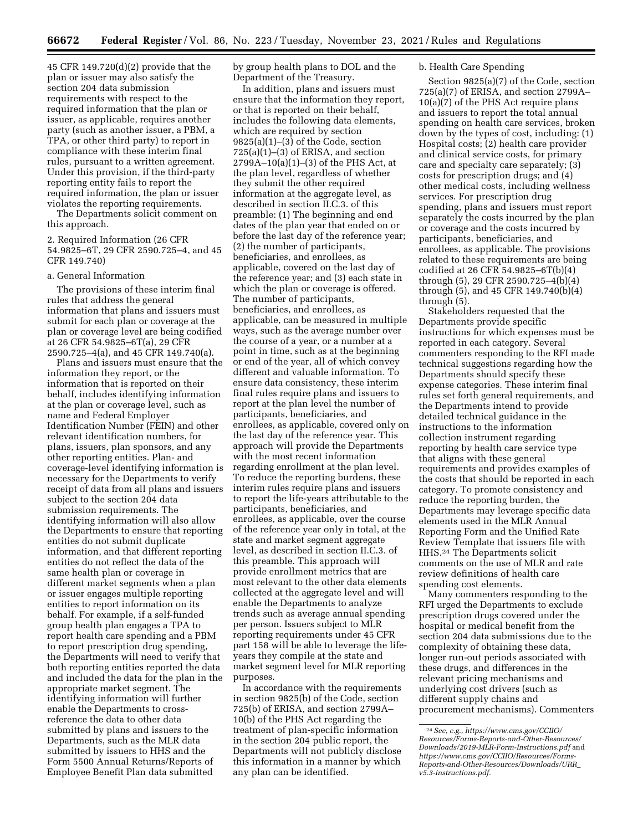45 CFR 149.720(d)(2) provide that the plan or issuer may also satisfy the section 204 data submission requirements with respect to the required information that the plan or issuer, as applicable, requires another party (such as another issuer, a PBM, a TPA, or other third party) to report in compliance with these interim final rules, pursuant to a written agreement. Under this provision, if the third-party reporting entity fails to report the required information, the plan or issuer violates the reporting requirements.

The Departments solicit comment on this approach.

2. Required Information (26 CFR 54.9825–6T, 29 CFR 2590.725–4, and 45 CFR 149.740)

# a. General Information

The provisions of these interim final rules that address the general information that plans and issuers must submit for each plan or coverage at the plan or coverage level are being codified at 26 CFR 54.9825–6T(a), 29 CFR 2590.725–4(a), and 45 CFR 149.740(a).

Plans and issuers must ensure that the information they report, or the information that is reported on their behalf, includes identifying information at the plan or coverage level, such as name and Federal Employer Identification Number (FEIN) and other relevant identification numbers, for plans, issuers, plan sponsors, and any other reporting entities. Plan- and coverage-level identifying information is necessary for the Departments to verify receipt of data from all plans and issuers subject to the section 204 data submission requirements. The identifying information will also allow the Departments to ensure that reporting entities do not submit duplicate information, and that different reporting entities do not reflect the data of the same health plan or coverage in different market segments when a plan or issuer engages multiple reporting entities to report information on its behalf. For example, if a self-funded group health plan engages a TPA to report health care spending and a PBM to report prescription drug spending, the Departments will need to verify that both reporting entities reported the data and included the data for the plan in the appropriate market segment. The identifying information will further enable the Departments to crossreference the data to other data submitted by plans and issuers to the Departments, such as the MLR data submitted by issuers to HHS and the Form 5500 Annual Returns/Reports of Employee Benefit Plan data submitted

by group health plans to DOL and the Department of the Treasury.

In addition, plans and issuers must ensure that the information they report, or that is reported on their behalf, includes the following data elements, which are required by section  $9825(a)(1)–(3)$  of the Code, section  $725(a)(1)–(3)$  of ERISA, and section 2799A–10(a)(1)–(3) of the PHS Act, at the plan level, regardless of whether they submit the other required information at the aggregate level, as described in section II.C.3. of this preamble: (1) The beginning and end dates of the plan year that ended on or before the last day of the reference year; (2) the number of participants, beneficiaries, and enrollees, as applicable, covered on the last day of the reference year; and (3) each state in which the plan or coverage is offered. The number of participants, beneficiaries, and enrollees, as applicable, can be measured in multiple ways, such as the average number over the course of a year, or a number at a point in time, such as at the beginning or end of the year, all of which convey different and valuable information. To ensure data consistency, these interim final rules require plans and issuers to report at the plan level the number of participants, beneficiaries, and enrollees, as applicable, covered only on the last day of the reference year. This approach will provide the Departments with the most recent information regarding enrollment at the plan level. To reduce the reporting burdens, these interim rules require plans and issuers to report the life-years attributable to the participants, beneficiaries, and enrollees, as applicable, over the course of the reference year only in total, at the state and market segment aggregate level, as described in section II.C.3. of this preamble. This approach will provide enrollment metrics that are most relevant to the other data elements collected at the aggregate level and will enable the Departments to analyze trends such as average annual spending per person. Issuers subject to MLR reporting requirements under 45 CFR part 158 will be able to leverage the lifeyears they compile at the state and market segment level for MLR reporting purposes.

In accordance with the requirements in section 9825(b) of the Code, section 725(b) of ERISA, and section 2799A– 10(b) of the PHS Act regarding the treatment of plan-specific information in the section 204 public report, the Departments will not publicly disclose this information in a manner by which any plan can be identified.

## b. Health Care Spending

Section 9825(a)(7) of the Code, section 725(a)(7) of ERISA, and section 2799A– 10(a)(7) of the PHS Act require plans and issuers to report the total annual spending on health care services, broken down by the types of cost, including: (1) Hospital costs; (2) health care provider and clinical service costs, for primary care and specialty care separately; (3) costs for prescription drugs; and (4) other medical costs, including wellness services. For prescription drug spending, plans and issuers must report separately the costs incurred by the plan or coverage and the costs incurred by participants, beneficiaries, and enrollees, as applicable. The provisions related to these requirements are being codified at 26 CFR 54.9825–6T(b)(4) through (5), 29 CFR 2590.725–4(b)(4) through (5), and 45 CFR 149.740(b)(4) through (5).

Stakeholders requested that the Departments provide specific instructions for which expenses must be reported in each category. Several commenters responding to the RFI made technical suggestions regarding how the Departments should specify these expense categories. These interim final rules set forth general requirements, and the Departments intend to provide detailed technical guidance in the instructions to the information collection instrument regarding reporting by health care service type that aligns with these general requirements and provides examples of the costs that should be reported in each category. To promote consistency and reduce the reporting burden, the Departments may leverage specific data elements used in the MLR Annual Reporting Form and the Unified Rate Review Template that issuers file with HHS.24 The Departments solicit comments on the use of MLR and rate review definitions of health care spending cost elements.

Many commenters responding to the RFI urged the Departments to exclude prescription drugs covered under the hospital or medical benefit from the section 204 data submissions due to the complexity of obtaining these data, longer run-out periods associated with these drugs, and differences in the relevant pricing mechanisms and underlying cost drivers (such as different supply chains and procurement mechanisms). Commenters

<sup>24</sup>*See, e.g., [https://www.cms.gov/CCIIO/](https://www.cms.gov/CCIIO/Resources/Forms-Reports-and-Other-Resources/Downloads/2019-MLR-Form-Instructions.pdf) [Resources/Forms-Reports-and-Other-Resources/](https://www.cms.gov/CCIIO/Resources/Forms-Reports-and-Other-Resources/Downloads/2019-MLR-Form-Instructions.pdf)  [Downloads/2019-MLR-Form-Instructions.pdf](https://www.cms.gov/CCIIO/Resources/Forms-Reports-and-Other-Resources/Downloads/2019-MLR-Form-Instructions.pdf)* and *[https://www.cms.gov/CCIIO/Resources/Forms-](https://www.cms.gov/CCIIO/Resources/Forms-Reports-and-Other-Resources/Downloads/URR_v5.3-instructions.pdf)[Reports-and-Other-Resources/Downloads/URR](https://www.cms.gov/CCIIO/Resources/Forms-Reports-and-Other-Resources/Downloads/URR_v5.3-instructions.pdf)*\_ *[v5.3-instructions.pdf.](https://www.cms.gov/CCIIO/Resources/Forms-Reports-and-Other-Resources/Downloads/URR_v5.3-instructions.pdf)*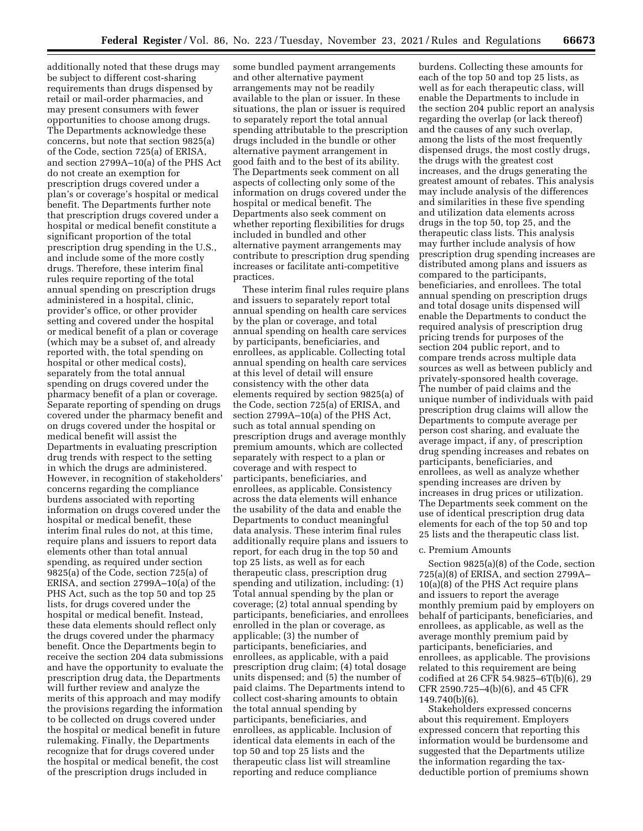additionally noted that these drugs may be subject to different cost-sharing requirements than drugs dispensed by retail or mail-order pharmacies, and may present consumers with fewer opportunities to choose among drugs. The Departments acknowledge these concerns, but note that section 9825(a) of the Code, section 725(a) of ERISA, and section 2799A–10(a) of the PHS Act do not create an exemption for prescription drugs covered under a plan's or coverage's hospital or medical benefit. The Departments further note that prescription drugs covered under a hospital or medical benefit constitute a significant proportion of the total prescription drug spending in the U.S., and include some of the more costly drugs. Therefore, these interim final rules require reporting of the total annual spending on prescription drugs administered in a hospital, clinic, provider's office, or other provider setting and covered under the hospital or medical benefit of a plan or coverage (which may be a subset of, and already reported with, the total spending on hospital or other medical costs), separately from the total annual spending on drugs covered under the pharmacy benefit of a plan or coverage. Separate reporting of spending on drugs covered under the pharmacy benefit and on drugs covered under the hospital or medical benefit will assist the Departments in evaluating prescription drug trends with respect to the setting in which the drugs are administered. However, in recognition of stakeholders' concerns regarding the compliance burdens associated with reporting information on drugs covered under the hospital or medical benefit, these interim final rules do not, at this time, require plans and issuers to report data elements other than total annual spending, as required under section 9825(a) of the Code, section 725(a) of ERISA, and section 2799A–10(a) of the PHS Act, such as the top 50 and top 25 lists, for drugs covered under the hospital or medical benefit. Instead, these data elements should reflect only the drugs covered under the pharmacy benefit. Once the Departments begin to receive the section 204 data submissions and have the opportunity to evaluate the prescription drug data, the Departments will further review and analyze the merits of this approach and may modify the provisions regarding the information to be collected on drugs covered under the hospital or medical benefit in future rulemaking. Finally, the Departments recognize that for drugs covered under the hospital or medical benefit, the cost of the prescription drugs included in

some bundled payment arrangements and other alternative payment arrangements may not be readily available to the plan or issuer. In these situations, the plan or issuer is required to separately report the total annual spending attributable to the prescription drugs included in the bundle or other alternative payment arrangement in good faith and to the best of its ability. The Departments seek comment on all aspects of collecting only some of the information on drugs covered under the hospital or medical benefit. The Departments also seek comment on whether reporting flexibilities for drugs included in bundled and other alternative payment arrangements may contribute to prescription drug spending increases or facilitate anti-competitive practices.

These interim final rules require plans and issuers to separately report total annual spending on health care services by the plan or coverage, and total annual spending on health care services by participants, beneficiaries, and enrollees, as applicable. Collecting total annual spending on health care services at this level of detail will ensure consistency with the other data elements required by section 9825(a) of the Code, section 725(a) of ERISA, and section 2799A–10(a) of the PHS Act, such as total annual spending on prescription drugs and average monthly premium amounts, which are collected separately with respect to a plan or coverage and with respect to participants, beneficiaries, and enrollees, as applicable. Consistency across the data elements will enhance the usability of the data and enable the Departments to conduct meaningful data analysis. These interim final rules additionally require plans and issuers to report, for each drug in the top 50 and top 25 lists, as well as for each therapeutic class, prescription drug spending and utilization, including: (1) Total annual spending by the plan or coverage; (2) total annual spending by participants, beneficiaries, and enrollees enrolled in the plan or coverage, as applicable; (3) the number of participants, beneficiaries, and enrollees, as applicable, with a paid prescription drug claim; (4) total dosage units dispensed; and (5) the number of paid claims. The Departments intend to collect cost-sharing amounts to obtain the total annual spending by participants, beneficiaries, and enrollees, as applicable. Inclusion of identical data elements in each of the top 50 and top 25 lists and the therapeutic class list will streamline reporting and reduce compliance

burdens. Collecting these amounts for each of the top 50 and top 25 lists, as well as for each therapeutic class, will enable the Departments to include in the section 204 public report an analysis regarding the overlap (or lack thereof) and the causes of any such overlap, among the lists of the most frequently dispensed drugs, the most costly drugs, the drugs with the greatest cost increases, and the drugs generating the greatest amount of rebates. This analysis may include analysis of the differences and similarities in these five spending and utilization data elements across drugs in the top 50, top 25, and the therapeutic class lists. This analysis may further include analysis of how prescription drug spending increases are distributed among plans and issuers as compared to the participants, beneficiaries, and enrollees. The total annual spending on prescription drugs and total dosage units dispensed will enable the Departments to conduct the required analysis of prescription drug pricing trends for purposes of the section 204 public report, and to compare trends across multiple data sources as well as between publicly and privately-sponsored health coverage. The number of paid claims and the unique number of individuals with paid prescription drug claims will allow the Departments to compute average per person cost sharing, and evaluate the average impact, if any, of prescription drug spending increases and rebates on participants, beneficiaries, and enrollees, as well as analyze whether spending increases are driven by increases in drug prices or utilization. The Departments seek comment on the use of identical prescription drug data elements for each of the top 50 and top 25 lists and the therapeutic class list.

#### c. Premium Amounts

Section 9825(a)(8) of the Code, section 725(a)(8) of ERISA, and section 2799A– 10(a)(8) of the PHS Act require plans and issuers to report the average monthly premium paid by employers on behalf of participants, beneficiaries, and enrollees, as applicable, as well as the average monthly premium paid by participants, beneficiaries, and enrollees, as applicable. The provisions related to this requirement are being codified at 26 CFR 54.9825–6T(b)(6), 29 CFR 2590.725–4(b)(6), and 45 CFR 149.740(b)(6).

Stakeholders expressed concerns about this requirement. Employers expressed concern that reporting this information would be burdensome and suggested that the Departments utilize the information regarding the taxdeductible portion of premiums shown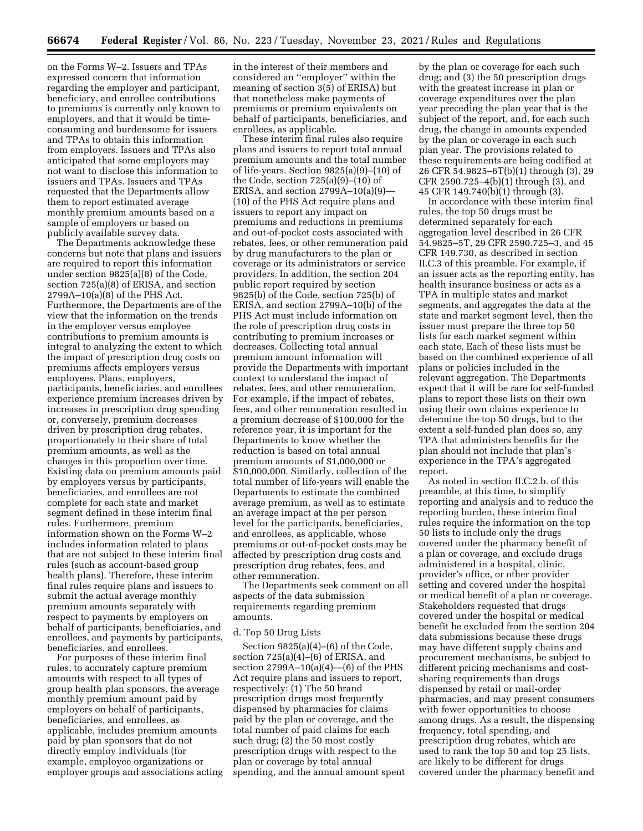on the Forms W–2. Issuers and TPAs expressed concern that information regarding the employer and participant, beneficiary, and enrollee contributions to premiums is currently only known to employers, and that it would be timeconsuming and burdensome for issuers and TPAs to obtain this information from employers. Issuers and TPAs also anticipated that some employers may not want to disclose this information to issuers and TPAs. Issuers and TPAs requested that the Departments allow them to report estimated average monthly premium amounts based on a sample of employers or based on publicly available survey data.

The Departments acknowledge these concerns but note that plans and issuers are required to report this information under section 9825(a)(8) of the Code, section 725(a)(8) of ERISA, and section 2799A–10(a)(8) of the PHS Act. Furthermore, the Departments are of the view that the information on the trends in the employer versus employee contributions to premium amounts is integral to analyzing the extent to which the impact of prescription drug costs on premiums affects employers versus employees. Plans, employers, participants, beneficiaries, and enrollees experience premium increases driven by increases in prescription drug spending or, conversely, premium decreases driven by prescription drug rebates, proportionately to their share of total premium amounts, as well as the changes in this proportion over time. Existing data on premium amounts paid by employers versus by participants, beneficiaries, and enrollees are not complete for each state and market segment defined in these interim final rules. Furthermore, premium information shown on the Forms W–2 includes information related to plans that are not subject to these interim final rules (such as account-based group health plans). Therefore, these interim final rules require plans and issuers to submit the actual average monthly premium amounts separately with respect to payments by employers on behalf of participants, beneficiaries, and enrollees, and payments by participants, beneficiaries, and enrollees.

For purposes of these interim final rules, to accurately capture premium amounts with respect to all types of group health plan sponsors, the average monthly premium amount paid by employers on behalf of participants, beneficiaries, and enrollees, as applicable, includes premium amounts paid by plan sponsors that do not directly employ individuals (for example, employee organizations or employer groups and associations acting

in the interest of their members and considered an ''employer'' within the meaning of section 3(5) of ERISA) but that nonetheless make payments of premiums or premium equivalents on behalf of participants, beneficiaries, and enrollees, as applicable.

These interim final rules also require plans and issuers to report total annual premium amounts and the total number of life-years. Section 9825(a)(9)–(10) of the Code, section 725(a)(9)–(10) of ERISA, and section  $2799A-10(a)(9)$ — (10) of the PHS Act require plans and issuers to report any impact on premiums and reductions in premiums and out-of-pocket costs associated with rebates, fees, or other remuneration paid by drug manufacturers to the plan or coverage or its administrators or service providers. In addition, the section 204 public report required by section 9825(b) of the Code, section 725(b) of ERISA, and section 2799A–10(b) of the PHS Act must include information on the role of prescription drug costs in contributing to premium increases or decreases. Collecting total annual premium amount information will provide the Departments with important context to understand the impact of rebates, fees, and other remuneration. For example, if the impact of rebates, fees, and other remuneration resulted in a premium decrease of \$100,000 for the reference year, it is important for the Departments to know whether the reduction is based on total annual premium amounts of \$1,000,000 or \$10,000,000. Similarly, collection of the total number of life-years will enable the Departments to estimate the combined average premium, as well as to estimate an average impact at the per person level for the participants, beneficiaries, and enrollees, as applicable, whose premiums or out-of-pocket costs may be affected by prescription drug costs and prescription drug rebates, fees, and other remuneration.

The Departments seek comment on all aspects of the data submission requirements regarding premium amounts.

## d. Top 50 Drug Lists

Section 9825(a)(4)–(6) of the Code, section 725(a)(4)–(6) of ERISA, and section  $2799A-10(a)(4)$ —(6) of the PHS Act require plans and issuers to report, respectively: (1) The 50 brand prescription drugs most frequently dispensed by pharmacies for claims paid by the plan or coverage, and the total number of paid claims for each such drug; (2) the 50 most costly prescription drugs with respect to the plan or coverage by total annual spending, and the annual amount spent

by the plan or coverage for each such drug; and (3) the 50 prescription drugs with the greatest increase in plan or coverage expenditures over the plan year preceding the plan year that is the subject of the report, and, for each such drug, the change in amounts expended by the plan or coverage in each such plan year. The provisions related to these requirements are being codified at 26 CFR 54.9825–6T(b)(1) through (3), 29 CFR 2590.725–4(b)(1) through (3), and 45 CFR 149.740(b)(1) through (3).

In accordance with these interim final rules, the top 50 drugs must be determined separately for each aggregation level described in 26 CFR 54.9825–5T, 29 CFR 2590.725–3, and 45 CFR 149.730, as described in section II.C.3 of this preamble. For example, if an issuer acts as the reporting entity, has health insurance business or acts as a TPA in multiple states and market segments, and aggregates the data at the state and market segment level, then the issuer must prepare the three top 50 lists for each market segment within each state. Each of these lists must be based on the combined experience of all plans or policies included in the relevant aggregation. The Departments expect that it will be rare for self-funded plans to report these lists on their own using their own claims experience to determine the top 50 drugs, but to the extent a self-funded plan does so, any TPA that administers benefits for the plan should not include that plan's experience in the TPA's aggregated report.

As noted in section II.C.2.b. of this preamble, at this time, to simplify reporting and analysis and to reduce the reporting burden, these interim final rules require the information on the top 50 lists to include only the drugs covered under the pharmacy benefit of a plan or coverage, and exclude drugs administered in a hospital, clinic, provider's office, or other provider setting and covered under the hospital or medical benefit of a plan or coverage. Stakeholders requested that drugs covered under the hospital or medical benefit be excluded from the section 204 data submissions because these drugs may have different supply chains and procurement mechanisms, be subject to different pricing mechanisms and costsharing requirements than drugs dispensed by retail or mail-order pharmacies, and may present consumers with fewer opportunities to choose among drugs. As a result, the dispensing frequency, total spending, and prescription drug rebates, which are used to rank the top 50 and top 25 lists, are likely to be different for drugs covered under the pharmacy benefit and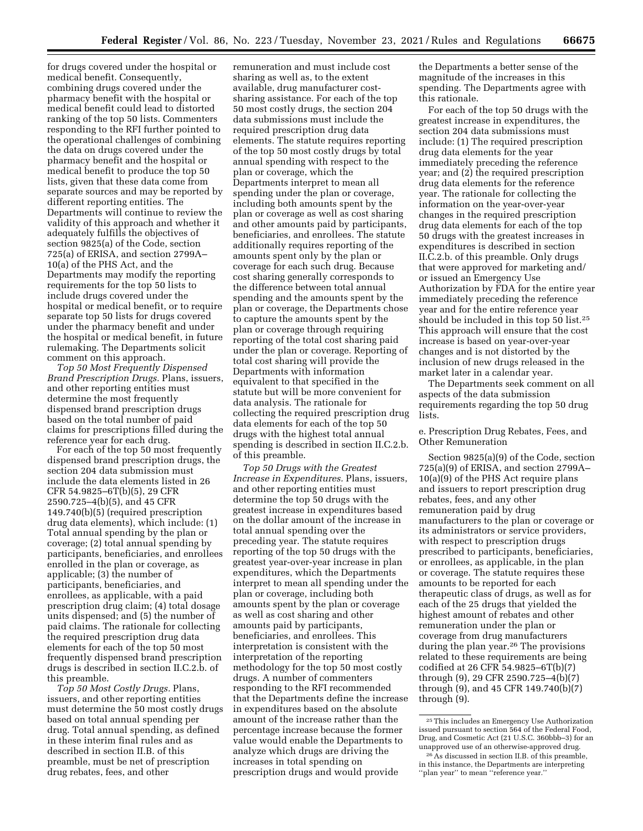for drugs covered under the hospital or medical benefit. Consequently, combining drugs covered under the pharmacy benefit with the hospital or medical benefit could lead to distorted ranking of the top 50 lists. Commenters responding to the RFI further pointed to the operational challenges of combining the data on drugs covered under the pharmacy benefit and the hospital or medical benefit to produce the top 50 lists, given that these data come from separate sources and may be reported by different reporting entities. The Departments will continue to review the validity of this approach and whether it adequately fulfills the objectives of section 9825(a) of the Code, section 725(a) of ERISA, and section 2799A– 10(a) of the PHS Act, and the Departments may modify the reporting requirements for the top 50 lists to include drugs covered under the hospital or medical benefit, or to require separate top 50 lists for drugs covered under the pharmacy benefit and under the hospital or medical benefit, in future rulemaking. The Departments solicit comment on this approach.

*Top 50 Most Frequently Dispensed Brand Prescription Drugs.* Plans, issuers, and other reporting entities must determine the most frequently dispensed brand prescription drugs based on the total number of paid claims for prescriptions filled during the reference year for each drug.

For each of the top 50 most frequently dispensed brand prescription drugs, the section 204 data submission must include the data elements listed in 26 CFR 54.9825–6T(b)(5), 29 CFR 2590.725–4(b)(5), and 45 CFR 149.740(b)(5) (required prescription drug data elements), which include: (1) Total annual spending by the plan or coverage; (2) total annual spending by participants, beneficiaries, and enrollees enrolled in the plan or coverage, as applicable; (3) the number of participants, beneficiaries, and enrollees, as applicable, with a paid prescription drug claim; (4) total dosage units dispensed; and (5) the number of paid claims. The rationale for collecting the required prescription drug data elements for each of the top 50 most frequently dispensed brand prescription drugs is described in section II.C.2.b. of this preamble.

*Top 50 Most Costly Drugs.* Plans, issuers, and other reporting entities must determine the 50 most costly drugs based on total annual spending per drug. Total annual spending, as defined in these interim final rules and as described in section II.B. of this preamble, must be net of prescription drug rebates, fees, and other

remuneration and must include cost sharing as well as, to the extent available, drug manufacturer costsharing assistance. For each of the top 50 most costly drugs, the section 204 data submissions must include the required prescription drug data elements. The statute requires reporting of the top 50 most costly drugs by total annual spending with respect to the plan or coverage, which the Departments interpret to mean all spending under the plan or coverage, including both amounts spent by the plan or coverage as well as cost sharing and other amounts paid by participants, beneficiaries, and enrollees. The statute additionally requires reporting of the amounts spent only by the plan or coverage for each such drug. Because cost sharing generally corresponds to the difference between total annual spending and the amounts spent by the plan or coverage, the Departments chose to capture the amounts spent by the plan or coverage through requiring reporting of the total cost sharing paid under the plan or coverage. Reporting of total cost sharing will provide the Departments with information equivalent to that specified in the statute but will be more convenient for data analysis. The rationale for collecting the required prescription drug data elements for each of the top 50 drugs with the highest total annual spending is described in section II.C.2.b. of this preamble.

*Top 50 Drugs with the Greatest Increase in Expenditures.* Plans, issuers, and other reporting entities must determine the top 50 drugs with the greatest increase in expenditures based on the dollar amount of the increase in total annual spending over the preceding year. The statute requires reporting of the top 50 drugs with the greatest year-over-year increase in plan expenditures, which the Departments interpret to mean all spending under the plan or coverage, including both amounts spent by the plan or coverage as well as cost sharing and other amounts paid by participants, beneficiaries, and enrollees. This interpretation is consistent with the interpretation of the reporting methodology for the top 50 most costly drugs. A number of commenters responding to the RFI recommended that the Departments define the increase in expenditures based on the absolute amount of the increase rather than the percentage increase because the former value would enable the Departments to analyze which drugs are driving the increases in total spending on prescription drugs and would provide

the Departments a better sense of the magnitude of the increases in this spending. The Departments agree with this rationale.

For each of the top 50 drugs with the greatest increase in expenditures, the section 204 data submissions must include: (1) The required prescription drug data elements for the year immediately preceding the reference year; and (2) the required prescription drug data elements for the reference year. The rationale for collecting the information on the year-over-year changes in the required prescription drug data elements for each of the top 50 drugs with the greatest increases in expenditures is described in section II.C.2.b. of this preamble. Only drugs that were approved for marketing and/ or issued an Emergency Use Authorization by FDA for the entire year immediately preceding the reference year and for the entire reference year should be included in this top 50 list.25 This approach will ensure that the cost increase is based on year-over-year changes and is not distorted by the inclusion of new drugs released in the market later in a calendar year.

The Departments seek comment on all aspects of the data submission requirements regarding the top 50 drug lists.

e. Prescription Drug Rebates, Fees, and Other Remuneration

Section 9825(a)(9) of the Code, section 725(a)(9) of ERISA, and section 2799A– 10(a)(9) of the PHS Act require plans and issuers to report prescription drug rebates, fees, and any other remuneration paid by drug manufacturers to the plan or coverage or its administrators or service providers, with respect to prescription drugs prescribed to participants, beneficiaries, or enrollees, as applicable, in the plan or coverage. The statute requires these amounts to be reported for each therapeutic class of drugs, as well as for each of the 25 drugs that yielded the highest amount of rebates and other remuneration under the plan or coverage from drug manufacturers during the plan year.26 The provisions related to these requirements are being codified at 26 CFR 54.9825–6T(b)(7) through (9), 29 CFR 2590.725–4(b)(7) through (9), and 45 CFR 149.740(b)(7) through (9).

<sup>25</sup>This includes an Emergency Use Authorization issued pursuant to section 564 of the Federal Food, Drug, and Cosmetic Act (21 U.S.C. 360bbb–3) for an unapproved use of an otherwise-approved drug.

<sup>26</sup>As discussed in section II.B. of this preamble, in this instance, the Departments are interpreting ''plan year'' to mean ''reference year.''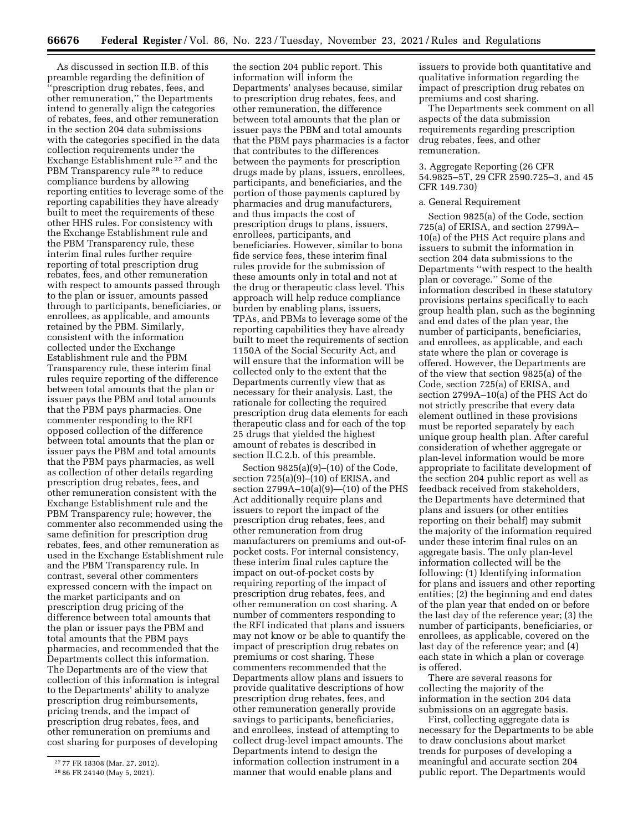As discussed in section II.B. of this preamble regarding the definition of prescription drug rebates, fees, and other remuneration,'' the Departments intend to generally align the categories of rebates, fees, and other remuneration in the section 204 data submissions with the categories specified in the data collection requirements under the Exchange Establishment rule 27 and the PBM Transparency rule<sup>28</sup> to reduce compliance burdens by allowing reporting entities to leverage some of the reporting capabilities they have already built to meet the requirements of these other HHS rules. For consistency with the Exchange Establishment rule and the PBM Transparency rule, these interim final rules further require reporting of total prescription drug rebates, fees, and other remuneration with respect to amounts passed through to the plan or issuer, amounts passed through to participants, beneficiaries, or enrollees, as applicable, and amounts retained by the PBM. Similarly, consistent with the information collected under the Exchange Establishment rule and the PBM Transparency rule, these interim final rules require reporting of the difference between total amounts that the plan or issuer pays the PBM and total amounts that the PBM pays pharmacies. One commenter responding to the RFI opposed collection of the difference between total amounts that the plan or issuer pays the PBM and total amounts that the PBM pays pharmacies, as well as collection of other details regarding prescription drug rebates, fees, and other remuneration consistent with the Exchange Establishment rule and the PBM Transparency rule; however, the commenter also recommended using the same definition for prescription drug rebates, fees, and other remuneration as used in the Exchange Establishment rule and the PBM Transparency rule. In contrast, several other commenters expressed concern with the impact on the market participants and on prescription drug pricing of the difference between total amounts that the plan or issuer pays the PBM and total amounts that the PBM pays pharmacies, and recommended that the Departments collect this information. The Departments are of the view that collection of this information is integral to the Departments' ability to analyze prescription drug reimbursements, pricing trends, and the impact of prescription drug rebates, fees, and other remuneration on premiums and cost sharing for purposes of developing

the section 204 public report. This information will inform the Departments' analyses because, similar to prescription drug rebates, fees, and other remuneration, the difference between total amounts that the plan or issuer pays the PBM and total amounts that the PBM pays pharmacies is a factor that contributes to the differences between the payments for prescription drugs made by plans, issuers, enrollees, participants, and beneficiaries, and the portion of those payments captured by pharmacies and drug manufacturers, and thus impacts the cost of prescription drugs to plans, issuers, enrollees, participants, and beneficiaries. However, similar to bona fide service fees, these interim final rules provide for the submission of these amounts only in total and not at the drug or therapeutic class level. This approach will help reduce compliance burden by enabling plans, issuers, TPAs, and PBMs to leverage some of the reporting capabilities they have already built to meet the requirements of section 1150A of the Social Security Act, and will ensure that the information will be collected only to the extent that the Departments currently view that as necessary for their analysis. Last, the rationale for collecting the required prescription drug data elements for each therapeutic class and for each of the top 25 drugs that yielded the highest amount of rebates is described in section II.C.2.b. of this preamble.

Section 9825(a)(9)–(10) of the Code, section 725(a)(9)–(10) of ERISA, and section 2799A–10(a)(9)—(10) of the PHS Act additionally require plans and issuers to report the impact of the prescription drug rebates, fees, and other remuneration from drug manufacturers on premiums and out-ofpocket costs. For internal consistency, these interim final rules capture the impact on out-of-pocket costs by requiring reporting of the impact of prescription drug rebates, fees, and other remuneration on cost sharing. A number of commenters responding to the RFI indicated that plans and issuers may not know or be able to quantify the impact of prescription drug rebates on premiums or cost sharing. These commenters recommended that the Departments allow plans and issuers to provide qualitative descriptions of how prescription drug rebates, fees, and other remuneration generally provide savings to participants, beneficiaries, and enrollees, instead of attempting to collect drug-level impact amounts. The Departments intend to design the information collection instrument in a manner that would enable plans and

issuers to provide both quantitative and qualitative information regarding the impact of prescription drug rebates on premiums and cost sharing.

The Departments seek comment on all aspects of the data submission requirements regarding prescription drug rebates, fees, and other remuneration.

## 3. Aggregate Reporting (26 CFR 54.9825–5T, 29 CFR 2590.725–3, and 45 CFR 149.730)

### a. General Requirement

Section 9825(a) of the Code, section 725(a) of ERISA, and section 2799A– 10(a) of the PHS Act require plans and issuers to submit the information in section 204 data submissions to the Departments ''with respect to the health plan or coverage.'' Some of the information described in these statutory provisions pertains specifically to each group health plan, such as the beginning and end dates of the plan year, the number of participants, beneficiaries, and enrollees, as applicable, and each state where the plan or coverage is offered. However, the Departments are of the view that section 9825(a) of the Code, section 725(a) of ERISA, and section 2799A–10(a) of the PHS Act do not strictly prescribe that every data element outlined in these provisions must be reported separately by each unique group health plan. After careful consideration of whether aggregate or plan-level information would be more appropriate to facilitate development of the section 204 public report as well as feedback received from stakeholders, the Departments have determined that plans and issuers (or other entities reporting on their behalf) may submit the majority of the information required under these interim final rules on an aggregate basis. The only plan-level information collected will be the following: (1) Identifying information for plans and issuers and other reporting entities; (2) the beginning and end dates of the plan year that ended on or before the last day of the reference year; (3) the number of participants, beneficiaries, or enrollees, as applicable, covered on the last day of the reference year; and (4) each state in which a plan or coverage is offered.

There are several reasons for collecting the majority of the information in the section 204 data submissions on an aggregate basis.

First, collecting aggregate data is necessary for the Departments to be able to draw conclusions about market trends for purposes of developing a meaningful and accurate section 204 public report. The Departments would

<sup>27</sup> 77 FR 18308 (Mar. 27, 2012).

<sup>28</sup> 86 FR 24140 (May 5, 2021).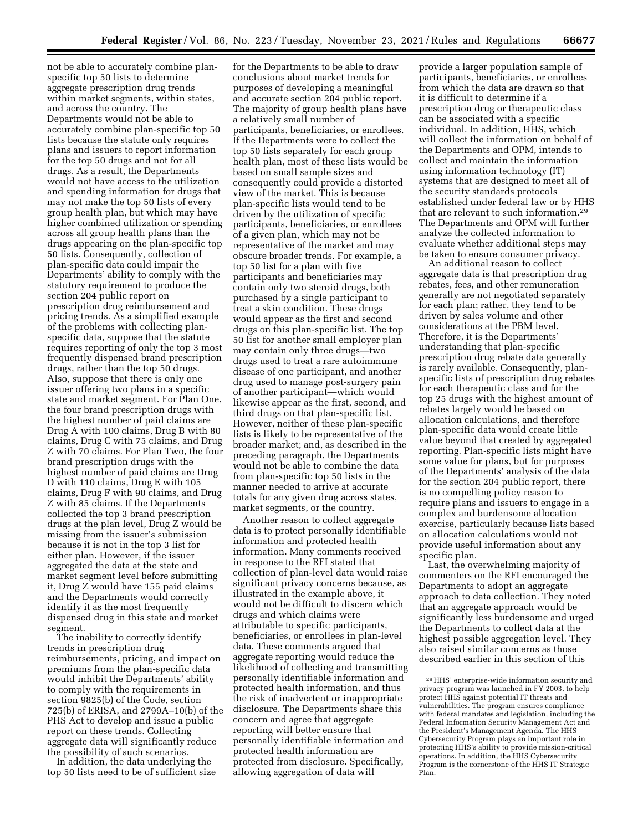not be able to accurately combine planspecific top 50 lists to determine aggregate prescription drug trends within market segments, within states, and across the country. The Departments would not be able to accurately combine plan-specific top 50 lists because the statute only requires plans and issuers to report information for the top 50 drugs and not for all drugs. As a result, the Departments would not have access to the utilization and spending information for drugs that may not make the top 50 lists of every group health plan, but which may have higher combined utilization or spending across all group health plans than the drugs appearing on the plan-specific top 50 lists. Consequently, collection of plan-specific data could impair the Departments' ability to comply with the statutory requirement to produce the section 204 public report on prescription drug reimbursement and pricing trends. As a simplified example of the problems with collecting planspecific data, suppose that the statute requires reporting of only the top 3 most frequently dispensed brand prescription drugs, rather than the top 50 drugs. Also, suppose that there is only one issuer offering two plans in a specific state and market segment. For Plan One, the four brand prescription drugs with the highest number of paid claims are Drug A with 100 claims, Drug B with 80 claims, Drug C with 75 claims, and Drug Z with 70 claims. For Plan Two, the four brand prescription drugs with the highest number of paid claims are Drug D with 110 claims, Drug E with 105 claims, Drug F with 90 claims, and Drug Z with 85 claims. If the Departments collected the top 3 brand prescription drugs at the plan level, Drug Z would be missing from the issuer's submission because it is not in the top 3 list for either plan. However, if the issuer aggregated the data at the state and market segment level before submitting it, Drug Z would have 155 paid claims and the Departments would correctly identify it as the most frequently dispensed drug in this state and market segment.

The inability to correctly identify trends in prescription drug reimbursements, pricing, and impact on premiums from the plan-specific data would inhibit the Departments' ability to comply with the requirements in section 9825(b) of the Code, section 725(b) of ERISA, and 2799A–10(b) of the PHS Act to develop and issue a public report on these trends. Collecting aggregate data will significantly reduce the possibility of such scenarios.

In addition, the data underlying the top 50 lists need to be of sufficient size

for the Departments to be able to draw conclusions about market trends for purposes of developing a meaningful and accurate section 204 public report. The majority of group health plans have a relatively small number of participants, beneficiaries, or enrollees. If the Departments were to collect the top 50 lists separately for each group health plan, most of these lists would be based on small sample sizes and consequently could provide a distorted view of the market. This is because plan-specific lists would tend to be driven by the utilization of specific participants, beneficiaries, or enrollees of a given plan, which may not be representative of the market and may obscure broader trends. For example, a top 50 list for a plan with five participants and beneficiaries may contain only two steroid drugs, both purchased by a single participant to treat a skin condition. These drugs would appear as the first and second drugs on this plan-specific list. The top 50 list for another small employer plan may contain only three drugs—two drugs used to treat a rare autoimmune disease of one participant, and another drug used to manage post-surgery pain of another participant—which would likewise appear as the first, second, and third drugs on that plan-specific list. However, neither of these plan-specific lists is likely to be representative of the broader market; and, as described in the preceding paragraph, the Departments would not be able to combine the data from plan-specific top 50 lists in the manner needed to arrive at accurate totals for any given drug across states, market segments, or the country.

Another reason to collect aggregate data is to protect personally identifiable information and protected health information. Many comments received in response to the RFI stated that collection of plan-level data would raise significant privacy concerns because, as illustrated in the example above, it would not be difficult to discern which drugs and which claims were attributable to specific participants, beneficiaries, or enrollees in plan-level data. These comments argued that aggregate reporting would reduce the likelihood of collecting and transmitting personally identifiable information and protected health information, and thus the risk of inadvertent or inappropriate disclosure. The Departments share this concern and agree that aggregate reporting will better ensure that personally identifiable information and protected health information are protected from disclosure. Specifically, allowing aggregation of data will

provide a larger population sample of participants, beneficiaries, or enrollees from which the data are drawn so that it is difficult to determine if a prescription drug or therapeutic class can be associated with a specific individual. In addition, HHS, which will collect the information on behalf of the Departments and OPM, intends to collect and maintain the information using information technology (IT) systems that are designed to meet all of the security standards protocols established under federal law or by HHS that are relevant to such information.29 The Departments and OPM will further analyze the collected information to evaluate whether additional steps may be taken to ensure consumer privacy.

An additional reason to collect aggregate data is that prescription drug rebates, fees, and other remuneration generally are not negotiated separately for each plan; rather, they tend to be driven by sales volume and other considerations at the PBM level. Therefore, it is the Departments' understanding that plan-specific prescription drug rebate data generally is rarely available. Consequently, planspecific lists of prescription drug rebates for each therapeutic class and for the top 25 drugs with the highest amount of rebates largely would be based on allocation calculations, and therefore plan-specific data would create little value beyond that created by aggregated reporting. Plan-specific lists might have some value for plans, but for purposes of the Departments' analysis of the data for the section 204 public report, there is no compelling policy reason to require plans and issuers to engage in a complex and burdensome allocation exercise, particularly because lists based on allocation calculations would not provide useful information about any specific plan.

Last, the overwhelming majority of commenters on the RFI encouraged the Departments to adopt an aggregate approach to data collection. They noted that an aggregate approach would be significantly less burdensome and urged the Departments to collect data at the highest possible aggregation level. They also raised similar concerns as those described earlier in this section of this

<sup>29</sup>HHS' enterprise-wide information security and privacy program was launched in FY 2003, to help protect HHS against potential IT threats and vulnerabilities. The program ensures compliance with federal mandates and legislation, including the Federal Information Security Management Act and the President's Management Agenda. The HHS Cybersecurity Program plays an important role in protecting HHS's ability to provide mission-critical operations. In addition, the HHS Cybersecurity Program is the cornerstone of the HHS IT Strategic Plan.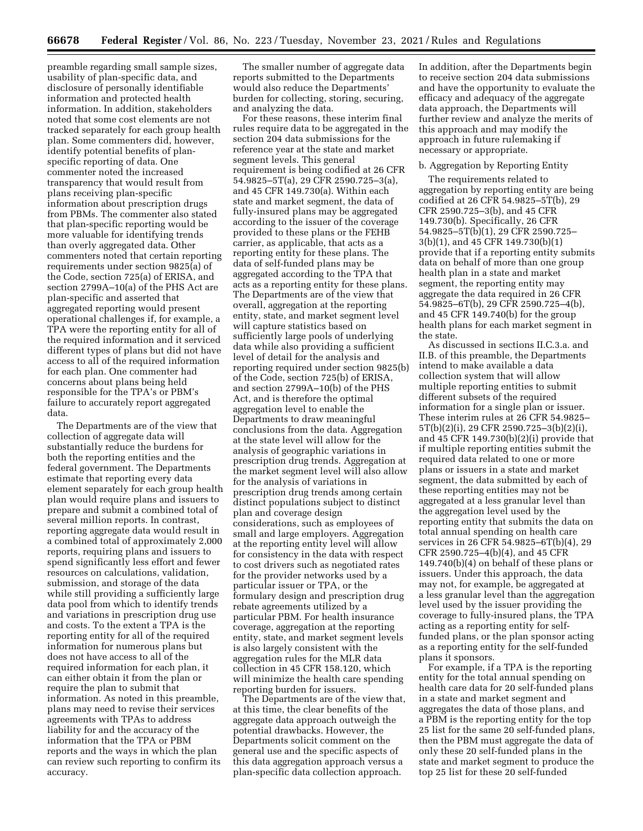preamble regarding small sample sizes, usability of plan-specific data, and disclosure of personally identifiable information and protected health information. In addition, stakeholders noted that some cost elements are not tracked separately for each group health plan. Some commenters did, however, identify potential benefits of planspecific reporting of data. One commenter noted the increased transparency that would result from plans receiving plan-specific information about prescription drugs from PBMs. The commenter also stated that plan-specific reporting would be more valuable for identifying trends than overly aggregated data. Other commenters noted that certain reporting requirements under section 9825(a) of the Code, section 725(a) of ERISA, and section 2799A–10(a) of the PHS Act are plan-specific and asserted that aggregated reporting would present operational challenges if, for example, a TPA were the reporting entity for all of the required information and it serviced different types of plans but did not have access to all of the required information for each plan. One commenter had concerns about plans being held responsible for the TPA's or PBM's failure to accurately report aggregated data.

The Departments are of the view that collection of aggregate data will substantially reduce the burdens for both the reporting entities and the federal government. The Departments estimate that reporting every data element separately for each group health plan would require plans and issuers to prepare and submit a combined total of several million reports. In contrast, reporting aggregate data would result in a combined total of approximately 2,000 reports, requiring plans and issuers to spend significantly less effort and fewer resources on calculations, validation, submission, and storage of the data while still providing a sufficiently large data pool from which to identify trends and variations in prescription drug use and costs. To the extent a TPA is the reporting entity for all of the required information for numerous plans but does not have access to all of the required information for each plan, it can either obtain it from the plan or require the plan to submit that information. As noted in this preamble, plans may need to revise their services agreements with TPAs to address liability for and the accuracy of the information that the TPA or PBM reports and the ways in which the plan can review such reporting to confirm its accuracy.

The smaller number of aggregate data reports submitted to the Departments would also reduce the Departments' burden for collecting, storing, securing, and analyzing the data.

For these reasons, these interim final rules require data to be aggregated in the section 204 data submissions for the reference year at the state and market segment levels. This general requirement is being codified at 26 CFR 54.9825–5T(a), 29 CFR 2590.725–3(a), and 45 CFR 149.730(a). Within each state and market segment, the data of fully-insured plans may be aggregated according to the issuer of the coverage provided to these plans or the FEHB carrier, as applicable, that acts as a reporting entity for these plans. The data of self-funded plans may be aggregated according to the TPA that acts as a reporting entity for these plans. The Departments are of the view that overall, aggregation at the reporting entity, state, and market segment level will capture statistics based on sufficiently large pools of underlying data while also providing a sufficient level of detail for the analysis and reporting required under section 9825(b) of the Code, section 725(b) of ERISA, and section 2799A–10(b) of the PHS Act, and is therefore the optimal aggregation level to enable the Departments to draw meaningful conclusions from the data. Aggregation at the state level will allow for the analysis of geographic variations in prescription drug trends. Aggregation at the market segment level will also allow for the analysis of variations in prescription drug trends among certain distinct populations subject to distinct plan and coverage design considerations, such as employees of small and large employers. Aggregation at the reporting entity level will allow for consistency in the data with respect to cost drivers such as negotiated rates for the provider networks used by a particular issuer or TPA, or the formulary design and prescription drug rebate agreements utilized by a particular PBM. For health insurance coverage, aggregation at the reporting entity, state, and market segment levels is also largely consistent with the aggregation rules for the MLR data collection in 45 CFR 158.120, which will minimize the health care spending reporting burden for issuers.

The Departments are of the view that, at this time, the clear benefits of the aggregate data approach outweigh the potential drawbacks. However, the Departments solicit comment on the general use and the specific aspects of this data aggregation approach versus a plan-specific data collection approach.

In addition, after the Departments begin to receive section 204 data submissions and have the opportunity to evaluate the efficacy and adequacy of the aggregate data approach, the Departments will further review and analyze the merits of this approach and may modify the approach in future rulemaking if necessary or appropriate.

## b. Aggregation by Reporting Entity

The requirements related to aggregation by reporting entity are being codified at 26 CFR 54.9825–5T(b), 29 CFR 2590.725–3(b), and 45 CFR 149.730(b). Specifically, 26 CFR 54.9825–5T(b)(1), 29 CFR 2590.725– 3(b)(1), and 45 CFR 149.730(b)(1) provide that if a reporting entity submits data on behalf of more than one group health plan in a state and market segment, the reporting entity may aggregate the data required in 26 CFR 54.9825–6T(b), 29 CFR 2590.725–4(b), and 45 CFR 149.740(b) for the group health plans for each market segment in the state.

As discussed in sections II.C.3.a. and II.B. of this preamble, the Departments intend to make available a data collection system that will allow multiple reporting entities to submit different subsets of the required information for a single plan or issuer. These interim rules at 26 CFR 54.9825– 5T(b)(2)(i), 29 CFR 2590.725–3(b)(2)(i), and 45 CFR 149.730(b)(2)(i) provide that if multiple reporting entities submit the required data related to one or more plans or issuers in a state and market segment, the data submitted by each of these reporting entities may not be aggregated at a less granular level than the aggregation level used by the reporting entity that submits the data on total annual spending on health care services in 26 CFR 54.9825–6T(b)(4), 29 CFR 2590.725–4(b)(4), and 45 CFR 149.740(b)(4) on behalf of these plans or issuers. Under this approach, the data may not, for example, be aggregated at a less granular level than the aggregation level used by the issuer providing the coverage to fully-insured plans, the TPA acting as a reporting entity for selffunded plans, or the plan sponsor acting as a reporting entity for the self-funded plans it sponsors.

For example, if a TPA is the reporting entity for the total annual spending on health care data for 20 self-funded plans in a state and market segment and aggregates the data of those plans, and a PBM is the reporting entity for the top 25 list for the same 20 self-funded plans, then the PBM must aggregate the data of only these 20 self-funded plans in the state and market segment to produce the top 25 list for these 20 self-funded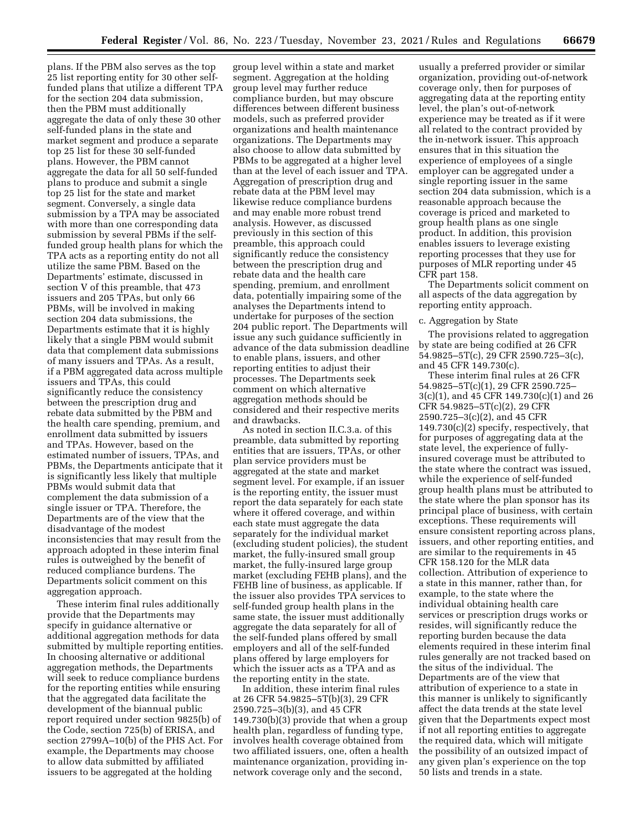plans. If the PBM also serves as the top 25 list reporting entity for 30 other selffunded plans that utilize a different TPA for the section 204 data submission, then the PBM must additionally aggregate the data of only these 30 other self-funded plans in the state and market segment and produce a separate top 25 list for these 30 self-funded plans. However, the PBM cannot aggregate the data for all 50 self-funded plans to produce and submit a single top 25 list for the state and market segment. Conversely, a single data submission by a TPA may be associated with more than one corresponding data submission by several PBMs if the selffunded group health plans for which the TPA acts as a reporting entity do not all utilize the same PBM. Based on the Departments' estimate, discussed in section V of this preamble, that 473 issuers and 205 TPAs, but only 66 PBMs, will be involved in making section 204 data submissions, the Departments estimate that it is highly likely that a single PBM would submit data that complement data submissions of many issuers and TPAs. As a result, if a PBM aggregated data across multiple issuers and TPAs, this could significantly reduce the consistency between the prescription drug and rebate data submitted by the PBM and the health care spending, premium, and enrollment data submitted by issuers and TPAs. However, based on the estimated number of issuers, TPAs, and PBMs, the Departments anticipate that it is significantly less likely that multiple PBMs would submit data that complement the data submission of a single issuer or TPA. Therefore, the Departments are of the view that the disadvantage of the modest inconsistencies that may result from the approach adopted in these interim final rules is outweighed by the benefit of reduced compliance burdens. The Departments solicit comment on this aggregation approach.

These interim final rules additionally provide that the Departments may specify in guidance alternative or additional aggregation methods for data submitted by multiple reporting entities. In choosing alternative or additional aggregation methods, the Departments will seek to reduce compliance burdens for the reporting entities while ensuring that the aggregated data facilitate the development of the biannual public report required under section 9825(b) of the Code, section 725(b) of ERISA, and section 2799A–10(b) of the PHS Act. For example, the Departments may choose to allow data submitted by affiliated issuers to be aggregated at the holding

group level within a state and market segment. Aggregation at the holding group level may further reduce compliance burden, but may obscure differences between different business models, such as preferred provider organizations and health maintenance organizations. The Departments may also choose to allow data submitted by PBMs to be aggregated at a higher level than at the level of each issuer and TPA. Aggregation of prescription drug and rebate data at the PBM level may likewise reduce compliance burdens and may enable more robust trend analysis. However, as discussed previously in this section of this preamble, this approach could significantly reduce the consistency between the prescription drug and rebate data and the health care spending, premium, and enrollment data, potentially impairing some of the analyses the Departments intend to undertake for purposes of the section 204 public report. The Departments will issue any such guidance sufficiently in advance of the data submission deadline to enable plans, issuers, and other reporting entities to adjust their processes. The Departments seek comment on which alternative aggregation methods should be considered and their respective merits and drawbacks.

As noted in section II.C.3.a. of this preamble, data submitted by reporting entities that are issuers, TPAs, or other plan service providers must be aggregated at the state and market segment level. For example, if an issuer is the reporting entity, the issuer must report the data separately for each state where it offered coverage, and within each state must aggregate the data separately for the individual market (excluding student policies), the student market, the fully-insured small group market, the fully-insured large group market (excluding FEHB plans), and the FEHB line of business, as applicable. If the issuer also provides TPA services to self-funded group health plans in the same state, the issuer must additionally aggregate the data separately for all of the self-funded plans offered by small employers and all of the self-funded plans offered by large employers for which the issuer acts as a TPA and as the reporting entity in the state.

In addition, these interim final rules at 26 CFR 54.9825–5T(b)(3), 29 CFR 2590.725–3(b)(3), and 45 CFR 149.730(b)(3) provide that when a group health plan, regardless of funding type, involves health coverage obtained from two affiliated issuers, one, often a health maintenance organization, providing innetwork coverage only and the second,

usually a preferred provider or similar organization, providing out-of-network coverage only, then for purposes of aggregating data at the reporting entity level, the plan's out-of-network experience may be treated as if it were all related to the contract provided by the in-network issuer. This approach ensures that in this situation the experience of employees of a single employer can be aggregated under a single reporting issuer in the same section 204 data submission, which is a reasonable approach because the coverage is priced and marketed to group health plans as one single product. In addition, this provision enables issuers to leverage existing reporting processes that they use for purposes of MLR reporting under 45 CFR part 158.

The Departments solicit comment on all aspects of the data aggregation by reporting entity approach.

### c. Aggregation by State

The provisions related to aggregation by state are being codified at 26 CFR 54.9825–5T(c), 29 CFR 2590.725–3(c), and 45 CFR 149.730(c).

These interim final rules at 26 CFR 54.9825–5T(c)(1), 29 CFR 2590.725– 3(c)(1), and 45 CFR 149.730(c)(1) and 26 CFR 54.9825–5T(c)(2), 29 CFR 2590.725–3(c)(2), and 45 CFR 149.730(c)(2) specify, respectively, that for purposes of aggregating data at the state level, the experience of fullyinsured coverage must be attributed to the state where the contract was issued, while the experience of self-funded group health plans must be attributed to the state where the plan sponsor has its principal place of business, with certain exceptions. These requirements will ensure consistent reporting across plans, issuers, and other reporting entities, and are similar to the requirements in 45 CFR 158.120 for the MLR data collection. Attribution of experience to a state in this manner, rather than, for example, to the state where the individual obtaining health care services or prescription drugs works or resides, will significantly reduce the reporting burden because the data elements required in these interim final rules generally are not tracked based on the situs of the individual. The Departments are of the view that attribution of experience to a state in this manner is unlikely to significantly affect the data trends at the state level given that the Departments expect most if not all reporting entities to aggregate the required data, which will mitigate the possibility of an outsized impact of any given plan's experience on the top 50 lists and trends in a state.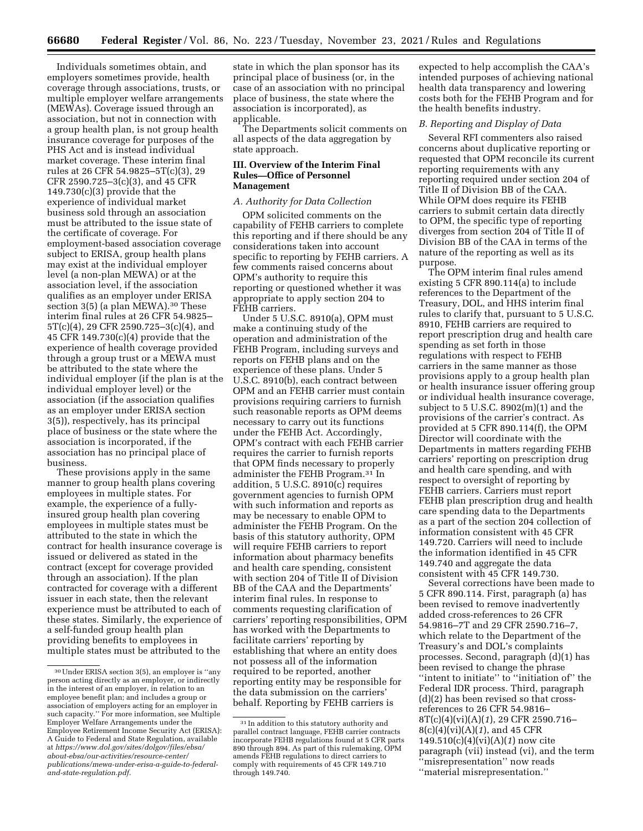Individuals sometimes obtain, and employers sometimes provide, health coverage through associations, trusts, or multiple employer welfare arrangements (MEWAs). Coverage issued through an association, but not in connection with a group health plan, is not group health insurance coverage for purposes of the PHS Act and is instead individual market coverage. These interim final rules at 26 CFR 54.9825–5T(c)(3), 29 CFR 2590.725–3(c)(3), and 45 CFR 149.730(c)(3) provide that the experience of individual market business sold through an association must be attributed to the issue state of the certificate of coverage. For employment-based association coverage subject to ERISA, group health plans may exist at the individual employer level (a non-plan MEWA) or at the association level, if the association qualifies as an employer under ERISA section 3(5) (a plan MEWA).30 These interim final rules at 26 CFR 54.9825– 5T(c)(4), 29 CFR 2590.725–3(c)(4), and 45 CFR 149.730(c)(4) provide that the experience of health coverage provided through a group trust or a MEWA must be attributed to the state where the individual employer (if the plan is at the individual employer level) or the association (if the association qualifies as an employer under ERISA section 3(5)), respectively, has its principal place of business or the state where the association is incorporated, if the association has no principal place of business.

These provisions apply in the same manner to group health plans covering employees in multiple states. For example, the experience of a fullyinsured group health plan covering employees in multiple states must be attributed to the state in which the contract for health insurance coverage is issued or delivered as stated in the contract (except for coverage provided through an association). If the plan contracted for coverage with a different issuer in each state, then the relevant experience must be attributed to each of these states. Similarly, the experience of a self-funded group health plan providing benefits to employees in multiple states must be attributed to the

state in which the plan sponsor has its principal place of business (or, in the case of an association with no principal place of business, the state where the association is incorporated), as applicable.

The Departments solicit comments on all aspects of the data aggregation by state approach.

## **III. Overview of the Interim Final Rules—Office of Personnel Management**

## *A. Authority for Data Collection*

OPM solicited comments on the capability of FEHB carriers to complete this reporting and if there should be any considerations taken into account specific to reporting by FEHB carriers. A few comments raised concerns about OPM's authority to require this reporting or questioned whether it was appropriate to apply section 204 to FEHB carriers.

Under 5 U.S.C. 8910(a), OPM must make a continuing study of the operation and administration of the FEHB Program, including surveys and reports on FEHB plans and on the experience of these plans. Under 5 U.S.C. 8910(b), each contract between OPM and an FEHB carrier must contain provisions requiring carriers to furnish such reasonable reports as OPM deems necessary to carry out its functions under the FEHB Act. Accordingly, OPM's contract with each FEHB carrier requires the carrier to furnish reports that OPM finds necessary to properly administer the FEHB Program.31 In addition, 5 U.S.C. 8910(c) requires government agencies to furnish OPM with such information and reports as may be necessary to enable OPM to administer the FEHB Program. On the basis of this statutory authority, OPM will require FEHB carriers to report information about pharmacy benefits and health care spending, consistent with section 204 of Title II of Division BB of the CAA and the Departments' interim final rules. In response to comments requesting clarification of carriers' reporting responsibilities, OPM has worked with the Departments to facilitate carriers' reporting by establishing that where an entity does not possess all of the information required to be reported, another reporting entity may be responsible for the data submission on the carriers' behalf. Reporting by FEHB carriers is

expected to help accomplish the CAA's intended purposes of achieving national health data transparency and lowering costs both for the FEHB Program and for the health benefits industry.

# *B. Reporting and Display of Data*

Several RFI commenters also raised concerns about duplicative reporting or requested that OPM reconcile its current reporting requirements with any reporting required under section 204 of Title II of Division BB of the CAA. While OPM does require its FEHB carriers to submit certain data directly to OPM, the specific type of reporting diverges from section 204 of Title II of Division BB of the CAA in terms of the nature of the reporting as well as its purpose.

The OPM interim final rules amend existing 5 CFR 890.114(a) to include references to the Department of the Treasury, DOL, and HHS interim final rules to clarify that, pursuant to 5 U.S.C. 8910, FEHB carriers are required to report prescription drug and health care spending as set forth in those regulations with respect to FEHB carriers in the same manner as those provisions apply to a group health plan or health insurance issuer offering group or individual health insurance coverage, subject to 5 U.S.C.  $8902(m)(1)$  and the provisions of the carrier's contract. As provided at 5 CFR 890.114(f), the OPM Director will coordinate with the Departments in matters regarding FEHB carriers' reporting on prescription drug and health care spending, and with respect to oversight of reporting by FEHB carriers. Carriers must report FEHB plan prescription drug and health care spending data to the Departments as a part of the section 204 collection of information consistent with 45 CFR 149.720. Carriers will need to include the information identified in 45 CFR 149.740 and aggregate the data consistent with 45 CFR 149.730.

Several corrections have been made to 5 CFR 890.114. First, paragraph (a) has been revised to remove inadvertently added cross-references to 26 CFR 54.9816–7T and 29 CFR 2590.716–7, which relate to the Department of the Treasury's and DOL's complaints processes. Second, paragraph (d)(1) has been revised to change the phrase ''intent to initiate'' to ''initiation of'' the Federal IDR process. Third, paragraph (d)(2) has been revised so that crossreferences to 26 CFR 54.9816– 8T(c)(4)(vi)(A)(*1*), 29 CFR 2590.716– 8(c)(4)(vi)(A)(*1*), and 45 CFR 149.510(c)(4)(vi)(A)(*1*) now cite paragraph (vii) instead (vi), and the term ''misrepresentation'' now reads ''material misrepresentation.''

<sup>30</sup>Under ERISA section 3(5), an employer is ''any person acting directly as an employer, or indirectly in the interest of an employer, in relation to an employee benefit plan; and includes a group or association of employers acting for an employer in such capacity.'' For more information, see Multiple Employer Welfare Arrangements under the Employee Retirement Income Security Act (ERISA): A Guide to Federal and State Regulation, available at *[https://www.dol.gov/sites/dolgov/files/ebsa/](https://www.dol.gov/sites/dolgov/files/ebsa/about-ebsa/our-activities/resource-center/publications/mewa-under-erisa-a-guide-to-federal-and-state-regulation.pdf)  [about-ebsa/our-activities/resource-center/](https://www.dol.gov/sites/dolgov/files/ebsa/about-ebsa/our-activities/resource-center/publications/mewa-under-erisa-a-guide-to-federal-and-state-regulation.pdf)  [publications/mewa-under-erisa-a-guide-to-federal](https://www.dol.gov/sites/dolgov/files/ebsa/about-ebsa/our-activities/resource-center/publications/mewa-under-erisa-a-guide-to-federal-and-state-regulation.pdf)[and-state-regulation.pdf.](https://www.dol.gov/sites/dolgov/files/ebsa/about-ebsa/our-activities/resource-center/publications/mewa-under-erisa-a-guide-to-federal-and-state-regulation.pdf)* 

<sup>31</sup> In addition to this statutory authority and parallel contract language, FEHB carrier contracts incorporate FEHB regulations found at 5 CFR parts 890 through 894. As part of this rulemaking, OPM amends FEHB regulations to direct carriers to comply with requirements of 45 CFR 149.710 through 149.740.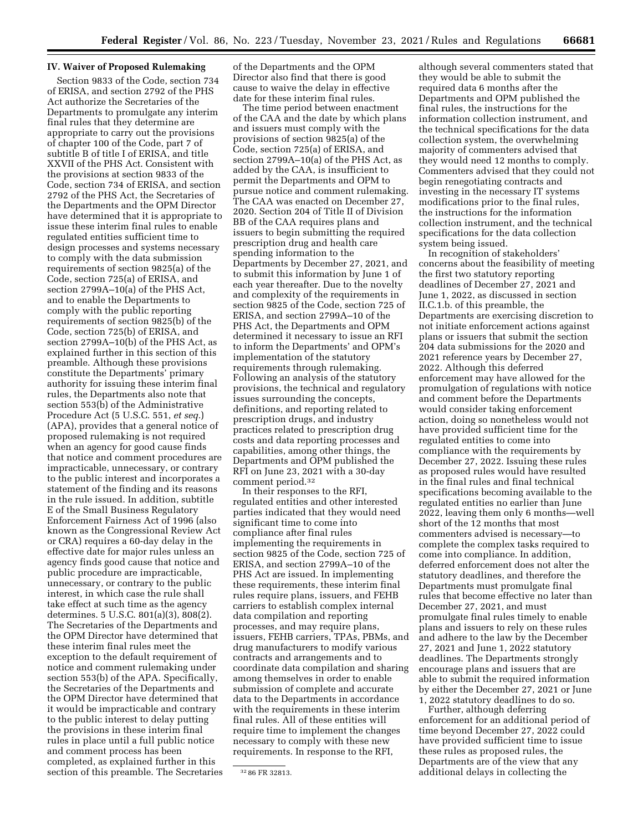### **IV. Waiver of Proposed Rulemaking**

Section 9833 of the Code, section 734 of ERISA, and section 2792 of the PHS Act authorize the Secretaries of the Departments to promulgate any interim final rules that they determine are appropriate to carry out the provisions of chapter 100 of the Code, part 7 of subtitle B of title I of ERISA, and title XXVII of the PHS Act. Consistent with the provisions at section 9833 of the Code, section 734 of ERISA, and section 2792 of the PHS Act, the Secretaries of the Departments and the OPM Director have determined that it is appropriate to issue these interim final rules to enable regulated entities sufficient time to design processes and systems necessary to comply with the data submission requirements of section 9825(a) of the Code, section 725(a) of ERISA, and section 2799A–10(a) of the PHS Act, and to enable the Departments to comply with the public reporting requirements of section 9825(b) of the Code, section 725(b) of ERISA, and section 2799A–10(b) of the PHS Act, as explained further in this section of this preamble. Although these provisions constitute the Departments' primary authority for issuing these interim final rules, the Departments also note that section 553(b) of the Administrative Procedure Act (5 U.S.C. 551, *et seq.*) (APA), provides that a general notice of proposed rulemaking is not required when an agency for good cause finds that notice and comment procedures are impracticable, unnecessary, or contrary to the public interest and incorporates a statement of the finding and its reasons in the rule issued. In addition, subtitle E of the Small Business Regulatory Enforcement Fairness Act of 1996 (also known as the Congressional Review Act or CRA) requires a 60-day delay in the effective date for major rules unless an agency finds good cause that notice and public procedure are impracticable, unnecessary, or contrary to the public interest, in which case the rule shall take effect at such time as the agency determines. 5 U.S.C. 801(a)(3), 808(2). The Secretaries of the Departments and the OPM Director have determined that these interim final rules meet the exception to the default requirement of notice and comment rulemaking under section 553(b) of the APA. Specifically, the Secretaries of the Departments and the OPM Director have determined that it would be impracticable and contrary to the public interest to delay putting the provisions in these interim final rules in place until a full public notice and comment process has been completed, as explained further in this section of this preamble. The Secretaries of the Departments and the OPM Director also find that there is good cause to waive the delay in effective date for these interim final rules.

The time period between enactment of the CAA and the date by which plans and issuers must comply with the provisions of section 9825(a) of the Code, section 725(a) of ERISA, and section 2799A–10(a) of the PHS Act, as added by the CAA, is insufficient to permit the Departments and OPM to pursue notice and comment rulemaking. The CAA was enacted on December 27, 2020. Section 204 of Title II of Division BB of the CAA requires plans and issuers to begin submitting the required prescription drug and health care spending information to the Departments by December 27, 2021, and to submit this information by June 1 of each year thereafter. Due to the novelty and complexity of the requirements in section 9825 of the Code, section 725 of ERISA, and section 2799A–10 of the PHS Act, the Departments and OPM determined it necessary to issue an RFI to inform the Departments' and OPM's implementation of the statutory requirements through rulemaking. Following an analysis of the statutory provisions, the technical and regulatory issues surrounding the concepts, definitions, and reporting related to prescription drugs, and industry practices related to prescription drug costs and data reporting processes and capabilities, among other things, the Departments and OPM published the RFI on June 23, 2021 with a 30-day comment period.32

In their responses to the RFI, regulated entities and other interested parties indicated that they would need significant time to come into compliance after final rules implementing the requirements in section 9825 of the Code, section 725 of ERISA, and section 2799A–10 of the PHS Act are issued. In implementing these requirements, these interim final rules require plans, issuers, and FEHB carriers to establish complex internal data compilation and reporting processes, and may require plans, issuers, FEHB carriers, TPAs, PBMs, and drug manufacturers to modify various contracts and arrangements and to coordinate data compilation and sharing among themselves in order to enable submission of complete and accurate data to the Departments in accordance with the requirements in these interim final rules. All of these entities will require time to implement the changes necessary to comply with these new requirements. In response to the RFI,

although several commenters stated that they would be able to submit the required data 6 months after the Departments and OPM published the final rules, the instructions for the information collection instrument, and the technical specifications for the data collection system, the overwhelming majority of commenters advised that they would need 12 months to comply. Commenters advised that they could not begin renegotiating contracts and investing in the necessary IT systems modifications prior to the final rules, the instructions for the information collection instrument, and the technical specifications for the data collection system being issued.

In recognition of stakeholders' concerns about the feasibility of meeting the first two statutory reporting deadlines of December 27, 2021 and June 1, 2022, as discussed in section II.C.1.b. of this preamble, the Departments are exercising discretion to not initiate enforcement actions against plans or issuers that submit the section 204 data submissions for the 2020 and 2021 reference years by December 27, 2022. Although this deferred enforcement may have allowed for the promulgation of regulations with notice and comment before the Departments would consider taking enforcement action, doing so nonetheless would not have provided sufficient time for the regulated entities to come into compliance with the requirements by December 27, 2022. Issuing these rules as proposed rules would have resulted in the final rules and final technical specifications becoming available to the regulated entities no earlier than June 2022, leaving them only 6 months—well short of the 12 months that most commenters advised is necessary—to complete the complex tasks required to come into compliance. In addition, deferred enforcement does not alter the statutory deadlines, and therefore the Departments must promulgate final rules that become effective no later than December 27, 2021, and must promulgate final rules timely to enable plans and issuers to rely on these rules and adhere to the law by the December 27, 2021 and June 1, 2022 statutory deadlines. The Departments strongly encourage plans and issuers that are able to submit the required information by either the December 27, 2021 or June 1, 2022 statutory deadlines to do so.

Further, although deferring enforcement for an additional period of time beyond December 27, 2022 could have provided sufficient time to issue these rules as proposed rules, the Departments are of the view that any additional delays in collecting the

<sup>32</sup> 86 FR 32813.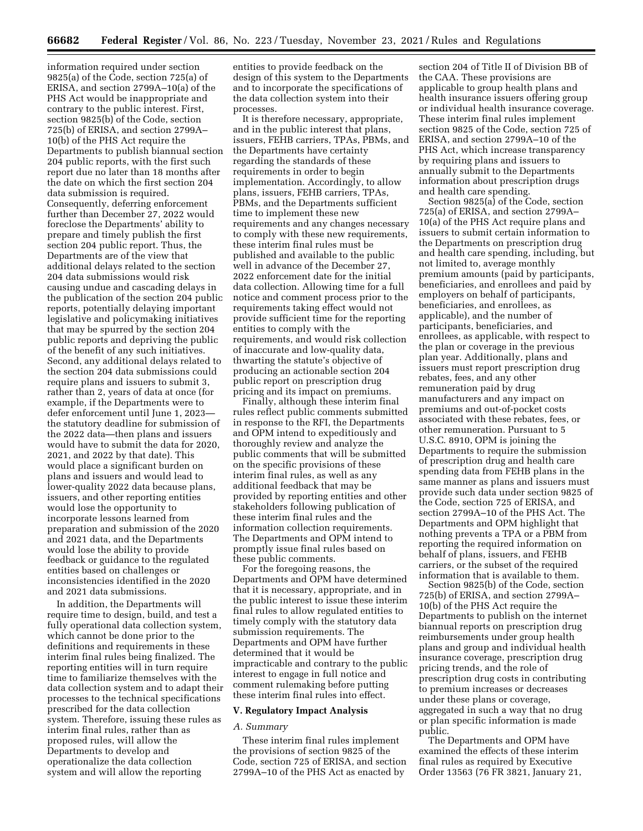information required under section 9825(a) of the Code, section 725(a) of ERISA, and section 2799A–10(a) of the PHS Act would be inappropriate and contrary to the public interest. First, section 9825(b) of the Code, section 725(b) of ERISA, and section 2799A– 10(b) of the PHS Act require the Departments to publish biannual section 204 public reports, with the first such report due no later than 18 months after the date on which the first section 204 data submission is required. Consequently, deferring enforcement further than December 27, 2022 would foreclose the Departments' ability to prepare and timely publish the first section 204 public report. Thus, the Departments are of the view that additional delays related to the section 204 data submissions would risk causing undue and cascading delays in the publication of the section 204 public reports, potentially delaying important legislative and policymaking initiatives that may be spurred by the section 204 public reports and depriving the public of the benefit of any such initiatives. Second, any additional delays related to the section 204 data submissions could require plans and issuers to submit 3, rather than 2, years of data at once (for example, if the Departments were to defer enforcement until June 1, 2023 the statutory deadline for submission of the 2022 data—then plans and issuers would have to submit the data for 2020, 2021, and 2022 by that date). This would place a significant burden on plans and issuers and would lead to lower-quality 2022 data because plans, issuers, and other reporting entities would lose the opportunity to incorporate lessons learned from preparation and submission of the 2020 and 2021 data, and the Departments would lose the ability to provide feedback or guidance to the regulated entities based on challenges or inconsistencies identified in the 2020 and 2021 data submissions.

In addition, the Departments will require time to design, build, and test a fully operational data collection system, which cannot be done prior to the definitions and requirements in these interim final rules being finalized. The reporting entities will in turn require time to familiarize themselves with the data collection system and to adapt their processes to the technical specifications prescribed for the data collection system. Therefore, issuing these rules as interim final rules, rather than as proposed rules, will allow the Departments to develop and operationalize the data collection system and will allow the reporting

entities to provide feedback on the design of this system to the Departments and to incorporate the specifications of the data collection system into their processes.

It is therefore necessary, appropriate, and in the public interest that plans, issuers, FEHB carriers, TPAs, PBMs, and the Departments have certainty regarding the standards of these requirements in order to begin implementation. Accordingly, to allow plans, issuers, FEHB carriers, TPAs, PBMs, and the Departments sufficient time to implement these new requirements and any changes necessary to comply with these new requirements, these interim final rules must be published and available to the public well in advance of the December 27, 2022 enforcement date for the initial data collection. Allowing time for a full notice and comment process prior to the requirements taking effect would not provide sufficient time for the reporting entities to comply with the requirements, and would risk collection of inaccurate and low-quality data, thwarting the statute's objective of producing an actionable section 204 public report on prescription drug pricing and its impact on premiums.

Finally, although these interim final rules reflect public comments submitted in response to the RFI, the Departments and OPM intend to expeditiously and thoroughly review and analyze the public comments that will be submitted on the specific provisions of these interim final rules, as well as any additional feedback that may be provided by reporting entities and other stakeholders following publication of these interim final rules and the information collection requirements. The Departments and OPM intend to promptly issue final rules based on these public comments.

For the foregoing reasons, the Departments and OPM have determined that it is necessary, appropriate, and in the public interest to issue these interim final rules to allow regulated entities to timely comply with the statutory data submission requirements. The Departments and OPM have further determined that it would be impracticable and contrary to the public interest to engage in full notice and comment rulemaking before putting these interim final rules into effect.

### **V. Regulatory Impact Analysis**

### *A. Summary*

These interim final rules implement the provisions of section 9825 of the Code, section 725 of ERISA, and section 2799A–10 of the PHS Act as enacted by

section 204 of Title II of Division BB of the CAA. These provisions are applicable to group health plans and health insurance issuers offering group or individual health insurance coverage. These interim final rules implement section 9825 of the Code, section 725 of ERISA, and section 2799A–10 of the PHS Act, which increase transparency by requiring plans and issuers to annually submit to the Departments information about prescription drugs and health care spending.

Section 9825(a) of the Code, section 725(a) of ERISA, and section 2799A– 10(a) of the PHS Act require plans and issuers to submit certain information to the Departments on prescription drug and health care spending, including, but not limited to, average monthly premium amounts (paid by participants, beneficiaries, and enrollees and paid by employers on behalf of participants, beneficiaries, and enrollees, as applicable), and the number of participants, beneficiaries, and enrollees, as applicable, with respect to the plan or coverage in the previous plan year. Additionally, plans and issuers must report prescription drug rebates, fees, and any other remuneration paid by drug manufacturers and any impact on premiums and out-of-pocket costs associated with these rebates, fees, or other remuneration. Pursuant to 5 U.S.C. 8910, OPM is joining the Departments to require the submission of prescription drug and health care spending data from FEHB plans in the same manner as plans and issuers must provide such data under section 9825 of the Code, section 725 of ERISA, and section 2799A–10 of the PHS Act. The Departments and OPM highlight that nothing prevents a TPA or a PBM from reporting the required information on behalf of plans, issuers, and FEHB carriers, or the subset of the required information that is available to them.

Section 9825(b) of the Code, section 725(b) of ERISA, and section 2799A– 10(b) of the PHS Act require the Departments to publish on the internet biannual reports on prescription drug reimbursements under group health plans and group and individual health insurance coverage, prescription drug pricing trends, and the role of prescription drug costs in contributing to premium increases or decreases under these plans or coverage, aggregated in such a way that no drug or plan specific information is made public.

The Departments and OPM have examined the effects of these interim final rules as required by Executive Order 13563 (76 FR 3821, January 21,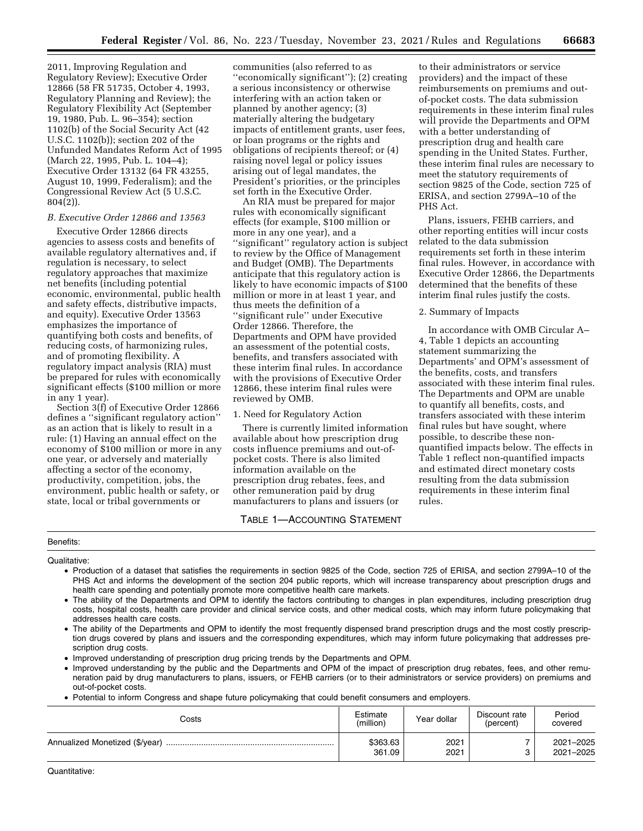2011, Improving Regulation and Regulatory Review); Executive Order 12866 (58 FR 51735, October 4, 1993, Regulatory Planning and Review); the Regulatory Flexibility Act (September 19, 1980, Pub. L. 96–354); section 1102(b) of the Social Security Act (42 U.S.C. 1102(b)); section 202 of the Unfunded Mandates Reform Act of 1995 (March 22, 1995, Pub. L. 104–4); Executive Order 13132 (64 FR 43255, August 10, 1999, Federalism); and the Congressional Review Act (5 U.S.C. 804(2)).

## *B. Executive Order 12866 and 13563*

Executive Order 12866 directs agencies to assess costs and benefits of available regulatory alternatives and, if regulation is necessary, to select regulatory approaches that maximize net benefits (including potential economic, environmental, public health and safety effects, distributive impacts, and equity). Executive Order 13563 emphasizes the importance of quantifying both costs and benefits, of reducing costs, of harmonizing rules, and of promoting flexibility. A regulatory impact analysis (RIA) must be prepared for rules with economically significant effects (\$100 million or more in any 1 year).

Section 3(f) of Executive Order 12866 defines a ''significant regulatory action'' as an action that is likely to result in a rule: (1) Having an annual effect on the economy of \$100 million or more in any one year, or adversely and materially affecting a sector of the economy, productivity, competition, jobs, the environment, public health or safety, or state, local or tribal governments or

communities (also referred to as ''economically significant''); (2) creating a serious inconsistency or otherwise interfering with an action taken or planned by another agency; (3) materially altering the budgetary impacts of entitlement grants, user fees, or loan programs or the rights and obligations of recipients thereof; or (4) raising novel legal or policy issues arising out of legal mandates, the President's priorities, or the principles set forth in the Executive Order.

An RIA must be prepared for major rules with economically significant effects (for example, \$100 million or more in any one year), and a ''significant'' regulatory action is subject to review by the Office of Management and Budget (OMB). The Departments anticipate that this regulatory action is likely to have economic impacts of \$100 million or more in at least 1 year, and thus meets the definition of a ''significant rule'' under Executive Order 12866. Therefore, the Departments and OPM have provided an assessment of the potential costs, benefits, and transfers associated with these interim final rules. In accordance with the provisions of Executive Order 12866, these interim final rules were reviewed by OMB.

# 1. Need for Regulatory Action

There is currently limited information available about how prescription drug costs influence premiums and out-ofpocket costs. There is also limited information available on the prescription drug rebates, fees, and other remuneration paid by drug manufacturers to plans and issuers (or

# TABLE 1—ACCOUNTING STATEMENT

to their administrators or service providers) and the impact of these reimbursements on premiums and outof-pocket costs. The data submission requirements in these interim final rules will provide the Departments and OPM with a better understanding of prescription drug and health care spending in the United States. Further, these interim final rules are necessary to meet the statutory requirements of section 9825 of the Code, section 725 of ERISA, and section 2799A–10 of the PHS Act.

Plans, issuers, FEHB carriers, and other reporting entities will incur costs related to the data submission requirements set forth in these interim final rules. However, in accordance with Executive Order 12866, the Departments determined that the benefits of these interim final rules justify the costs.

# 2. Summary of Impacts

In accordance with OMB Circular A– 4, Table 1 depicts an accounting statement summarizing the Departments' and OPM's assessment of the benefits, costs, and transfers associated with these interim final rules. The Departments and OPM are unable to quantify all benefits, costs, and transfers associated with these interim final rules but have sought, where possible, to describe these nonquantified impacts below. The effects in Table 1 reflect non-quantified impacts and estimated direct monetary costs resulting from the data submission requirements in these interim final rules.

# Benefits:

Qualitative:

- Production of a dataset that satisfies the requirements in section 9825 of the Code, section 725 of ERISA, and section 2799A–10 of the PHS Act and informs the development of the section 204 public reports, which will increase transparency about prescription drugs and health care spending and potentially promote more competitive health care markets.
- The ability of the Departments and OPM to identify the factors contributing to changes in plan expenditures, including prescription drug costs, hospital costs, health care provider and clinical service costs, and other medical costs, which may inform future policymaking that addresses health care costs.
- The ability of the Departments and OPM to identify the most frequently dispensed brand prescription drugs and the most costly prescription drugs covered by plans and issuers and the corresponding expenditures, which may inform future policymaking that addresses prescription drug costs.
- Improved understanding of prescription drug pricing trends by the Departments and OPM.
- Improved understanding by the public and the Departments and OPM of the impact of prescription drug rebates, fees, and other remuneration paid by drug manufacturers to plans, issuers, or FEHB carriers (or to their administrators or service providers) on premiums and out-of-pocket costs.
- Potential to inform Congress and shape future policymaking that could benefit consumers and employers.

| Costs | Estimate<br>(million) | Year dollar  | Discount rate<br>(percent) | Period<br>covered      |
|-------|-----------------------|--------------|----------------------------|------------------------|
|       | \$363.63<br>361.09    | 2021<br>2021 |                            | 2021-2025<br>2021-2025 |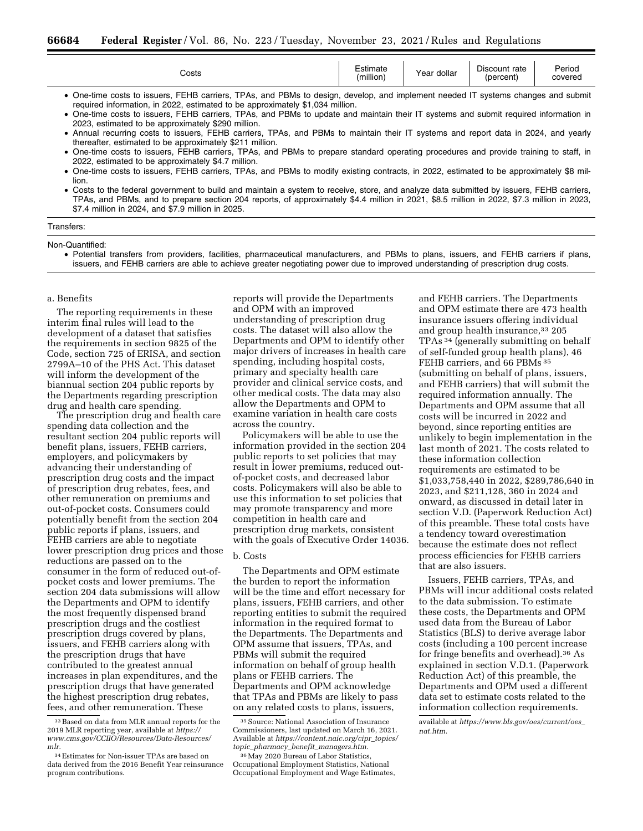| Costs                                                                                                                                                                                                                                                                                                                                                                                                           | Estimate<br>(million) | Year dollar | Discount rate<br>(percent) | Period<br>covered |
|-----------------------------------------------------------------------------------------------------------------------------------------------------------------------------------------------------------------------------------------------------------------------------------------------------------------------------------------------------------------------------------------------------------------|-----------------------|-------------|----------------------------|-------------------|
| • One-time costs to issuers, FEHB carriers, TPAs, and PBMs to design, develop, and implement needed IT systems changes and submit<br>required information, in 2022, estimated to be approximately \$1,034 million.<br>One-time costs to issuers, FEHB carriers, TPAs, and PBMs to update and maintain their IT systems and submit required information in<br>2023, estimated to be approximately \$290 million. |                       |             |                            |                   |

• Annual recurring costs to issuers, FEHB carriers, TPAs, and PBMs to maintain their IT systems and report data in 2024, and yearly thereafter, estimated to be approximately \$211 million.

• One-time costs to issuers, FEHB carriers, TPAs, and PBMs to prepare standard operating procedures and provide training to staff, in 2022, estimated to be approximately \$4.7 million.

• One-time costs to issuers, FEHB carriers, TPAs, and PBMs to modify existing contracts, in 2022, estimated to be approximately \$8 million.

• Costs to the federal government to build and maintain a system to receive, store, and analyze data submitted by issuers, FEHB carriers, TPAs, and PBMs, and to prepare section 204 reports, of approximately \$4.4 million in 2021, \$8.5 million in 2022, \$7.3 million in 2023, \$7.4 million in 2024, and \$7.9 million in 2025.

### Transfers:

Non-Quantified:

• Potential transfers from providers, facilities, pharmaceutical manufacturers, and PBMs to plans, issuers, and FEHB carriers if plans, issuers, and FEHB carriers are able to achieve greater negotiating power due to improved understanding of prescription drug costs.

### a. Benefits

The reporting requirements in these interim final rules will lead to the development of a dataset that satisfies the requirements in section 9825 of the Code, section 725 of ERISA, and section 2799A–10 of the PHS Act. This dataset will inform the development of the biannual section 204 public reports by the Departments regarding prescription drug and health care spending.

The prescription drug and health care spending data collection and the resultant section 204 public reports will benefit plans, issuers, FEHB carriers, employers, and policymakers by advancing their understanding of prescription drug costs and the impact of prescription drug rebates, fees, and other remuneration on premiums and out-of-pocket costs. Consumers could potentially benefit from the section 204 public reports if plans, issuers, and FEHB carriers are able to negotiate lower prescription drug prices and those reductions are passed on to the consumer in the form of reduced out-ofpocket costs and lower premiums. The section 204 data submissions will allow the Departments and OPM to identify the most frequently dispensed brand prescription drugs and the costliest prescription drugs covered by plans, issuers, and FEHB carriers along with the prescription drugs that have contributed to the greatest annual increases in plan expenditures, and the prescription drugs that have generated the highest prescription drug rebates, fees, and other remuneration. These

33Based on data from MLR annual reports for the 2019 MLR reporting year, available at *[https://](https://www.cms.gov/CCIIO/Resources/Data-Resources/mlr) [www.cms.gov/CCIIO/Resources/Data-Resources/](https://www.cms.gov/CCIIO/Resources/Data-Resources/mlr) [mlr.](https://www.cms.gov/CCIIO/Resources/Data-Resources/mlr)* 

reports will provide the Departments and OPM with an improved understanding of prescription drug costs. The dataset will also allow the Departments and OPM to identify other major drivers of increases in health care spending, including hospital costs, primary and specialty health care provider and clinical service costs, and other medical costs. The data may also allow the Departments and OPM to examine variation in health care costs across the country.

Policymakers will be able to use the information provided in the section 204 public reports to set policies that may result in lower premiums, reduced outof-pocket costs, and decreased labor costs. Policymakers will also be able to use this information to set policies that may promote transparency and more competition in health care and prescription drug markets, consistent with the goals of Executive Order 14036.

### b. Costs

The Departments and OPM estimate the burden to report the information will be the time and effort necessary for plans, issuers, FEHB carriers, and other reporting entities to submit the required information in the required format to the Departments. The Departments and OPM assume that issuers, TPAs, and PBMs will submit the required information on behalf of group health plans or FEHB carriers. The Departments and OPM acknowledge that TPAs and PBMs are likely to pass on any related costs to plans, issuers,

and FEHB carriers. The Departments and OPM estimate there are 473 health insurance issuers offering individual and group health insurance,33 205 TPAs 34 (generally submitting on behalf of self-funded group health plans), 46 FEHB carriers, and 66 PBMs 35 (submitting on behalf of plans, issuers, and FEHB carriers) that will submit the required information annually. The Departments and OPM assume that all costs will be incurred in 2022 and beyond, since reporting entities are unlikely to begin implementation in the last month of 2021. The costs related to these information collection requirements are estimated to be \$1,033,758,440 in 2022, \$289,786,640 in 2023, and \$211,128, 360 in 2024 and onward, as discussed in detail later in section V.D. (Paperwork Reduction Act) of this preamble. These total costs have a tendency toward overestimation because the estimate does not reflect process efficiencies for FEHB carriers that are also issuers.

Issuers, FEHB carriers, TPAs, and PBMs will incur additional costs related to the data submission. To estimate these costs, the Departments and OPM used data from the Bureau of Labor Statistics (BLS) to derive average labor costs (including a 100 percent increase for fringe benefits and overhead).36 As explained in section V.D.1. (Paperwork Reduction Act) of this preamble, the Departments and OPM used a different data set to estimate costs related to the information collection requirements.

<sup>34</sup>Estimates for Non-issuer TPAs are based on data derived from the 2016 Benefit Year reinsurance program contributions.

<sup>35</sup>Source: National Association of Insurance Commissioners, last updated on March 16, 2021. Available at *[https://content.naic.org/cipr](https://content.naic.org/cipr_topics/topic_pharmacy_benefit_managers.htm)*\_*topics/ topic*\_*pharmacy*\_*benefit*\_*[managers.htm.](https://content.naic.org/cipr_topics/topic_pharmacy_benefit_managers.htm)* 

<sup>&</sup>lt;sup>36</sup> May 2020 Bureau of Labor Statistics, Occupational Employment Statistics, National Occupational Employment and Wage Estimates,

available at *[https://www.bls.gov/oes/current/oes](https://www.bls.gov/oes/current/oes_nat.htm)*\_ *[nat.htm.](https://www.bls.gov/oes/current/oes_nat.htm)*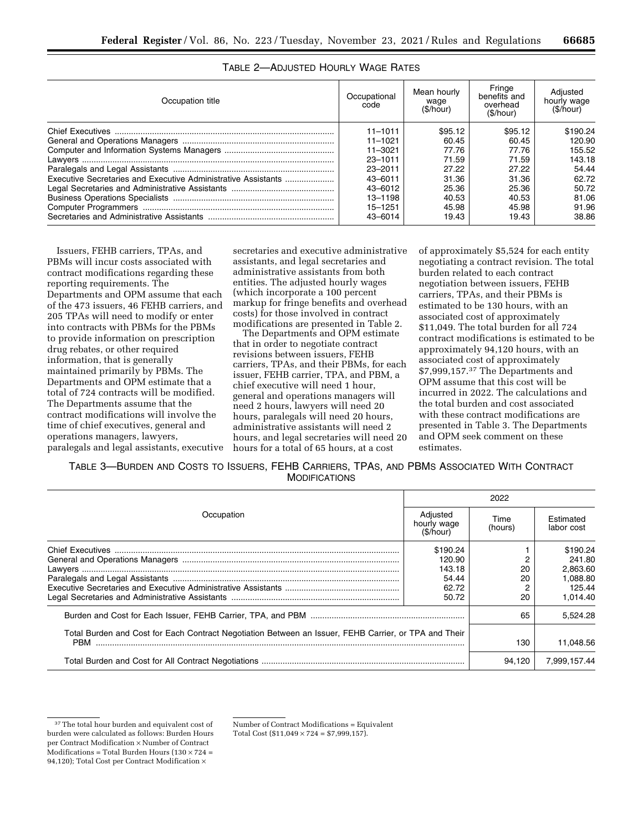| Occupation title                                              | Occupational<br>code | Mean hourly<br>waqe<br>(S/hour) | Fringe<br>benefits and<br>overhead<br>(\$/hour) | Adiusted<br>hourly wage<br>(S/hour) |
|---------------------------------------------------------------|----------------------|---------------------------------|-------------------------------------------------|-------------------------------------|
|                                                               | $11 - 1011$          | \$95.12                         | \$95.12                                         | \$190.24                            |
|                                                               | $11 - 1021$          | 60.45                           | 60.45                                           | 120.90                              |
|                                                               | $11 - 3021$          | 77.76                           | 77.76                                           | 155.52                              |
|                                                               | 23-1011              | 71.59                           | 71.59                                           | 143.18                              |
|                                                               | $23 - 2011$          | 27.22                           | 27.22                                           | 54.44                               |
| Executive Secretaries and Executive Administrative Assistants | 43-6011              | 31.36                           | 31.36                                           | 62.72                               |
|                                                               | 43-6012              | 25.36                           | 25.36                                           | 50.72                               |
|                                                               | 13-1198              | 40.53                           | 40.53                                           | 81.06                               |
|                                                               | 15-1251              | 45.98                           | 45.98                                           | 91.96                               |
|                                                               | 43-6014              | 19.43                           | 19.43                                           | 38.86                               |

# TABLE 2—ADJUSTED HOURLY WAGE RATES

Issuers, FEHB carriers, TPAs, and PBMs will incur costs associated with contract modifications regarding these reporting requirements. The Departments and OPM assume that each of the 473 issuers, 46 FEHB carriers, and 205 TPAs will need to modify or enter into contracts with PBMs for the PBMs to provide information on prescription drug rebates, or other required information, that is generally maintained primarily by PBMs. The Departments and OPM estimate that a total of 724 contracts will be modified. The Departments assume that the contract modifications will involve the time of chief executives, general and operations managers, lawyers, paralegals and legal assistants, executive

secretaries and executive administrative assistants, and legal secretaries and administrative assistants from both entities. The adjusted hourly wages (which incorporate a 100 percent markup for fringe benefits and overhead costs) for those involved in contract modifications are presented in Table 2.

The Departments and OPM estimate that in order to negotiate contract revisions between issuers, FEHB carriers, TPAs, and their PBMs, for each issuer, FEHB carrier, TPA, and PBM, a chief executive will need 1 hour, general and operations managers will need 2 hours, lawyers will need 20 hours, paralegals will need 20 hours, administrative assistants will need 2 hours, and legal secretaries will need 20 hours for a total of 65 hours, at a cost

of approximately \$5,524 for each entity negotiating a contract revision. The total burden related to each contract negotiation between issuers, FEHB carriers, TPAs, and their PBMs is estimated to be 130 hours, with an associated cost of approximately \$11,049. The total burden for all 724 contract modifications is estimated to be approximately 94,120 hours, with an associated cost of approximately \$7,999,157.37 The Departments and OPM assume that this cost will be incurred in 2022. The calculations and the total burden and cost associated with these contract modifications are presented in Table 3. The Departments and OPM seek comment on these estimates.

TABLE 3—BURDEN AND COSTS TO ISSUERS, FEHB CARRIERS, TPAS, AND PBMS ASSOCIATED WITH CONTRACT MODIFICATIONS

|                                                                                                                     |                                     | 2022            |                         |  |
|---------------------------------------------------------------------------------------------------------------------|-------------------------------------|-----------------|-------------------------|--|
| Occupation                                                                                                          | Adiusted<br>hourly wage<br>(S/hour) | Time<br>(hours) | Estimated<br>labor cost |  |
|                                                                                                                     | \$190.24                            |                 | \$190.24                |  |
|                                                                                                                     | 120.90                              |                 | 241.80                  |  |
|                                                                                                                     | 143.18                              | 20              | 2.863.60                |  |
|                                                                                                                     | 54.44                               | 20              | 1.088.80                |  |
|                                                                                                                     | 62.72                               |                 | 125.44                  |  |
|                                                                                                                     | 50.72                               | 20              | 1,014.40                |  |
|                                                                                                                     |                                     | 65              | 5.524.28                |  |
| Total Burden and Cost for Each Contract Negotiation Between an Issuer, FEHB Carrier, or TPA and Their<br><b>PBM</b> |                                     | 130             | 11,048.56               |  |
|                                                                                                                     |                                     | 94.120          | 7.999.157.44            |  |

Number of Contract Modifications = Equivalent Total Cost (\$11,049  $\times$  724 = \$7,999,157).

<sup>&</sup>lt;sup>37</sup>The total hour burden and equivalent cost of burden were calculated as follows: Burden Hours per Contract Modification × Number of Contract Modifications = Total Burden Hours  $(130 \times 724 =$ 94,120); Total Cost per Contract Modification ×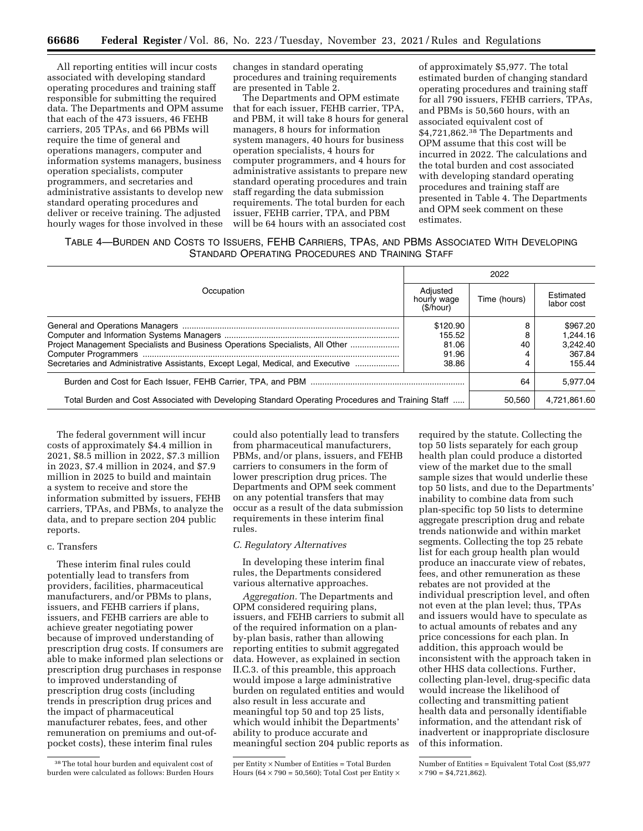All reporting entities will incur costs associated with developing standard operating procedures and training staff responsible for submitting the required data. The Departments and OPM assume that each of the 473 issuers, 46 FEHB carriers, 205 TPAs, and 66 PBMs will require the time of general and operations managers, computer and information systems managers, business operation specialists, computer programmers, and secretaries and administrative assistants to develop new standard operating procedures and deliver or receive training. The adjusted hourly wages for those involved in these

changes in standard operating procedures and training requirements are presented in Table 2.

The Departments and OPM estimate that for each issuer, FEHB carrier, TPA, and PBM, it will take 8 hours for general managers, 8 hours for information system managers, 40 hours for business operation specialists, 4 hours for computer programmers, and 4 hours for administrative assistants to prepare new standard operating procedures and train staff regarding the data submission requirements. The total burden for each issuer, FEHB carrier, TPA, and PBM will be 64 hours with an associated cost

of approximately \$5,977. The total estimated burden of changing standard operating procedures and training staff for all 790 issuers, FEHB carriers, TPAs, and PBMs is 50,560 hours, with an associated equivalent cost of \$4,721,862.38 The Departments and OPM assume that this cost will be incurred in 2022. The calculations and the total burden and cost associated with developing standard operating procedures and training staff are presented in Table 4. The Departments and OPM seek comment on these estimates.

TABLE 4—BURDEN AND COSTS TO ISSUERS, FEHB CARRIERS, TPAS, AND PBMS ASSOCIATED WITH DEVELOPING STANDARD OPERATING PROCEDURES AND TRAINING STAFF

|                                                                                                   |                                      | 2022         |                                            |  |  |
|---------------------------------------------------------------------------------------------------|--------------------------------------|--------------|--------------------------------------------|--|--|
| Occupation                                                                                        | Adiusted<br>hourly wage<br>(\$/hour) | Time (hours) | Estimated<br>labor cost                    |  |  |
| Project Management Specialists and Business Operations Specialists, All Other                     | \$120.90<br>155.52<br>81.06<br>91.96 | 40           | \$967.20<br>1.244.16<br>3.242.40<br>367.84 |  |  |
| Secretaries and Administrative Assistants, Except Legal, Medical, and Executive                   | 38.86                                |              | 155.44                                     |  |  |
|                                                                                                   |                                      | 64           | 5.977.04                                   |  |  |
| Total Burden and Cost Associated with Developing Standard Operating Procedures and Training Staff |                                      | 50.560       | 4.721.861.60                               |  |  |

The federal government will incur costs of approximately \$4.4 million in 2021, \$8.5 million in 2022, \$7.3 million in 2023, \$7.4 million in 2024, and \$7.9 million in 2025 to build and maintain a system to receive and store the information submitted by issuers, FEHB carriers, TPAs, and PBMs, to analyze the data, and to prepare section 204 public reports.

# c. Transfers

These interim final rules could potentially lead to transfers from providers, facilities, pharmaceutical manufacturers, and/or PBMs to plans, issuers, and FEHB carriers if plans, issuers, and FEHB carriers are able to achieve greater negotiating power because of improved understanding of prescription drug costs. If consumers are able to make informed plan selections or prescription drug purchases in response to improved understanding of prescription drug costs (including trends in prescription drug prices and the impact of pharmaceutical manufacturer rebates, fees, and other remuneration on premiums and out-ofpocket costs), these interim final rules

could also potentially lead to transfers from pharmaceutical manufacturers, PBMs, and/or plans, issuers, and FEHB carriers to consumers in the form of lower prescription drug prices. The Departments and OPM seek comment on any potential transfers that may occur as a result of the data submission requirements in these interim final rules.

#### *C. Regulatory Alternatives*

In developing these interim final rules, the Departments considered various alternative approaches.

*Aggregation.* The Departments and OPM considered requiring plans, issuers, and FEHB carriers to submit all of the required information on a planby-plan basis, rather than allowing reporting entities to submit aggregated data. However, as explained in section II.C.3. of this preamble, this approach would impose a large administrative burden on regulated entities and would also result in less accurate and meaningful top 50 and top 25 lists, which would inhibit the Departments' ability to produce accurate and meaningful section 204 public reports as required by the statute. Collecting the top 50 lists separately for each group health plan could produce a distorted view of the market due to the small sample sizes that would underlie these top 50 lists, and due to the Departments' inability to combine data from such plan-specific top 50 lists to determine aggregate prescription drug and rebate trends nationwide and within market segments. Collecting the top 25 rebate list for each group health plan would produce an inaccurate view of rebates, fees, and other remuneration as these rebates are not provided at the individual prescription level, and often not even at the plan level; thus, TPAs and issuers would have to speculate as to actual amounts of rebates and any price concessions for each plan. In addition, this approach would be inconsistent with the approach taken in other HHS data collections. Further, collecting plan-level, drug-specific data would increase the likelihood of collecting and transmitting patient health data and personally identifiable information, and the attendant risk of inadvertent or inappropriate disclosure of this information.

<sup>38</sup>The total hour burden and equivalent cost of burden were calculated as follows: Burden Hours

per Entity × Number of Entities = Total Burden Hours ( $64 \times 790 = 50,560$ ); Total Cost per Entity  $\times$ 

Number of Entities = Equivalent Total Cost (\$5,977  $×790 = $4,721,862$ .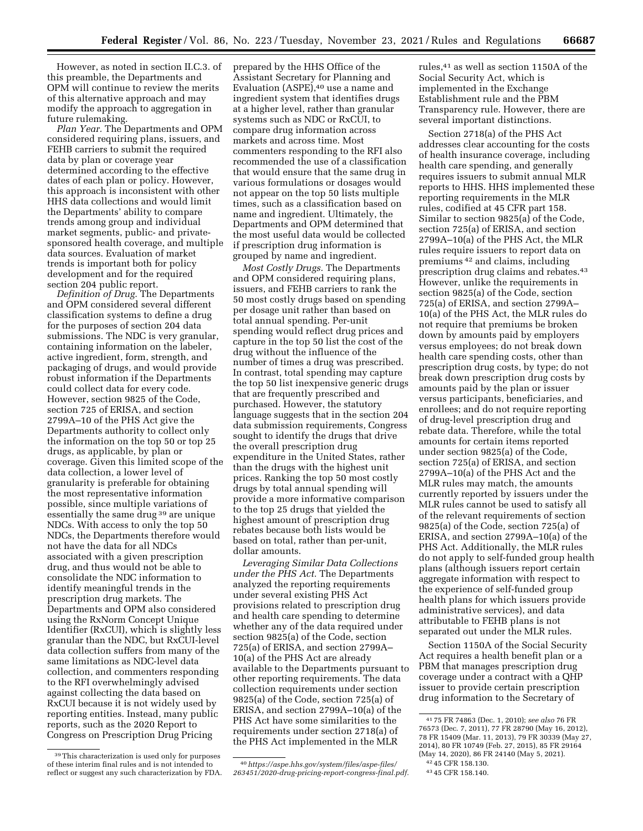However, as noted in section II.C.3. of this preamble, the Departments and OPM will continue to review the merits of this alternative approach and may modify the approach to aggregation in future rulemaking.

*Plan Year.* The Departments and OPM considered requiring plans, issuers, and FEHB carriers to submit the required data by plan or coverage year determined according to the effective dates of each plan or policy. However, this approach is inconsistent with other HHS data collections and would limit the Departments' ability to compare trends among group and individual market segments, public- and privatesponsored health coverage, and multiple data sources. Evaluation of market trends is important both for policy development and for the required section 204 public report.

*Definition of Drug.* The Departments and OPM considered several different classification systems to define a drug for the purposes of section 204 data submissions. The NDC is very granular, containing information on the labeler, active ingredient, form, strength, and packaging of drugs, and would provide robust information if the Departments could collect data for every code. However, section 9825 of the Code, section 725 of ERISA, and section 2799A–10 of the PHS Act give the Departments authority to collect only the information on the top 50 or top 25 drugs, as applicable, by plan or coverage. Given this limited scope of the data collection, a lower level of granularity is preferable for obtaining the most representative information possible, since multiple variations of essentially the same drug 39 are unique NDCs. With access to only the top 50 NDCs, the Departments therefore would not have the data for all NDCs associated with a given prescription drug, and thus would not be able to consolidate the NDC information to identify meaningful trends in the prescription drug markets. The Departments and OPM also considered using the RxNorm Concept Unique Identifier (RxCUI), which is slightly less granular than the NDC, but RxCUI-level data collection suffers from many of the same limitations as NDC-level data collection, and commenters responding to the RFI overwhelmingly advised against collecting the data based on RxCUI because it is not widely used by reporting entities. Instead, many public reports, such as the 2020 Report to Congress on Prescription Drug Pricing

prepared by the HHS Office of the Assistant Secretary for Planning and Evaluation (ASPE),<sup>40</sup> use a name and ingredient system that identifies drugs at a higher level, rather than granular systems such as NDC or RxCUI, to compare drug information across markets and across time. Most commenters responding to the RFI also recommended the use of a classification that would ensure that the same drug in various formulations or dosages would not appear on the top 50 lists multiple times, such as a classification based on name and ingredient. Ultimately, the Departments and OPM determined that the most useful data would be collected if prescription drug information is grouped by name and ingredient.

*Most Costly Drugs.* The Departments and OPM considered requiring plans, issuers, and FEHB carriers to rank the 50 most costly drugs based on spending per dosage unit rather than based on total annual spending. Per-unit spending would reflect drug prices and capture in the top 50 list the cost of the drug without the influence of the number of times a drug was prescribed. In contrast, total spending may capture the top 50 list inexpensive generic drugs that are frequently prescribed and purchased. However, the statutory language suggests that in the section 204 data submission requirements, Congress sought to identify the drugs that drive the overall prescription drug expenditure in the United States, rather than the drugs with the highest unit prices. Ranking the top 50 most costly drugs by total annual spending will provide a more informative comparison to the top 25 drugs that yielded the highest amount of prescription drug rebates because both lists would be based on total, rather than per-unit, dollar amounts.

*Leveraging Similar Data Collections under the PHS Act.* The Departments analyzed the reporting requirements under several existing PHS Act provisions related to prescription drug and health care spending to determine whether any of the data required under section 9825(a) of the Code, section 725(a) of ERISA, and section 2799A– 10(a) of the PHS Act are already available to the Departments pursuant to other reporting requirements. The data collection requirements under section 9825(a) of the Code, section 725(a) of ERISA, and section 2799A–10(a) of the PHS Act have some similarities to the requirements under section 2718(a) of the PHS Act implemented in the MLR

40*[https://aspe.hhs.gov/system/files/aspe-files/](https://aspe.hhs.gov/system/files/aspe-files/263451/2020-drug-pricing-report-congress-final.pdf)  [263451/2020-drug-pricing-report-congress-final.pdf.](https://aspe.hhs.gov/system/files/aspe-files/263451/2020-drug-pricing-report-congress-final.pdf)*  rules,41 as well as section 1150A of the Social Security Act, which is implemented in the Exchange Establishment rule and the PBM Transparency rule. However, there are several important distinctions.

Section 2718(a) of the PHS Act addresses clear accounting for the costs of health insurance coverage, including health care spending, and generally requires issuers to submit annual MLR reports to HHS. HHS implemented these reporting requirements in the MLR rules, codified at 45 CFR part 158. Similar to section 9825(a) of the Code, section 725(a) of ERISA, and section 2799A–10(a) of the PHS Act, the MLR rules require issuers to report data on premiums 42 and claims, including prescription drug claims and rebates.43 However, unlike the requirements in section 9825(a) of the Code, section 725(a) of ERISA, and section 2799A– 10(a) of the PHS Act, the MLR rules do not require that premiums be broken down by amounts paid by employers versus employees; do not break down health care spending costs, other than prescription drug costs, by type; do not break down prescription drug costs by amounts paid by the plan or issuer versus participants, beneficiaries, and enrollees; and do not require reporting of drug-level prescription drug and rebate data. Therefore, while the total amounts for certain items reported under section 9825(a) of the Code, section 725(a) of ERISA, and section 2799A–10(a) of the PHS Act and the MLR rules may match, the amounts currently reported by issuers under the MLR rules cannot be used to satisfy all of the relevant requirements of section 9825(a) of the Code, section 725(a) of ERISA, and section 2799A–10(a) of the PHS Act. Additionally, the MLR rules do not apply to self-funded group health plans (although issuers report certain aggregate information with respect to the experience of self-funded group health plans for which issuers provide administrative services), and data attributable to FEHB plans is not separated out under the MLR rules.

Section 1150A of the Social Security Act requires a health benefit plan or a PBM that manages prescription drug coverage under a contract with a QHP issuer to provide certain prescription drug information to the Secretary of

<sup>39</sup>This characterization is used only for purposes of these interim final rules and is not intended to reflect or suggest any such characterization by FDA.

<sup>41</sup> 75 FR 74863 (Dec. 1, 2010); *see also* 76 FR 76573 (Dec. 7, 2011), 77 FR 28790 (May 16, 2012), 78 FR 15409 (Mar. 11, 2013), 79 FR 30339 (May 27, 2014), 80 FR 10749 (Feb. 27, 2015), 85 FR 29164 (May 14, 2020), 86 FR 24140 (May 5, 2021).

<sup>42</sup> 45 CFR 158.130.

<sup>43</sup> 45 CFR 158.140.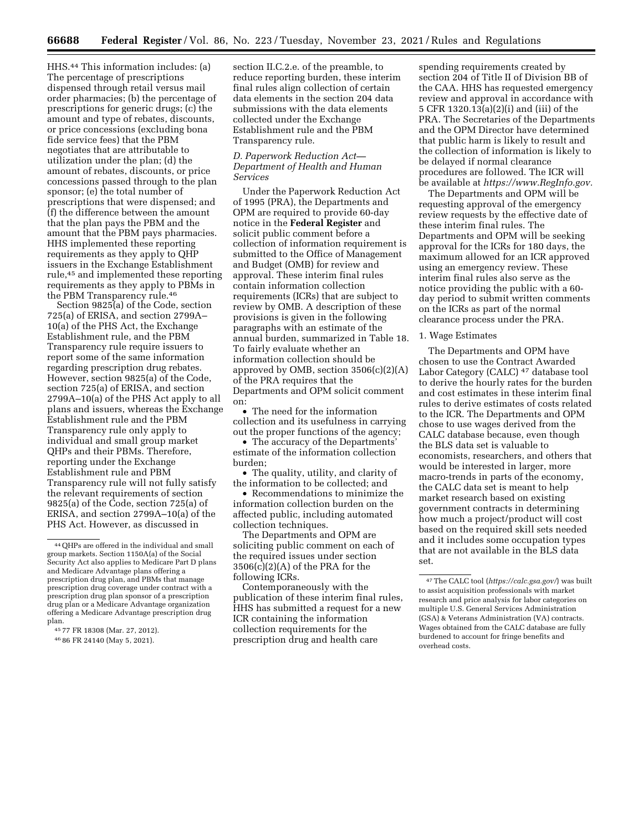HHS.44 This information includes: (a) The percentage of prescriptions dispensed through retail versus mail order pharmacies; (b) the percentage of prescriptions for generic drugs; (c) the amount and type of rebates, discounts, or price concessions (excluding bona fide service fees) that the PBM negotiates that are attributable to utilization under the plan; (d) the amount of rebates, discounts, or price concessions passed through to the plan sponsor; (e) the total number of prescriptions that were dispensed; and (f) the difference between the amount that the plan pays the PBM and the amount that the PBM pays pharmacies. HHS implemented these reporting requirements as they apply to QHP issuers in the Exchange Establishment rule,45 and implemented these reporting requirements as they apply to PBMs in the PBM Transparency rule.46

Section 9825(a) of the Code, section 725(a) of ERISA, and section 2799A– 10(a) of the PHS Act, the Exchange Establishment rule, and the PBM Transparency rule require issuers to report some of the same information regarding prescription drug rebates. However, section 9825(a) of the Code, section 725(a) of ERISA, and section 2799A–10(a) of the PHS Act apply to all plans and issuers, whereas the Exchange Establishment rule and the PBM Transparency rule only apply to individual and small group market QHPs and their PBMs. Therefore, reporting under the Exchange Establishment rule and PBM Transparency rule will not fully satisfy the relevant requirements of section 9825(a) of the Code, section 725(a) of ERISA, and section 2799A–10(a) of the PHS Act. However, as discussed in

45 77 FR 18308 (Mar. 27, 2012).

section II.C.2.e. of the preamble, to reduce reporting burden, these interim final rules align collection of certain data elements in the section 204 data submissions with the data elements collected under the Exchange Establishment rule and the PBM Transparency rule.

## *D. Paperwork Reduction Act— Department of Health and Human Services*

Under the Paperwork Reduction Act of 1995 (PRA), the Departments and OPM are required to provide 60-day notice in the **Federal Register** and solicit public comment before a collection of information requirement is submitted to the Office of Management and Budget (OMB) for review and approval. These interim final rules contain information collection requirements (ICRs) that are subject to review by OMB. A description of these provisions is given in the following paragraphs with an estimate of the annual burden, summarized in Table 18. To fairly evaluate whether an information collection should be approved by OMB, section 3506(c)(2)(A) of the PRA requires that the Departments and OPM solicit comment on:

• The need for the information collection and its usefulness in carrying out the proper functions of the agency;

• The accuracy of the Departments' estimate of the information collection burden;

• The quality, utility, and clarity of the information to be collected; and

• Recommendations to minimize the information collection burden on the affected public, including automated collection techniques.

The Departments and OPM are soliciting public comment on each of the required issues under section 3506(c)(2)(A) of the PRA for the following ICRs.

Contemporaneously with the publication of these interim final rules, HHS has submitted a request for a new ICR containing the information collection requirements for the prescription drug and health care

spending requirements created by section 204 of Title II of Division BB of the CAA. HHS has requested emergency review and approval in accordance with 5 CFR 1320.13(a)(2)(i) and (iii) of the PRA. The Secretaries of the Departments and the OPM Director have determined that public harm is likely to result and the collection of information is likely to be delayed if normal clearance procedures are followed. The ICR will be available at *[https://www.RegInfo.gov.](https://www.RegInfo.gov)* 

The Departments and OPM will be requesting approval of the emergency review requests by the effective date of these interim final rules. The Departments and OPM will be seeking approval for the ICRs for 180 days, the maximum allowed for an ICR approved using an emergency review. These interim final rules also serve as the notice providing the public with a 60 day period to submit written comments on the ICRs as part of the normal clearance process under the PRA.

## 1. Wage Estimates

The Departments and OPM have chosen to use the Contract Awarded Labor Category (CALC) 47 database tool to derive the hourly rates for the burden and cost estimates in these interim final rules to derive estimates of costs related to the ICR. The Departments and OPM chose to use wages derived from the CALC database because, even though the BLS data set is valuable to economists, researchers, and others that would be interested in larger, more macro-trends in parts of the economy, the CALC data set is meant to help market research based on existing government contracts in determining how much a project/product will cost based on the required skill sets needed and it includes some occupation types that are not available in the BLS data set.

<sup>44</sup>QHPs are offered in the individual and small group markets. Section 1150A(a) of the Social Security Act also applies to Medicare Part D plans and Medicare Advantage plans offering a prescription drug plan, and PBMs that manage prescription drug coverage under contract with a prescription drug plan sponsor of a prescription drug plan or a Medicare Advantage organization offering a Medicare Advantage prescription drug plan.

<sup>46</sup> 86 FR 24140 (May 5, 2021).

<sup>47</sup>The CALC tool (*<https://calc.gsa.gov/>*) was built to assist acquisition professionals with market research and price analysis for labor categories on multiple U.S. General Services Administration (GSA) & Veterans Administration (VA) contracts. Wages obtained from the CALC database are fully burdened to account for fringe benefits and overhead costs.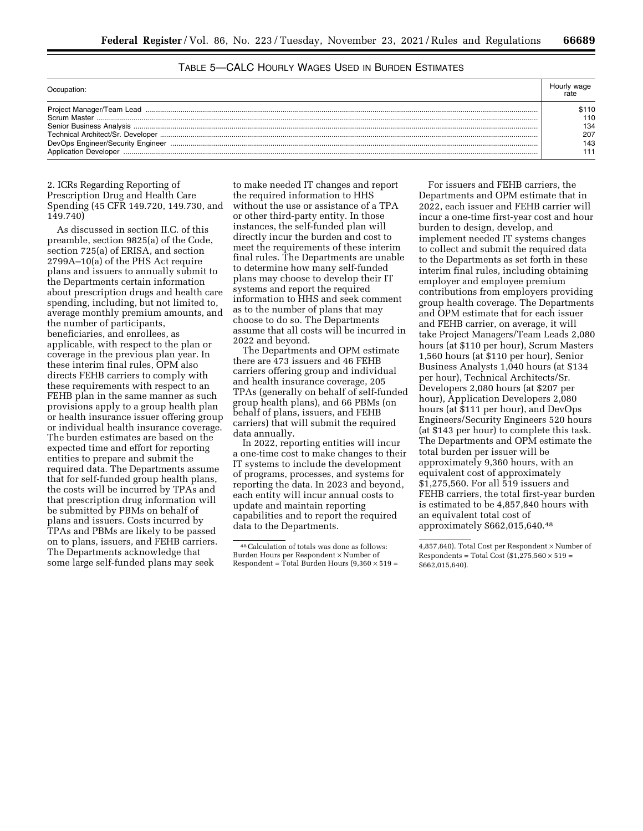# TABLE 5—CALC HOURLY WAGES USED IN BURDEN ESTIMATES

| Project Manager/Team Lead<br>Senior Business Analysis<br>Technical Architect/Sr. Developer | 51 1 O<br>110<br>134<br>207 |
|--------------------------------------------------------------------------------------------|-----------------------------|
| DevOps Engineer/Security Engineer<br><b>Application Developer</b>                          | 143                         |

# 2. ICRs Regarding Reporting of Prescription Drug and Health Care Spending (45 CFR 149.720, 149.730, and 149.740)

As discussed in section II.C. of this preamble, section 9825(a) of the Code, section 725(a) of ERISA, and section 2799A–10(a) of the PHS Act require plans and issuers to annually submit to the Departments certain information about prescription drugs and health care spending, including, but not limited to, average monthly premium amounts, and the number of participants, beneficiaries, and enrollees, as applicable, with respect to the plan or coverage in the previous plan year. In these interim final rules, OPM also directs FEHB carriers to comply with these requirements with respect to an FEHB plan in the same manner as such provisions apply to a group health plan or health insurance issuer offering group or individual health insurance coverage. The burden estimates are based on the expected time and effort for reporting entities to prepare and submit the required data. The Departments assume that for self-funded group health plans, the costs will be incurred by TPAs and that prescription drug information will be submitted by PBMs on behalf of plans and issuers. Costs incurred by TPAs and PBMs are likely to be passed on to plans, issuers, and FEHB carriers. The Departments acknowledge that some large self-funded plans may seek

to make needed IT changes and report the required information to HHS without the use or assistance of a TPA or other third-party entity. In those instances, the self-funded plan will directly incur the burden and cost to meet the requirements of these interim final rules. The Departments are unable to determine how many self-funded plans may choose to develop their IT systems and report the required information to HHS and seek comment as to the number of plans that may choose to do so. The Departments assume that all costs will be incurred in 2022 and beyond.

The Departments and OPM estimate there are 473 issuers and 46 FEHB carriers offering group and individual and health insurance coverage, 205 TPAs (generally on behalf of self-funded group health plans), and 66 PBMs (on behalf of plans, issuers, and FEHB carriers) that will submit the required data annually.

In 2022, reporting entities will incur a one-time cost to make changes to their IT systems to include the development of programs, processes, and systems for reporting the data. In 2023 and beyond, each entity will incur annual costs to update and maintain reporting capabilities and to report the required data to the Departments.

For issuers and FEHB carriers, the Departments and OPM estimate that in 2022, each issuer and FEHB carrier will incur a one-time first-year cost and hour burden to design, develop, and implement needed IT systems changes to collect and submit the required data to the Departments as set forth in these interim final rules, including obtaining employer and employee premium contributions from employers providing group health coverage. The Departments and OPM estimate that for each issuer and FEHB carrier, on average, it will take Project Managers/Team Leads 2,080 hours (at \$110 per hour), Scrum Masters 1,560 hours (at \$110 per hour), Senior Business Analysts 1,040 hours (at \$134 per hour), Technical Architects/Sr. Developers 2,080 hours (at \$207 per hour), Application Developers 2,080 hours (at \$111 per hour), and DevOps Engineers/Security Engineers 520 hours (at \$143 per hour) to complete this task. The Departments and OPM estimate the total burden per issuer will be approximately 9,360 hours, with an equivalent cost of approximately \$1,275,560. For all 519 issuers and FEHB carriers, the total first-year burden is estimated to be 4,857,840 hours with an equivalent total cost of approximately \$662,015,640.48

<sup>48</sup>Calculation of totals was done as follows: Burden Hours per Respondent × Number of Respondent = Total Burden Hours (9,360 × 519 =

<sup>4,857,840).</sup> Total Cost per Respondent × Number of Respondents = Total Cost  $(\$1,275,560 \times 519 =$ \$662,015,640).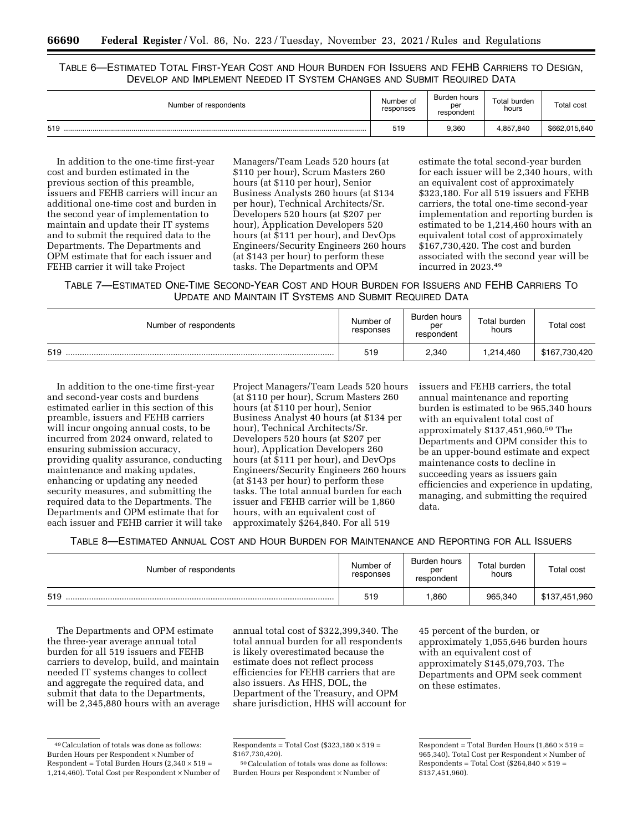TABLE 6—ESTIMATED TOTAL FIRST-YEAR COST AND HOUR BURDEN FOR ISSUERS AND FEHB CARRIERS TO DESIGN, DEVELOP AND IMPLEMENT NEEDED IT SYSTEM CHANGES AND SUBMIT REQUIRED DATA

| Number of respondents | Number of<br>responses | Burden hours<br>per<br>respondent | Total burden<br>hours | Total cost    |
|-----------------------|------------------------|-----------------------------------|-----------------------|---------------|
| 519                   | 519                    | 9,360                             | 4,857,840             | \$662,015,640 |

In addition to the one-time first-year cost and burden estimated in the previous section of this preamble, issuers and FEHB carriers will incur an additional one-time cost and burden in the second year of implementation to maintain and update their IT systems and to submit the required data to the Departments. The Departments and OPM estimate that for each issuer and FEHB carrier it will take Project

Managers/Team Leads 520 hours (at \$110 per hour), Scrum Masters 260 hours (at \$110 per hour), Senior Business Analysts 260 hours (at \$134 per hour), Technical Architects/Sr. Developers 520 hours (at \$207 per hour), Application Developers 520 hours (at \$111 per hour), and DevOps Engineers/Security Engineers 260 hours (at \$143 per hour) to perform these tasks. The Departments and OPM

estimate the total second-year burden for each issuer will be 2,340 hours, with an equivalent cost of approximately \$323,180. For all 519 issuers and FEHB carriers, the total one-time second-year implementation and reporting burden is estimated to be 1,214,460 hours with an equivalent total cost of approximately \$167,730,420. The cost and burden associated with the second year will be incurred in 2023.49

TABLE 7—ESTIMATED ONE-TIME SECOND-YEAR COST AND HOUR BURDEN FOR ISSUERS AND FEHB CARRIERS TO UPDATE AND MAINTAIN IT SYSTEMS AND SUBMIT REQUIRED DATA

| Number of respondents | Number of<br>responses | Burden hours<br>per<br>respondent | Total burden<br>hours | Total cost    |
|-----------------------|------------------------|-----------------------------------|-----------------------|---------------|
| 519                   | 519                    | 2.340                             | 1.214.460             | \$167,730,420 |

In addition to the one-time first-year and second-year costs and burdens estimated earlier in this section of this preamble, issuers and FEHB carriers will incur ongoing annual costs, to be incurred from 2024 onward, related to ensuring submission accuracy, providing quality assurance, conducting maintenance and making updates, enhancing or updating any needed security measures, and submitting the required data to the Departments. The Departments and OPM estimate that for each issuer and FEHB carrier it will take

Project Managers/Team Leads 520 hours (at \$110 per hour), Scrum Masters 260 hours (at \$110 per hour), Senior Business Analyst 40 hours (at \$134 per hour), Technical Architects/Sr. Developers 520 hours (at \$207 per hour), Application Developers 260 hours (at \$111 per hour), and DevOps Engineers/Security Engineers 260 hours (at \$143 per hour) to perform these tasks. The total annual burden for each issuer and FEHB carrier will be 1,860 hours, with an equivalent cost of approximately \$264,840. For all 519

issuers and FEHB carriers, the total annual maintenance and reporting burden is estimated to be 965,340 hours with an equivalent total cost of approximately \$137,451,960.50 The Departments and OPM consider this to be an upper-bound estimate and expect maintenance costs to decline in succeeding years as issuers gain efficiencies and experience in updating, managing, and submitting the required data.

TABLE 8—ESTIMATED ANNUAL COST AND HOUR BURDEN FOR MAINTENANCE AND REPORTING FOR ALL ISSUERS

| Number of respondents | Number of<br>responses | Burden hours<br>per<br>respondent | Total burden<br>hours | Total cost    |
|-----------------------|------------------------|-----------------------------------|-----------------------|---------------|
| 519                   | 519                    | .860                              | 965.340               | \$137,451,960 |

The Departments and OPM estimate the three-year average annual total burden for all 519 issuers and FEHB carriers to develop, build, and maintain needed IT systems changes to collect and aggregate the required data, and submit that data to the Departments, will be 2,345,880 hours with an average annual total cost of \$322,399,340. The total annual burden for all respondents is likely overestimated because the estimate does not reflect process efficiencies for FEHB carriers that are also issuers. As HHS, DOL, the Department of the Treasury, and OPM share jurisdiction, HHS will account for 45 percent of the burden, or approximately 1,055,646 burden hours with an equivalent cost of approximately \$145,079,703. The Departments and OPM seek comment on these estimates.

<sup>49</sup>Calculation of totals was done as follows: Burden Hours per Respondent × Number of Respondent = Total Burden Hours  $(2,340 \times 519 =$ 1,214,460). Total Cost per Respondent × Number of

Respondents = Total Cost (\$323,180  $\times$  519 =  $$167,730,420$ 

<sup>50</sup>Calculation of totals was done as follows: Burden Hours per Respondent × Number of

Respondent = Total Burden Hours  $(1,860 \times 519)$  = 965,340). Total Cost per Respondent × Number of Respondents = Total Cost (\$264,840  $\times$  519 = \$137,451,960).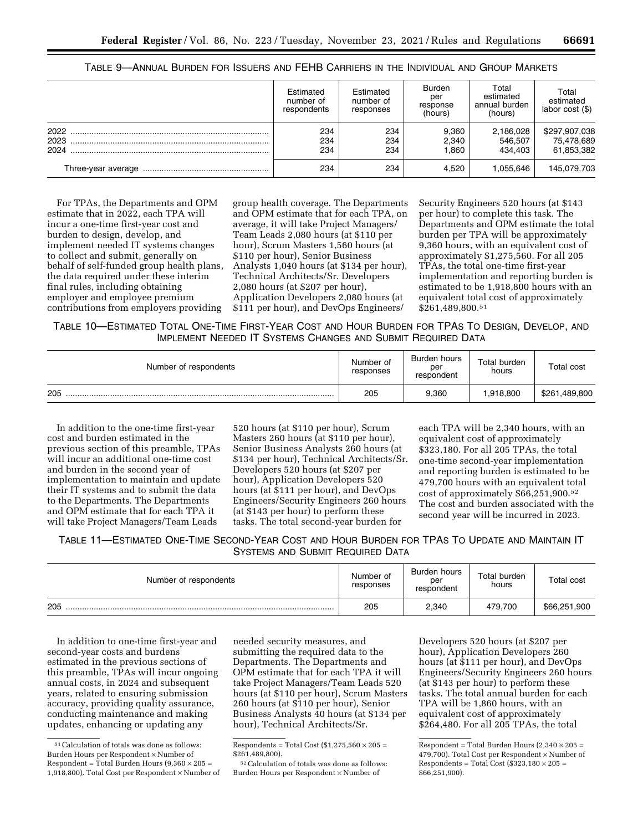|      | Estimated<br>number of<br>respondents | Estimated<br>number of<br>responses | <b>Burden</b><br>per<br>response<br>(hours) | Total<br>estimated<br>annual burden<br>(hours) | Total<br>estimated<br>labor cost $(\$)$ |
|------|---------------------------------------|-------------------------------------|---------------------------------------------|------------------------------------------------|-----------------------------------------|
| 2022 | 234                                   | 234                                 | 9,360                                       | 2,186,028                                      | \$297,907,038                           |
| 2023 | 234                                   | 234                                 | 2,340                                       | 546,507                                        | 75,478,689                              |
| 2024 | 234                                   | 234                                 | .860                                        | 434.403                                        | 61,853,382                              |
|      | 234                                   | 234                                 | 4.520                                       | 1.055.646                                      | 145,079,703                             |

| Table 9—Annual Burden for Issuers and FEHB Carriers in the Individual and Group Markets |  |
|-----------------------------------------------------------------------------------------|--|
|-----------------------------------------------------------------------------------------|--|

For TPAs, the Departments and OPM estimate that in 2022, each TPA will incur a one-time first-year cost and burden to design, develop, and implement needed IT systems changes to collect and submit, generally on behalf of self-funded group health plans, the data required under these interim final rules, including obtaining employer and employee premium contributions from employers providing

group health coverage. The Departments and OPM estimate that for each TPA, on average, it will take Project Managers/ Team Leads 2,080 hours (at \$110 per hour), Scrum Masters 1,560 hours (at \$110 per hour), Senior Business Analysts 1,040 hours (at \$134 per hour), Technical Architects/Sr. Developers 2,080 hours (at \$207 per hour), Application Developers 2,080 hours (at \$111 per hour), and DevOps Engineers/

Security Engineers 520 hours (at \$143 per hour) to complete this task. The Departments and OPM estimate the total burden per TPA will be approximately 9,360 hours, with an equivalent cost of approximately \$1,275,560. For all 205 TPAs, the total one-time first-year implementation and reporting burden is estimated to be 1,918,800 hours with an equivalent total cost of approximately \$261,489,800.51

TABLE 10—ESTIMATED TOTAL ONE-TIME FIRST-YEAR COST AND HOUR BURDEN FOR TPAS TO DESIGN, DEVELOP, AND IMPLEMENT NEEDED IT SYSTEMS CHANGES AND SUBMIT REQUIRED DATA

| Number of respondents | Number of<br>responses | Burden hours<br>per<br>respondent | Total burden<br>hours | Total cost    |
|-----------------------|------------------------|-----------------------------------|-----------------------|---------------|
| 205                   | 205                    | 9,360                             | 1.918.800             | \$261,489,800 |

In addition to the one-time first-year cost and burden estimated in the previous section of this preamble, TPAs will incur an additional one-time cost and burden in the second year of implementation to maintain and update their IT systems and to submit the data to the Departments. The Departments and OPM estimate that for each TPA it will take Project Managers/Team Leads

520 hours (at \$110 per hour), Scrum Masters 260 hours (at \$110 per hour), Senior Business Analysts 260 hours (at \$134 per hour), Technical Architects/Sr. Developers 520 hours (at \$207 per hour), Application Developers 520 hours (at \$111 per hour), and DevOps Engineers/Security Engineers 260 hours (at \$143 per hour) to perform these tasks. The total second-year burden for

each TPA will be 2,340 hours, with an equivalent cost of approximately \$323,180. For all 205 TPAs, the total one-time second-year implementation and reporting burden is estimated to be 479,700 hours with an equivalent total cost of approximately \$66,251,900.52 The cost and burden associated with the second year will be incurred in 2023.

TABLE 11—ESTIMATED ONE-TIME SECOND-YEAR COST AND HOUR BURDEN FOR TPAS TO UPDATE AND MAINTAIN IT SYSTEMS AND SUBMIT REQUIRED DATA

| Number of respondents | Number of<br>responses | Burden hours<br>per<br>respondent | Total burden<br>hours | <b>Total cost</b> |
|-----------------------|------------------------|-----------------------------------|-----------------------|-------------------|
| 205                   | 205                    | 2,340                             | 479.700               | \$66,251,900      |

In addition to one-time first-year and second-year costs and burdens estimated in the previous sections of this preamble, TPAs will incur ongoing annual costs, in 2024 and subsequent years, related to ensuring submission accuracy, providing quality assurance, conducting maintenance and making updates, enhancing or updating any

needed security measures, and submitting the required data to the Departments. The Departments and OPM estimate that for each TPA it will take Project Managers/Team Leads 520 hours (at \$110 per hour), Scrum Masters 260 hours (at \$110 per hour), Senior Business Analysts 40 hours (at \$134 per hour), Technical Architects/Sr.

52Calculation of totals was done as follows: Burden Hours per Respondent × Number of

Developers 520 hours (at \$207 per hour), Application Developers 260 hours (at \$111 per hour), and DevOps Engineers/Security Engineers 260 hours (at \$143 per hour) to perform these tasks. The total annual burden for each TPA will be 1,860 hours, with an equivalent cost of approximately \$264,480. For all 205 TPAs, the total

Respondent = Total Burden Hours  $(2,340 \times 205 =$ 479,700). Total Cost per Respondent × Number of Respondents = Total Cost (\$323,180  $\times$  205 = \$66,251,900).

<sup>51</sup>Calculation of totals was done as follows: Burden Hours per Respondent × Number of Respondent = Total Burden Hours  $(9,360 \times 205 =$ 1,918,800). Total Cost per Respondent × Number of

Respondents = Total Cost  $(\$1,275,560 \times 205 =$  $$261,489,800$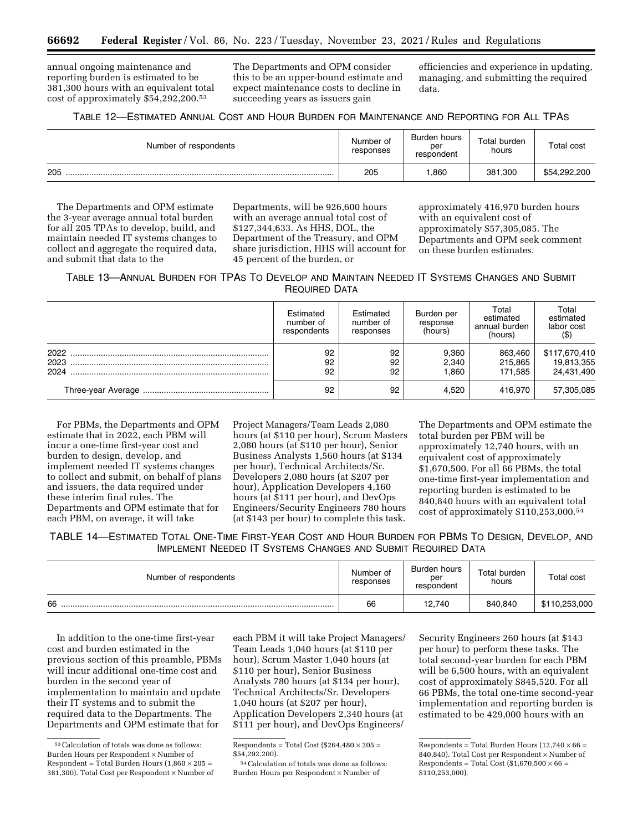annual ongoing maintenance and reporting burden is estimated to be 381,300 hours with an equivalent total cost of approximately \$54,292,200.53

The Departments and OPM consider this to be an upper-bound estimate and expect maintenance costs to decline in succeeding years as issuers gain

efficiencies and experience in updating, managing, and submitting the required data.

TABLE 12—ESTIMATED ANNUAL COST AND HOUR BURDEN FOR MAINTENANCE AND REPORTING FOR ALL TPAS

| Number of respondents | Number of<br>responses | Burden hours<br>per<br>respondent | Total burden<br>hours | Total cost   |
|-----------------------|------------------------|-----------------------------------|-----------------------|--------------|
| 205                   | 205                    | .860                              | 381.300               | \$54,292,200 |

The Departments and OPM estimate the 3-year average annual total burden for all 205 TPAs to develop, build, and maintain needed IT systems changes to collect and aggregate the required data, and submit that data to the

Departments, will be 926,600 hours with an average annual total cost of \$127,344,633. As HHS, DOL, the Department of the Treasury, and OPM share jurisdiction, HHS will account for 45 percent of the burden, or

approximately 416,970 burden hours with an equivalent cost of approximately \$57,305,085. The Departments and OPM seek comment on these burden estimates.

TABLE 13—ANNUAL BURDEN FOR TPAS TO DEVELOP AND MAINTAIN NEEDED IT SYSTEMS CHANGES AND SUBMIT REQUIRED DATA

|                      | Estimated<br>number of<br>respondents | Estimated<br>number of<br>responses | Burden per<br>response<br>(hours) | Total<br>estimated<br>annual burden<br>(hours) | Total<br>estimated<br>labor cost<br>$($ \$ |
|----------------------|---------------------------------------|-------------------------------------|-----------------------------------|------------------------------------------------|--------------------------------------------|
| 2022<br>2023<br>2024 | 92<br>92<br>92                        | 92<br>92<br>92                      | 9,360<br>2,340<br>.860            | 863.460<br>215.865<br>171.585                  | \$117,670,410<br>19,813,355<br>24,431,490  |
|                      | 92                                    | 92                                  | 4,520                             | 416.970                                        | 57,305,085                                 |

For PBMs, the Departments and OPM estimate that in 2022, each PBM will incur a one-time first-year cost and burden to design, develop, and implement needed IT systems changes to collect and submit, on behalf of plans and issuers, the data required under these interim final rules. The Departments and OPM estimate that for each PBM, on average, it will take

Project Managers/Team Leads 2,080 hours (at \$110 per hour), Scrum Masters 2,080 hours (at \$110 per hour), Senior Business Analysts 1,560 hours (at \$134 per hour), Technical Architects/Sr. Developers 2,080 hours (at \$207 per hour), Application Developers 4,160 hours (at \$111 per hour), and DevOps Engineers/Security Engineers 780 hours (at \$143 per hour) to complete this task.

The Departments and OPM estimate the total burden per PBM will be approximately 12,740 hours, with an equivalent cost of approximately \$1,670,500. For all 66 PBMs, the total one-time first-year implementation and reporting burden is estimated to be 840,840 hours with an equivalent total cost of approximately \$110,253,000.54

TABLE 14—ESTIMATED TOTAL ONE-TIME FIRST-YEAR COST AND HOUR BURDEN FOR PBMS TO DESIGN, DEVELOP, AND IMPLEMENT NEEDED IT SYSTEMS CHANGES AND SUBMIT REQUIRED DATA

| Number of respondents | Number of<br>responses | Burden hours<br>per<br>respondent | Total burden<br>hours | Total cost    |
|-----------------------|------------------------|-----------------------------------|-----------------------|---------------|
| 66                    | 66                     | 12,740                            | 840,840               | \$110,253,000 |

In addition to the one-time first-year cost and burden estimated in the previous section of this preamble, PBMs will incur additional one-time cost and burden in the second year of implementation to maintain and update their IT systems and to submit the required data to the Departments. The Departments and OPM estimate that for

each PBM it will take Project Managers/ Team Leads 1,040 hours (at \$110 per hour), Scrum Master 1,040 hours (at \$110 per hour), Senior Business Analysts 780 hours (at \$134 per hour), Technical Architects/Sr. Developers 1,040 hours (at \$207 per hour), Application Developers 2,340 hours (at \$111 per hour), and DevOps Engineers/

54Calculation of totals was done as follows: Burden Hours per Respondent × Number of

Security Engineers 260 hours (at \$143 per hour) to perform these tasks. The total second-year burden for each PBM will be 6,500 hours, with an equivalent cost of approximately \$845,520. For all 66 PBMs, the total one-time second-year implementation and reporting burden is estimated to be 429,000 hours with an

<sup>53</sup>Calculation of totals was done as follows: Burden Hours per Respondent × Number of Respondent = Total Burden Hours  $(1,860 \times 205 =$ 381,300). Total Cost per Respondent × Number of

Respondents = Total Cost (\$264,480  $\times$  205 = \$54,292,200).

Respondents = Total Burden Hours ( $12,740 \times 66 =$ 840,840). Total Cost per Respondent × Number of Respondents = Total Cost  $(\$1,670,500 \times 66 =$ \$110,253,000).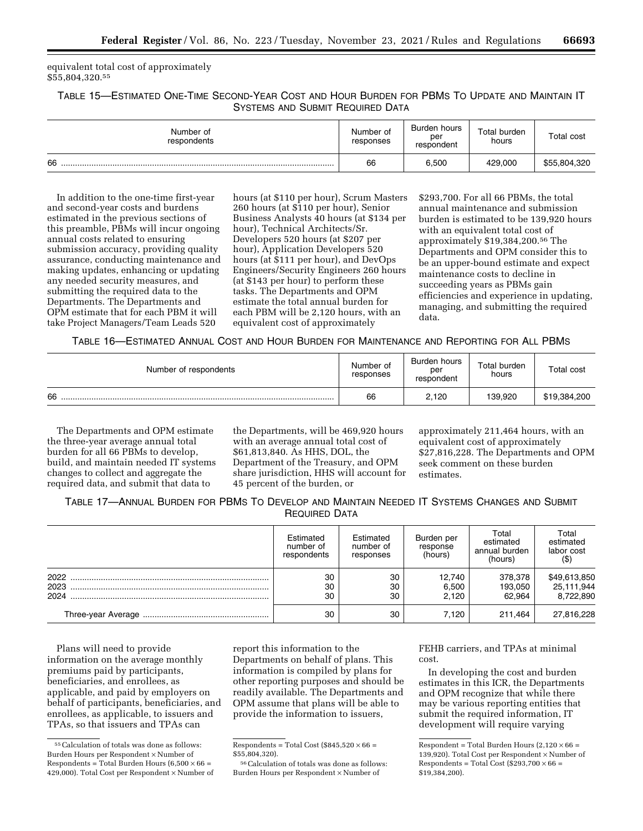equivalent total cost of approximately \$55,804,320.55

TABLE 15—ESTIMATED ONE-TIME SECOND-YEAR COST AND HOUR BURDEN FOR PBMS TO UPDATE AND MAINTAIN IT SYSTEMS AND SUBMIT REQUIRED DATA

| Number of<br>respondents | Number of<br>responses | Burden hours<br>per<br>respondent | Total burden<br>hours | Total cost   |
|--------------------------|------------------------|-----------------------------------|-----------------------|--------------|
| 66                       | 66                     | 6,500                             | 429,000               | \$55,804,320 |

In addition to the one-time first-year and second-year costs and burdens estimated in the previous sections of this preamble, PBMs will incur ongoing annual costs related to ensuring submission accuracy, providing quality assurance, conducting maintenance and making updates, enhancing or updating any needed security measures, and submitting the required data to the Departments. The Departments and OPM estimate that for each PBM it will take Project Managers/Team Leads 520

hours (at \$110 per hour), Scrum Masters 260 hours (at \$110 per hour), Senior Business Analysts 40 hours (at \$134 per hour), Technical Architects/Sr. Developers 520 hours (at \$207 per hour), Application Developers 520 hours (at \$111 per hour), and DevOps Engineers/Security Engineers 260 hours (at \$143 per hour) to perform these tasks. The Departments and OPM estimate the total annual burden for each PBM will be 2,120 hours, with an equivalent cost of approximately

\$293,700. For all 66 PBMs, the total annual maintenance and submission burden is estimated to be 139,920 hours with an equivalent total cost of approximately \$19,384,200.56 The Departments and OPM consider this to be an upper-bound estimate and expect maintenance costs to decline in succeeding years as PBMs gain efficiencies and experience in updating, managing, and submitting the required data.

TABLE 16—ESTIMATED ANNUAL COST AND HOUR BURDEN FOR MAINTENANCE AND REPORTING FOR ALL PBMS

| Number of respondents | Number of<br>responses | Burden hours<br>per<br>respondent | Total burden<br>hours | Total cost   |
|-----------------------|------------------------|-----------------------------------|-----------------------|--------------|
| 66                    | 66                     | 2,120                             | 139.920               | \$19,384,200 |

The Departments and OPM estimate the three-year average annual total burden for all 66 PBMs to develop, build, and maintain needed IT systems changes to collect and aggregate the required data, and submit that data to

the Departments, will be 469,920 hours with an average annual total cost of \$61,813,840. As HHS, DOL, the Department of the Treasury, and OPM share jurisdiction, HHS will account for 45 percent of the burden, or

approximately 211,464 hours, with an equivalent cost of approximately \$27,816,228. The Departments and OPM seek comment on these burden estimates.

TABLE 17—ANNUAL BURDEN FOR PBMS TO DEVELOP AND MAINTAIN NEEDED IT SYSTEMS CHANGES AND SUBMIT REQUIRED DATA

|                      | Estimated<br>number of<br>respondents | Estimated<br>number of<br>responses | Burden per<br>response<br>(hours) | Total<br>estimated<br>annual burden<br>(hours) | Total<br>estimated<br>labor cost<br>(\$ |
|----------------------|---------------------------------------|-------------------------------------|-----------------------------------|------------------------------------------------|-----------------------------------------|
| 2022<br>2023<br>2024 | 30<br>30<br>30                        | 30<br>30<br>30                      | 12.740<br>6,500<br>2.120          | 378,378<br>193.050<br>62.964                   | \$49,613,850<br>25,111,944<br>8,722,890 |
|                      | 30                                    | 30                                  | 7.120                             | 211.464                                        | 27,816,228                              |

Plans will need to provide information on the average monthly premiums paid by participants, beneficiaries, and enrollees, as applicable, and paid by employers on behalf of participants, beneficiaries, and enrollees, as applicable, to issuers and TPAs, so that issuers and TPAs can

report this information to the Departments on behalf of plans. This information is compiled by plans for other reporting purposes and should be readily available. The Departments and OPM assume that plans will be able to provide the information to issuers,

56Calculation of totals was done as follows: Burden Hours per Respondent × Number of

FEHB carriers, and TPAs at minimal cost.

In developing the cost and burden estimates in this ICR, the Departments and OPM recognize that while there may be various reporting entities that submit the required information, IT development will require varying

<sup>55</sup>Calculation of totals was done as follows: Burden Hours per Respondent × Number of Respondents = Total Burden Hours  $(6,500 \times 66 =$ 429,000). Total Cost per Respondent × Number of

Respondents = Total Cost (\$845,520  $\times$  66 = \$55,804,320).

Respondent = Total Burden Hours  $(2,120 \times 66 =$ 139,920). Total Cost per Respondent × Number of Respondents = Total Cost (\$293,700  $\times$  66 = \$19,384,200).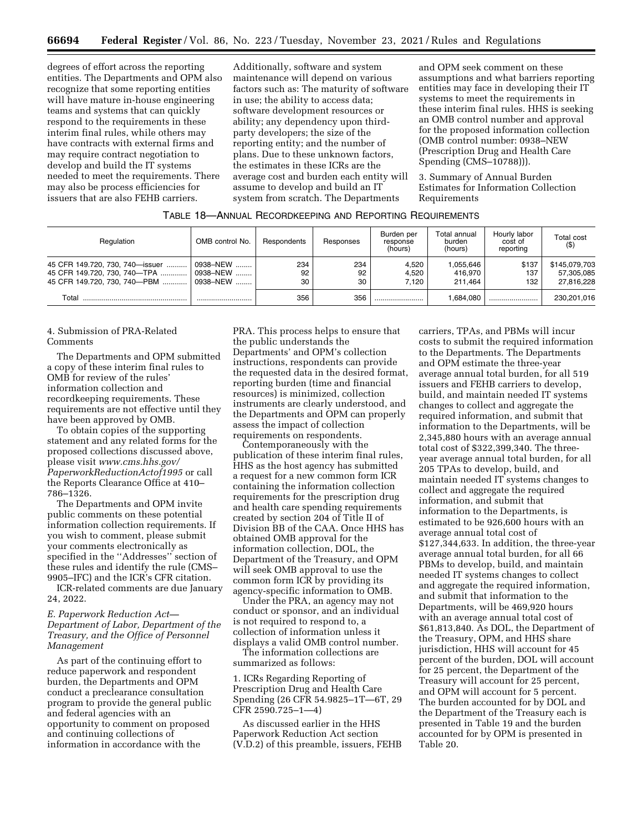degrees of effort across the reporting entities. The Departments and OPM also recognize that some reporting entities will have mature in-house engineering teams and systems that can quickly respond to the requirements in these interim final rules, while others may have contracts with external firms and may require contract negotiation to develop and build the IT systems needed to meet the requirements. There may also be process efficiencies for issuers that are also FEHB carriers.

Additionally, software and system maintenance will depend on various factors such as: The maturity of software in use; the ability to access data; software development resources or ability; any dependency upon thirdparty developers; the size of the reporting entity; and the number of plans. Due to these unknown factors, the estimates in these ICRs are the average cost and burden each entity will assume to develop and build an IT system from scratch. The Departments

and OPM seek comment on these assumptions and what barriers reporting entities may face in developing their IT systems to meet the requirements in these interim final rules. HHS is seeking an OMB control number and approval for the proposed information collection (OMB control number: 0938–NEW (Prescription Drug and Health Care Spending (CMS–10788))).

3. Summary of Annual Burden Estimates for Information Collection Requirements

| TABLE 18—ANNUAL RECORDKEEPING AND REPORTING REQUIREMENTS |  |
|----------------------------------------------------------|--|
|----------------------------------------------------------|--|

| Regulation                                                                                      | OMB control No.                   | Respondents     | Responses       | Burden per<br>response<br>(hours) | Total annual<br>burden<br>(hours) | Hourly labor<br>cost of<br>reporting | <b>Total cost</b><br>$($ \$)              |
|-------------------------------------------------------------------------------------------------|-----------------------------------|-----------------|-----------------|-----------------------------------|-----------------------------------|--------------------------------------|-------------------------------------------|
| 45 CFR 149.720, 730, 740-issuer<br>45 CFR 149.720, 730, 740-TPA<br>45 CFR 149.720, 730, 740-PBM | .0938-NEW<br>0938-NEW<br>0938-NEW | 234<br>92<br>30 | 234<br>92<br>30 | 4.520<br>4.520<br>7.120           | 1,055,646<br>416.970<br>211.464   | \$137<br>137<br>132                  | \$145,079,703<br>57.305.085<br>27.816.228 |
| Total                                                                                           |                                   | 356             | 356             |                                   | 1.684.080                         |                                      | 230.201.016                               |

## 4. Submission of PRA-Related **Comments**

The Departments and OPM submitted a copy of these interim final rules to OMB for review of the rules' information collection and recordkeeping requirements. These requirements are not effective until they have been approved by OMB.

To obtain copies of the supporting statement and any related forms for the proposed collections discussed above, please visit *[www.cms.hhs.gov/](http://www.cms.hhs.gov/PaperworkReductionActof1995) [PaperworkReductionActof1995](http://www.cms.hhs.gov/PaperworkReductionActof1995)* or call the Reports Clearance Office at 410– 786–1326.

The Departments and OPM invite public comments on these potential information collection requirements. If you wish to comment, please submit your comments electronically as specified in the ''Addresses'' section of these rules and identify the rule (CMS– 9905–IFC) and the ICR's CFR citation.

ICR-related comments are due January 24, 2022.

## *E. Paperwork Reduction Act— Department of Labor, Department of the Treasury, and the Office of Personnel Management*

As part of the continuing effort to reduce paperwork and respondent burden, the Departments and OPM conduct a preclearance consultation program to provide the general public and federal agencies with an opportunity to comment on proposed and continuing collections of information in accordance with the

PRA. This process helps to ensure that the public understands the Departments' and OPM's collection instructions, respondents can provide the requested data in the desired format, reporting burden (time and financial resources) is minimized, collection instruments are clearly understood, and the Departments and OPM can properly assess the impact of collection requirements on respondents.

Contemporaneously with the publication of these interim final rules, HHS as the host agency has submitted a request for a new common form ICR containing the information collection requirements for the prescription drug and health care spending requirements created by section 204 of Title II of Division BB of the CAA. Once HHS has obtained OMB approval for the information collection, DOL, the Department of the Treasury, and OPM will seek OMB approval to use the common form ICR by providing its agency-specific information to OMB.

Under the PRA, an agency may not conduct or sponsor, and an individual is not required to respond to, a collection of information unless it displays a valid OMB control number.

The information collections are summarized as follows:

1. ICRs Regarding Reporting of Prescription Drug and Health Care Spending (26 CFR 54.9825–1T—6T, 29 CFR 2590.725–1—4)

As discussed earlier in the HHS Paperwork Reduction Act section (V.D.2) of this preamble, issuers, FEHB carriers, TPAs, and PBMs will incur costs to submit the required information to the Departments. The Departments and OPM estimate the three-year average annual total burden, for all 519 issuers and FEHB carriers to develop, build, and maintain needed IT systems changes to collect and aggregate the required information, and submit that information to the Departments, will be 2,345,880 hours with an average annual total cost of \$322,399,340. The threeyear average annual total burden, for all 205 TPAs to develop, build, and maintain needed IT systems changes to collect and aggregate the required information, and submit that information to the Departments, is estimated to be 926,600 hours with an average annual total cost of \$127,344,633. In addition, the three-year average annual total burden, for all 66 PBMs to develop, build, and maintain needed IT systems changes to collect and aggregate the required information, and submit that information to the Departments, will be 469,920 hours with an average annual total cost of \$61,813,840. As DOL, the Department of the Treasury, OPM, and HHS share jurisdiction, HHS will account for 45 percent of the burden, DOL will account for 25 percent, the Department of the Treasury will account for 25 percent, and OPM will account for 5 percent. The burden accounted for by DOL and the Department of the Treasury each is presented in Table 19 and the burden accounted for by OPM is presented in Table 20.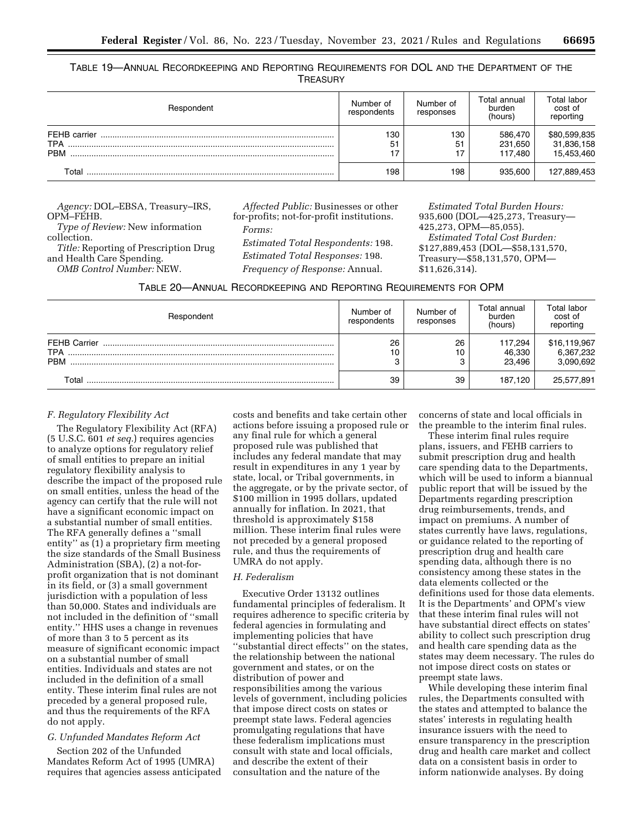TABLE 19—ANNUAL RECORDKEEPING AND REPORTING REQUIREMENTS FOR DOL AND THE DEPARTMENT OF THE **TREASURY** 

| Respondent                               | Number of<br>respondents | Number of<br>responses | Total annual<br>burden<br>(hours) | Total labor<br>cost of<br>reporting      |
|------------------------------------------|--------------------------|------------------------|-----------------------------------|------------------------------------------|
| FEHB carrier<br><b>TPA</b><br><b>PBM</b> | 130<br>51                | 130<br>51<br>17        | 586,470<br>231.650<br>117.480     | \$80,599,835<br>31,836,158<br>15,453,460 |
| Total                                    | 198                      | 198                    | 935.600                           | 127,889,453                              |

*Agency:* DOL–EBSA, Treasury–IRS, OPM–FEHB. *Type of Review:* New information collection. *Title:* Reporting of Prescription Drug and Health Care Spending.

*OMB Control Number:* NEW.

*Affected Public:* Businesses or other for-profits; not-for-profit institutions. *Forms:* 

*Estimated Total Respondents:* 198. *Estimated Total Responses:* 198. *Frequency of Response:* Annual.

*Estimated Total Burden Hours:*  935,600 (DOL—425,273, Treasury— 425,273, OPM—85,055). *Estimated Total Cost Burden:*  \$127,889,453 (DOL—\$58,131,570, Treasury—\$58,131,570, OPM— \$11,626,314).

| TABLE 20—ANNUAL RECORDKEEPING AND REPORTING REQUIREMENTS FOR OPM |  |  |  |
|------------------------------------------------------------------|--|--|--|
|------------------------------------------------------------------|--|--|--|

| Respondent                                      | Number of<br>respondents | Number of<br>responses | Total annual<br>burden<br>(hours) | Total labor<br>cost of<br>reporting    |
|-------------------------------------------------|--------------------------|------------------------|-----------------------------------|----------------------------------------|
| <b>FEHB Carrier</b><br><b>TPA</b><br><b>PRM</b> | 26<br>10<br>C            | 26<br>10<br>3          | 117,294<br>46,330<br>23.496       | \$16,119,967<br>6,367,232<br>3,090,692 |
| Total                                           | 39                       | 39                     | 187.120                           | 25,577,891                             |

## *F. Regulatory Flexibility Act*

The Regulatory Flexibility Act (RFA) (5 U.S.C. 601 *et seq.*) requires agencies to analyze options for regulatory relief of small entities to prepare an initial regulatory flexibility analysis to describe the impact of the proposed rule on small entities, unless the head of the agency can certify that the rule will not have a significant economic impact on a substantial number of small entities. The RFA generally defines a ''small entity'' as (1) a proprietary firm meeting the size standards of the Small Business Administration (SBA), (2) a not-forprofit organization that is not dominant in its field, or (3) a small government jurisdiction with a population of less than 50,000. States and individuals are not included in the definition of ''small entity.'' HHS uses a change in revenues of more than 3 to 5 percent as its measure of significant economic impact on a substantial number of small entities. Individuals and states are not included in the definition of a small entity. These interim final rules are not preceded by a general proposed rule, and thus the requirements of the RFA do not apply.

# *G. Unfunded Mandates Reform Act*

Section 202 of the Unfunded Mandates Reform Act of 1995 (UMRA) requires that agencies assess anticipated

costs and benefits and take certain other actions before issuing a proposed rule or any final rule for which a general proposed rule was published that includes any federal mandate that may result in expenditures in any 1 year by state, local, or Tribal governments, in the aggregate, or by the private sector, of \$100 million in 1995 dollars, updated annually for inflation. In 2021, that threshold is approximately \$158 million. These interim final rules were not preceded by a general proposed rule, and thus the requirements of UMRA do not apply.

### *H. Federalism*

Executive Order 13132 outlines fundamental principles of federalism. It requires adherence to specific criteria by federal agencies in formulating and implementing policies that have ''substantial direct effects'' on the states, the relationship between the national government and states, or on the distribution of power and responsibilities among the various levels of government, including policies that impose direct costs on states or preempt state laws. Federal agencies promulgating regulations that have these federalism implications must consult with state and local officials, and describe the extent of their consultation and the nature of the

concerns of state and local officials in the preamble to the interim final rules.

These interim final rules require plans, issuers, and FEHB carriers to submit prescription drug and health care spending data to the Departments, which will be used to inform a biannual public report that will be issued by the Departments regarding prescription drug reimbursements, trends, and impact on premiums. A number of states currently have laws, regulations, or guidance related to the reporting of prescription drug and health care spending data, although there is no consistency among these states in the data elements collected or the definitions used for those data elements. It is the Departments' and OPM's view that these interim final rules will not have substantial direct effects on states' ability to collect such prescription drug and health care spending data as the states may deem necessary. The rules do not impose direct costs on states or preempt state laws.

While developing these interim final rules, the Departments consulted with the states and attempted to balance the states' interests in regulating health insurance issuers with the need to ensure transparency in the prescription drug and health care market and collect data on a consistent basis in order to inform nationwide analyses. By doing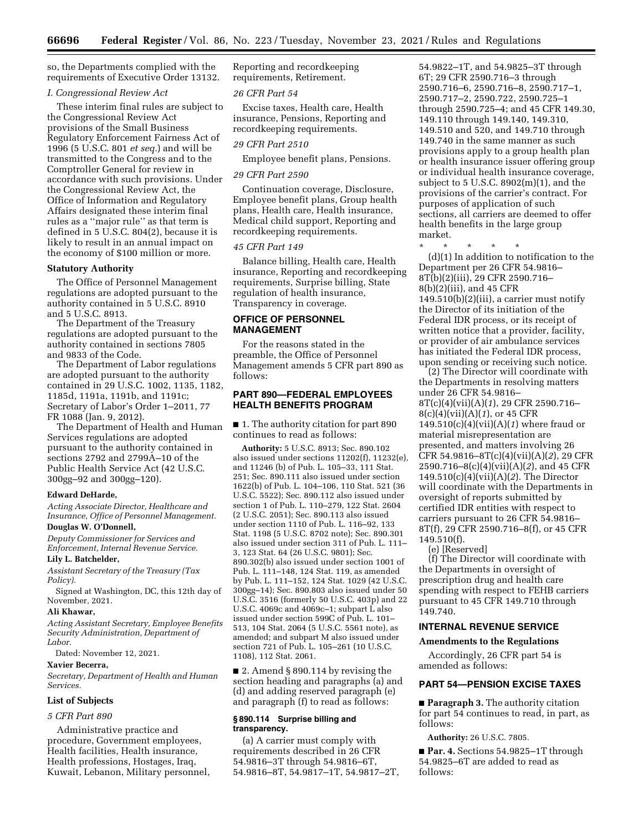so, the Departments complied with the requirements of Executive Order 13132.

### *I. Congressional Review Act*

These interim final rules are subject to the Congressional Review Act provisions of the Small Business Regulatory Enforcement Fairness Act of 1996 (5 U.S.C. 801 *et seq.*) and will be transmitted to the Congress and to the Comptroller General for review in accordance with such provisions. Under the Congressional Review Act, the Office of Information and Regulatory Affairs designated these interim final rules as a ''major rule'' as that term is defined in 5 U.S.C. 804(2), because it is likely to result in an annual impact on the economy of \$100 million or more.

### **Statutory Authority**

The Office of Personnel Management regulations are adopted pursuant to the authority contained in 5 U.S.C. 8910 and 5 U.S.C. 8913.

The Department of the Treasury regulations are adopted pursuant to the authority contained in sections 7805 and 9833 of the Code.

The Department of Labor regulations are adopted pursuant to the authority contained in 29 U.S.C. 1002, 1135, 1182, 1185d, 1191a, 1191b, and 1191c; Secretary of Labor's Order 1–2011, 77 FR 1088 (Jan. 9, 2012).

The Department of Health and Human Services regulations are adopted pursuant to the authority contained in sections 2792 and 2799A–10 of the Public Health Service Act (42 U.S.C. 300gg–92 and 300gg–120).

### **Edward DeHarde,**

*Acting Associate Director, Healthcare and Insurance, Office of Personnel Management.* 

### **Douglas W. O'Donnell,**

*Deputy Commissioner for Services and Enforcement, Internal Revenue Service.* 

# **Lily L. Batchelder,**

*Assistant Secretary of the Treasury (Tax Policy).* 

Signed at Washington, DC, this 12th day of November, 2021.

#### **Ali Khawar,**

*Acting Assistant Secretary, Employee Benefits Security Administration, Department of Labor.* 

Dated: November 12, 2021.

## **Xavier Becerra,**

*Secretary, Department of Health and Human Services.* 

### **List of Subjects**

## *5 CFR Part 890*

Administrative practice and procedure, Government employees, Health facilities, Health insurance, Health professions, Hostages, Iraq, Kuwait, Lebanon, Military personnel, Reporting and recordkeeping requirements, Retirement.

### *26 CFR Part 54*

Excise taxes, Health care, Health insurance, Pensions, Reporting and recordkeeping requirements.

# *29 CFR Part 2510*

Employee benefit plans, Pensions.

### *29 CFR Part 2590*

Continuation coverage, Disclosure, Employee benefit plans, Group health plans, Health care, Health insurance, Medical child support, Reporting and recordkeeping requirements.

# *45 CFR Part 149*

Balance billing, Health care, Health insurance, Reporting and recordkeeping requirements, Surprise billing, State regulation of health insurance, Transparency in coverage.

# **OFFICE OF PERSONNEL MANAGEMENT**

For the reasons stated in the preamble, the Office of Personnel Management amends 5 CFR part 890 as follows:

## **PART 890—FEDERAL EMPLOYEES HEALTH BENEFITS PROGRAM**

■ 1. The authority citation for part 890 continues to read as follows:

**Authority:** 5 U.S.C. 8913; Sec. 890.102 also issued under sections 11202(f), 11232(e), and 11246 (b) of Pub. L. 105–33, 111 Stat. 251; Sec. 890.111 also issued under section 1622(b) of Pub. L. 104–106, 110 Stat. 521 (36 U.S.C. 5522); Sec. 890.112 also issued under section 1 of Pub. L. 110–279, 122 Stat. 2604 (2 U.S.C. 2051); Sec. 890.113 also issued under section 1110 of Pub. L. 116–92, 133 Stat. 1198 (5 U.S.C. 8702 note); Sec. 890.301 also issued under section 311 of Pub. L. 111– 3, 123 Stat. 64 (26 U.S.C. 9801); Sec. 890.302(b) also issued under section 1001 of Pub. L. 111–148, 124 Stat. 119, as amended by Pub. L. 111–152, 124 Stat. 1029 (42 U.S.C. 300gg–14); Sec. 890.803 also issued under 50 U.S.C. 3516 (formerly 50 U.S.C. 403p) and 22 U.S.C. 4069c and 4069c–1; subpart L also issued under section 599C of Pub. L. 101– 513, 104 Stat. 2064 (5 U.S.C. 5561 note), as amended; and subpart M also issued under section 721 of Pub. L. 105–261 (10 U.S.C. 1108), 112 Stat. 2061.

■ 2. Amend § 890.114 by revising the section heading and paragraphs (a) and (d) and adding reserved paragraph (e) and paragraph (f) to read as follows:

# **§ 890.114 Surprise billing and transparency.**

(a) A carrier must comply with requirements described in 26 CFR 54.9816–3T through 54.9816–6T, 54.9816–8T, 54.9817–1T, 54.9817–2T,

54.9822–1T, and 54.9825–3T through 6T; 29 CFR 2590.716–3 through 2590.716–6, 2590.716–8, 2590.717–1, 2590.717–2, 2590.722, 2590.725–1 through 2590.725–4; and 45 CFR 149.30, 149.110 through 149.140, 149.310, 149.510 and 520, and 149.710 through 149.740 in the same manner as such provisions apply to a group health plan or health insurance issuer offering group or individual health insurance coverage, subject to 5 U.S.C.  $8902(m)(1)$ , and the provisions of the carrier's contract. For purposes of application of such sections, all carriers are deemed to offer health benefits in the large group market.

\* \* \* \* \*

(d)(1) In addition to notification to the Department per 26 CFR 54.9816– 8T(b)(2)(iii), 29 CFR 2590.716– 8(b)(2)(iii), and 45 CFR  $149.510(b)(2)(iii)$ , a carrier must notify the Director of its initiation of the Federal IDR process, or its receipt of written notice that a provider, facility, or provider of air ambulance services has initiated the Federal IDR process, upon sending or receiving such notice.

(2) The Director will coordinate with the Departments in resolving matters under 26 CFR 54.9816– 8T(c)(4)(vii)(A)(*1*), 29 CFR 2590.716– 8(c)(4)(vii)(A)(*1*), or 45 CFR 149.510(c)(4)(vii)(A)(*1*) where fraud or material misrepresentation are presented, and matters involving 26 CFR 54.9816–8T(c)(4)(vii)(A)(*2*), 29 CFR 2590.716–8(c)(4)(vii)(A)(*2*), and 45 CFR 149.510(c)(4)(vii)(A)(*2*). The Director will coordinate with the Departments in oversight of reports submitted by certified IDR entities with respect to carriers pursuant to 26 CFR 54.9816– 8T(f), 29 CFR 2590.716–8(f), or 45 CFR 149.510(f).

(e) [Reserved]

(f) The Director will coordinate with the Departments in oversight of prescription drug and health care spending with respect to FEHB carriers pursuant to 45 CFR 149.710 through 149.740.

# **INTERNAL REVENUE SERVICE**

#### **Amendments to the Regulations**

Accordingly, 26 CFR part 54 is amended as follows:

### **PART 54—PENSION EXCISE TAXES**

■ **Paragraph 3.** The authority citation for part 54 continues to read, in part, as follows:

**Authority:** 26 U.S.C. 7805.

■ **Par. 4.** Sections 54.9825–1T through 54.9825–6T are added to read as follows: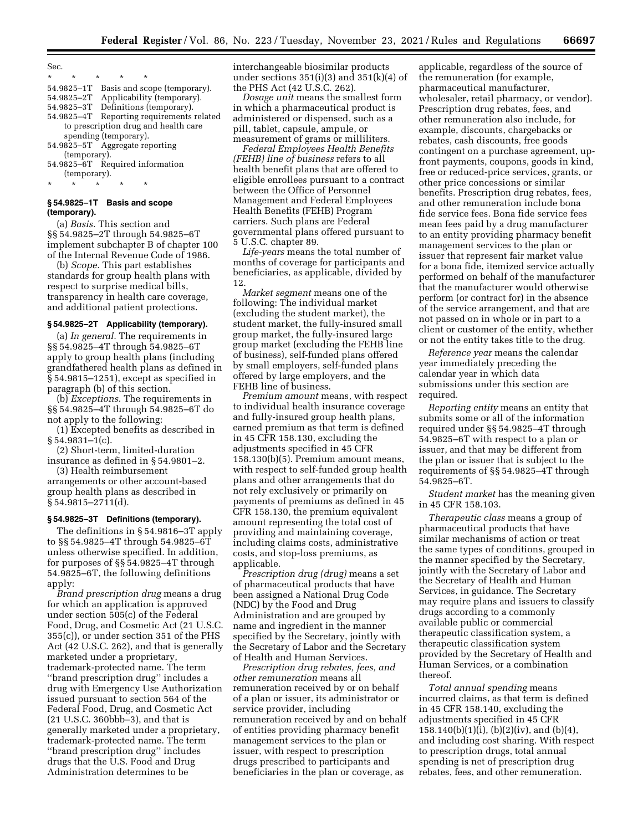- \* \* \* \* \* 54.9825–1T Basis and scope (temporary).
- 54.9825–2T Applicability (temporary).
- 54.9825–3T Definitions (temporary).
- 54.9825–4T Reporting requirements related to prescription drug and health care spending (temporary).
- 54.9825–5T Aggregate reporting (temporary).
- 54.9825–6T Required information (temporary).
- \* \* \* \* \*

# **§ 54.9825–1T Basis and scope (temporary).**

(a) *Basis.* This section and §§ 54.9825–2T through 54.9825–6T implement subchapter B of chapter 100 of the Internal Revenue Code of 1986.

(b) *Scope.* This part establishes standards for group health plans with respect to surprise medical bills, transparency in health care coverage, and additional patient protections.

### **§ 54.9825–2T Applicability (temporary).**

(a) *In general.* The requirements in §§ 54.9825–4T through 54.9825–6T apply to group health plans (including grandfathered health plans as defined in § 54.9815–1251), except as specified in paragraph (b) of this section.

(b) *Exceptions.* The requirements in §§ 54.9825–4T through 54.9825–6T do not apply to the following:

(1) Excepted benefits as described in  $§ 54.9831-1(c).$ 

(2) Short-term, limited-duration insurance as defined in § 54.9801–2.

(3) Health reimbursement arrangements or other account-based group health plans as described in § 54.9815–2711(d).

### **§ 54.9825–3T Definitions (temporary).**

The definitions in § 54.9816–3T apply to §§ 54.9825–4T through 54.9825–6T unless otherwise specified. In addition, for purposes of §§ 54.9825–4T through 54.9825–6T, the following definitions apply:

*Brand prescription drug* means a drug for which an application is approved under section 505(c) of the Federal Food, Drug, and Cosmetic Act (21 U.S.C. 355(c)), or under section 351 of the PHS Act (42 U.S.C. 262), and that is generally marketed under a proprietary, trademark-protected name. The term ''brand prescription drug'' includes a drug with Emergency Use Authorization issued pursuant to section 564 of the Federal Food, Drug, and Cosmetic Act (21 U.S.C. 360bbb–3), and that is generally marketed under a proprietary, trademark-protected name. The term ''brand prescription drug'' includes drugs that the U.S. Food and Drug Administration determines to be

interchangeable biosimilar products under sections  $351(i)(3)$  and  $351(k)(4)$  of the PHS Act (42 U.S.C. 262).

*Dosage unit* means the smallest form in which a pharmaceutical product is administered or dispensed, such as a pill, tablet, capsule, ampule, or measurement of grams or milliliters.

*Federal Employees Health Benefits (FEHB) line of business* refers to all health benefit plans that are offered to eligible enrollees pursuant to a contract between the Office of Personnel Management and Federal Employees Health Benefits (FEHB) Program carriers. Such plans are Federal governmental plans offered pursuant to 5 U.S.C. chapter 89.

*Life-years* means the total number of months of coverage for participants and beneficiaries, as applicable, divided by 12.

*Market segment* means one of the following: The individual market (excluding the student market), the student market, the fully-insured small group market, the fully-insured large group market (excluding the FEHB line of business), self-funded plans offered by small employers, self-funded plans offered by large employers, and the FEHB line of business.

*Premium amount* means, with respect to individual health insurance coverage and fully-insured group health plans, earned premium as that term is defined in 45 CFR 158.130, excluding the adjustments specified in 45 CFR 158.130(b)(5). Premium amount means, with respect to self-funded group health plans and other arrangements that do not rely exclusively or primarily on payments of premiums as defined in 45 CFR 158.130, the premium equivalent amount representing the total cost of providing and maintaining coverage, including claims costs, administrative costs, and stop-loss premiums, as applicable.

*Prescription drug (drug)* means a set of pharmaceutical products that have been assigned a National Drug Code (NDC) by the Food and Drug Administration and are grouped by name and ingredient in the manner specified by the Secretary, jointly with the Secretary of Labor and the Secretary of Health and Human Services.

*Prescription drug rebates, fees, and other remuneration* means all remuneration received by or on behalf of a plan or issuer, its administrator or service provider, including remuneration received by and on behalf of entities providing pharmacy benefit management services to the plan or issuer, with respect to prescription drugs prescribed to participants and beneficiaries in the plan or coverage, as

applicable, regardless of the source of the remuneration (for example, pharmaceutical manufacturer, wholesaler, retail pharmacy, or vendor). Prescription drug rebates, fees, and other remuneration also include, for example, discounts, chargebacks or rebates, cash discounts, free goods contingent on a purchase agreement, upfront payments, coupons, goods in kind, free or reduced-price services, grants, or other price concessions or similar benefits. Prescription drug rebates, fees, and other remuneration include bona fide service fees. Bona fide service fees mean fees paid by a drug manufacturer to an entity providing pharmacy benefit management services to the plan or issuer that represent fair market value for a bona fide, itemized service actually performed on behalf of the manufacturer that the manufacturer would otherwise perform (or contract for) in the absence of the service arrangement, and that are not passed on in whole or in part to a client or customer of the entity, whether or not the entity takes title to the drug.

*Reference year* means the calendar year immediately preceding the calendar year in which data submissions under this section are required.

*Reporting entity* means an entity that submits some or all of the information required under §§ 54.9825–4T through 54.9825–6T with respect to a plan or issuer, and that may be different from the plan or issuer that is subject to the requirements of §§ 54.9825–4T through 54.9825–6T.

*Student market* has the meaning given in 45 CFR 158.103.

*Therapeutic class* means a group of pharmaceutical products that have similar mechanisms of action or treat the same types of conditions, grouped in the manner specified by the Secretary, jointly with the Secretary of Labor and the Secretary of Health and Human Services, in guidance. The Secretary may require plans and issuers to classify drugs according to a commonly available public or commercial therapeutic classification system, a therapeutic classification system provided by the Secretary of Health and Human Services, or a combination thereof.

*Total annual spending* means incurred claims, as that term is defined in 45 CFR 158.140, excluding the adjustments specified in 45 CFR 158.140(b)(1)(i), (b)(2)(iv), and (b)(4), and including cost sharing. With respect to prescription drugs, total annual spending is net of prescription drug rebates, fees, and other remuneration.

Sec.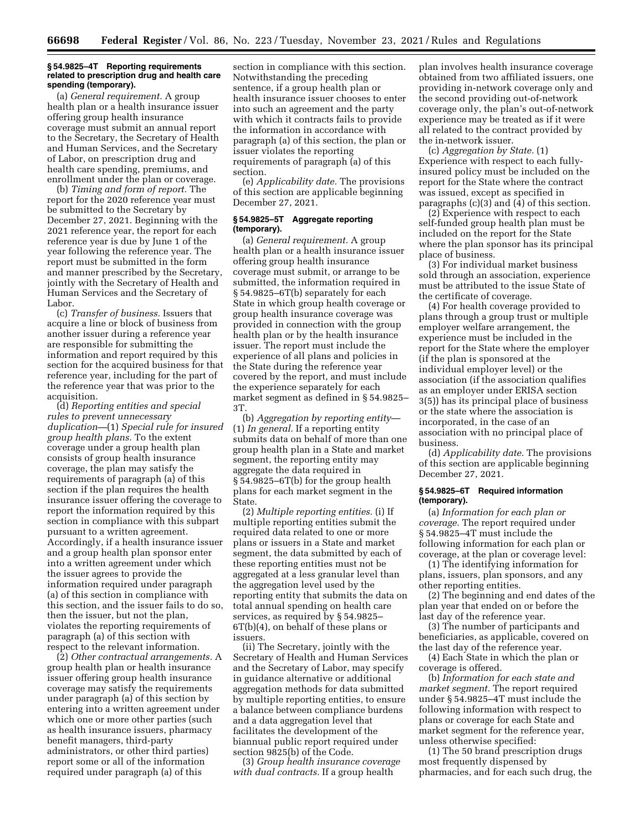### **§ 54.9825–4T Reporting requirements related to prescription drug and health care spending (temporary).**

(a) *General requirement.* A group health plan or a health insurance issuer offering group health insurance coverage must submit an annual report to the Secretary, the Secretary of Health and Human Services, and the Secretary of Labor, on prescription drug and health care spending, premiums, and enrollment under the plan or coverage.

(b) *Timing and form of report.* The report for the 2020 reference year must be submitted to the Secretary by December 27, 2021. Beginning with the 2021 reference year, the report for each reference year is due by June 1 of the year following the reference year. The report must be submitted in the form and manner prescribed by the Secretary, jointly with the Secretary of Health and Human Services and the Secretary of Labor.

(c) *Transfer of business.* Issuers that acquire a line or block of business from another issuer during a reference year are responsible for submitting the information and report required by this section for the acquired business for that reference year, including for the part of the reference year that was prior to the acquisition.

(d) *Reporting entities and special rules to prevent unnecessary duplication—*(1) *Special rule for insured group health plans.* To the extent coverage under a group health plan consists of group health insurance coverage, the plan may satisfy the requirements of paragraph (a) of this section if the plan requires the health insurance issuer offering the coverage to report the information required by this section in compliance with this subpart pursuant to a written agreement. Accordingly, if a health insurance issuer and a group health plan sponsor enter into a written agreement under which the issuer agrees to provide the information required under paragraph (a) of this section in compliance with this section, and the issuer fails to do so, then the issuer, but not the plan, violates the reporting requirements of paragraph (a) of this section with respect to the relevant information.

(2) *Other contractual arrangements.* A group health plan or health insurance issuer offering group health insurance coverage may satisfy the requirements under paragraph (a) of this section by entering into a written agreement under which one or more other parties (such as health insurance issuers, pharmacy benefit managers, third-party administrators, or other third parties) report some or all of the information required under paragraph (a) of this

section in compliance with this section. Notwithstanding the preceding sentence, if a group health plan or health insurance issuer chooses to enter into such an agreement and the party with which it contracts fails to provide the information in accordance with paragraph (a) of this section, the plan or issuer violates the reporting requirements of paragraph (a) of this section.

(e) *Applicability date.* The provisions of this section are applicable beginning December 27, 2021.

# **§ 54.9825–5T Aggregate reporting (temporary).**

(a) *General requirement.* A group health plan or a health insurance issuer offering group health insurance coverage must submit, or arrange to be submitted, the information required in § 54.9825–6T(b) separately for each State in which group health coverage or group health insurance coverage was provided in connection with the group health plan or by the health insurance issuer. The report must include the experience of all plans and policies in the State during the reference year covered by the report, and must include the experience separately for each market segment as defined in § 54.9825– 3T.

(b) *Aggregation by reporting entity*— (1) *In general.* If a reporting entity submits data on behalf of more than one group health plan in a State and market segment, the reporting entity may aggregate the data required in § 54.9825–6T(b) for the group health plans for each market segment in the State.

(2) *Multiple reporting entities.* (i) If multiple reporting entities submit the required data related to one or more plans or issuers in a State and market segment, the data submitted by each of these reporting entities must not be aggregated at a less granular level than the aggregation level used by the reporting entity that submits the data on total annual spending on health care services, as required by § 54.9825– 6T(b)(4), on behalf of these plans or issuers.

(ii) The Secretary, jointly with the Secretary of Health and Human Services and the Secretary of Labor, may specify in guidance alternative or additional aggregation methods for data submitted by multiple reporting entities, to ensure a balance between compliance burdens and a data aggregation level that facilitates the development of the biannual public report required under section 9825(b) of the Code.

(3) *Group health insurance coverage with dual contracts.* If a group health

plan involves health insurance coverage obtained from two affiliated issuers, one providing in-network coverage only and the second providing out-of-network coverage only, the plan's out-of-network experience may be treated as if it were all related to the contract provided by the in-network issuer.

(c) *Aggregation by State.* (1) Experience with respect to each fullyinsured policy must be included on the report for the State where the contract was issued, except as specified in paragraphs (c)(3) and (4) of this section.

(2) Experience with respect to each self-funded group health plan must be included on the report for the State where the plan sponsor has its principal place of business.

(3) For individual market business sold through an association, experience must be attributed to the issue State of the certificate of coverage.

(4) For health coverage provided to plans through a group trust or multiple employer welfare arrangement, the experience must be included in the report for the State where the employer (if the plan is sponsored at the individual employer level) or the association (if the association qualifies as an employer under ERISA section 3(5)) has its principal place of business or the state where the association is incorporated, in the case of an association with no principal place of business.

(d) *Applicability date.* The provisions of this section are applicable beginning December 27, 2021.

# **§ 54.9825–6T Required information (temporary).**

(a) *Information for each plan or coverage.* The report required under § 54.9825–4T must include the following information for each plan or coverage, at the plan or coverage level:

(1) The identifying information for plans, issuers, plan sponsors, and any other reporting entities.

(2) The beginning and end dates of the plan year that ended on or before the last day of the reference year.

(3) The number of participants and beneficiaries, as applicable, covered on the last day of the reference year.

(4) Each State in which the plan or coverage is offered.

(b) *Information for each state and market segment.* The report required under § 54.9825–4T must include the following information with respect to plans or coverage for each State and market segment for the reference year, unless otherwise specified:

(1) The 50 brand prescription drugs most frequently dispensed by pharmacies, and for each such drug, the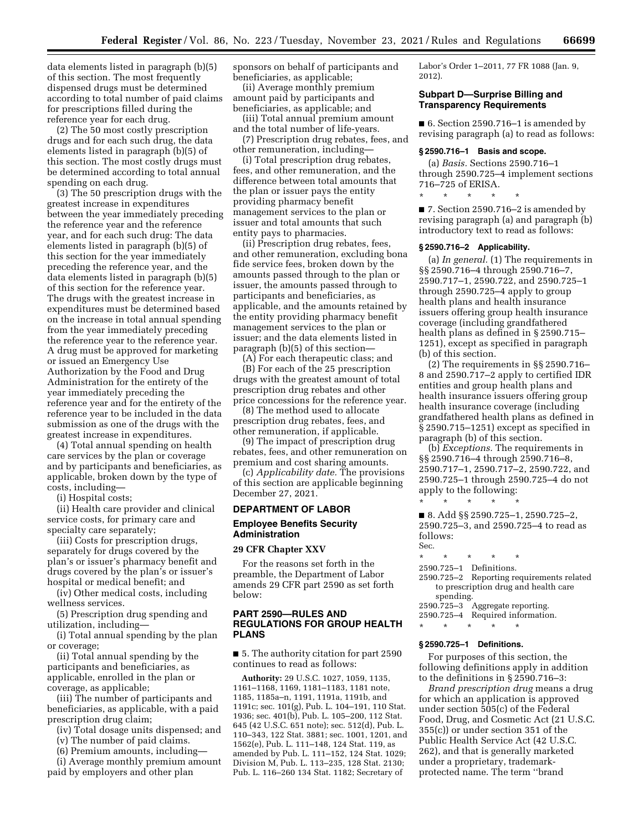data elements listed in paragraph (b)(5) of this section. The most frequently dispensed drugs must be determined according to total number of paid claims for prescriptions filled during the reference year for each drug.

(2) The 50 most costly prescription drugs and for each such drug, the data elements listed in paragraph (b)(5) of this section. The most costly drugs must be determined according to total annual spending on each drug.

(3) The 50 prescription drugs with the greatest increase in expenditures between the year immediately preceding the reference year and the reference year, and for each such drug: The data elements listed in paragraph (b)(5) of this section for the year immediately preceding the reference year, and the data elements listed in paragraph (b)(5) of this section for the reference year. The drugs with the greatest increase in expenditures must be determined based on the increase in total annual spending from the year immediately preceding the reference year to the reference year. A drug must be approved for marketing or issued an Emergency Use Authorization by the Food and Drug Administration for the entirety of the year immediately preceding the reference year and for the entirety of the reference year to be included in the data submission as one of the drugs with the greatest increase in expenditures.

(4) Total annual spending on health care services by the plan or coverage and by participants and beneficiaries, as applicable, broken down by the type of costs, including—

(i) Hospital costs;

(ii) Health care provider and clinical service costs, for primary care and specialty care separately;

(iii) Costs for prescription drugs, separately for drugs covered by the plan's or issuer's pharmacy benefit and drugs covered by the plan's or issuer's hospital or medical benefit; and

(iv) Other medical costs, including wellness services.

(5) Prescription drug spending and utilization, including—

(i) Total annual spending by the plan or coverage;

(ii) Total annual spending by the participants and beneficiaries, as applicable, enrolled in the plan or coverage, as applicable;

(iii) The number of participants and beneficiaries, as applicable, with a paid prescription drug claim;

(iv) Total dosage units dispensed; and

(v) The number of paid claims.

(6) Premium amounts, including—

(i) Average monthly premium amount paid by employers and other plan

sponsors on behalf of participants and beneficiaries, as applicable;

(ii) Average monthly premium amount paid by participants and beneficiaries, as applicable; and

(iii) Total annual premium amount and the total number of life-years.

(7) Prescription drug rebates, fees, and other remuneration, including—

(i) Total prescription drug rebates, fees, and other remuneration, and the difference between total amounts that the plan or issuer pays the entity providing pharmacy benefit management services to the plan or issuer and total amounts that such entity pays to pharmacies.

(ii) Prescription drug rebates, fees, and other remuneration, excluding bona fide service fees, broken down by the amounts passed through to the plan or issuer, the amounts passed through to participants and beneficiaries, as applicable, and the amounts retained by the entity providing pharmacy benefit management services to the plan or issuer; and the data elements listed in paragraph (b)(5) of this section—

(A) For each therapeutic class; and (B) For each of the 25 prescription drugs with the greatest amount of total prescription drug rebates and other price concessions for the reference year.

(8) The method used to allocate prescription drug rebates, fees, and other remuneration, if applicable.

(9) The impact of prescription drug rebates, fees, and other remuneration on premium and cost sharing amounts.

(c) *Applicability date.* The provisions of this section are applicable beginning December 27, 2021.

## **DEPARTMENT OF LABOR**

# **Employee Benefits Security Administration**

### **29 CFR Chapter XXV**

For the reasons set forth in the preamble, the Department of Labor amends 29 CFR part 2590 as set forth below:

## **PART 2590—RULES AND REGULATIONS FOR GROUP HEALTH PLANS**

■ 5. The authority citation for part 2590 continues to read as follows:

**Authority:** 29 U.S.C. 1027, 1059, 1135, 1161–1168, 1169, 1181–1183, 1181 note, 1185, 1185a–n, 1191, 1191a, 1191b, and 1191c; sec. 101(g), Pub. L. 104–191, 110 Stat. 1936; sec. 401(b), Pub. L. 105–200, 112 Stat. 645 (42 U.S.C. 651 note); sec. 512(d), Pub. L. 110–343, 122 Stat. 3881; sec. 1001, 1201, and 1562(e), Pub. L. 111–148, 124 Stat. 119, as amended by Pub. L. 111–152, 124 Stat. 1029; Division M, Pub. L. 113–235, 128 Stat. 2130; Pub. L. 116–260 134 Stat. 1182; Secretary of

Labor's Order 1–2011, 77 FR 1088 (Jan. 9, 2012).

## **Subpart D—Surprise Billing and Transparency Requirements**

■ 6. Section 2590.716–1 is amended by revising paragraph (a) to read as follows:

#### **§ 2590.716–1 Basis and scope.**

(a) *Basis.* Sections 2590.716–1 through 2590.725–4 implement sections 716–725 of ERISA.

\* \* \* \* \*

■ 7. Section 2590.716–2 is amended by revising paragraph (a) and paragraph (b) introductory text to read as follows:

#### **§ 2590.716–2 Applicability.**

(a) *In general.* (1) The requirements in §§ 2590.716–4 through 2590.716–7, 2590.717–1, 2590.722, and 2590.725–1 through 2590.725–4 apply to group health plans and health insurance issuers offering group health insurance coverage (including grandfathered health plans as defined in § 2590.715– 1251), except as specified in paragraph (b) of this section.

(2) The requirements in §§ 2590.716– 8 and 2590.717–2 apply to certified IDR entities and group health plans and health insurance issuers offering group health insurance coverage (including grandfathered health plans as defined in § 2590.715–1251) except as specified in paragraph (b) of this section.

(b) *Exceptions.* The requirements in §§ 2590.716–4 through 2590.716–8, 2590.717–1, 2590.717–2, 2590.722, and 2590.725–1 through 2590.725–4 do not apply to the following: \* \* \* \* \*

■ 8. Add §§ 2590.725-1, 2590.725-2, 2590.725–3, and 2590.725–4 to read as follows: Sec.

\* \* \* \* \* 2590.725–1 Definitions. 2590.725–2 Reporting requirements related to prescription drug and health care spending. 2590.725–3 Aggregate reporting. 2590.725–4 Required information.

\* \* \* \* \*

### **§ 2590.725–1 Definitions.**

For purposes of this section, the following definitions apply in addition to the definitions in § 2590.716–3:

*Brand prescription drug* means a drug for which an application is approved under section 505(c) of the Federal Food, Drug, and Cosmetic Act (21 U.S.C. 355(c)) or under section 351 of the Public Health Service Act (42 U.S.C. 262), and that is generally marketed under a proprietary, trademarkprotected name. The term ''brand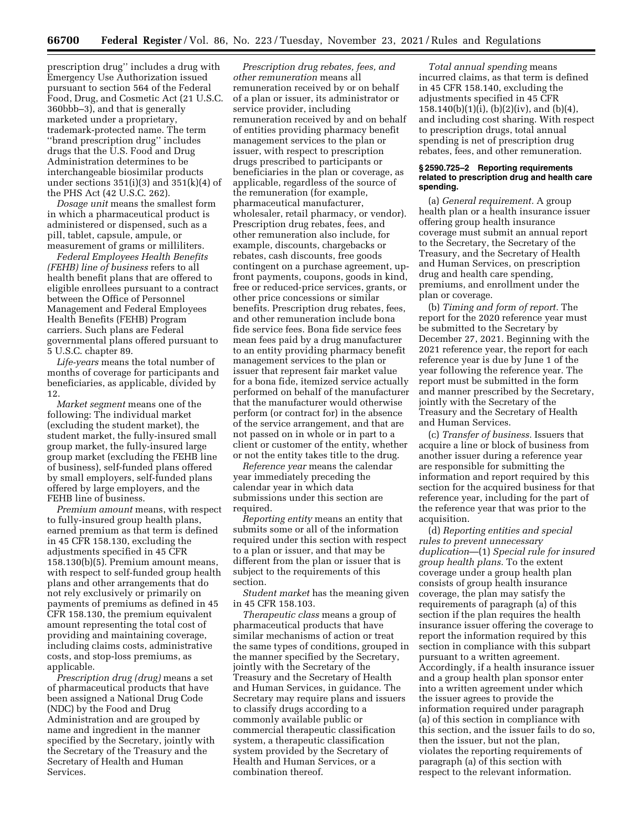prescription drug'' includes a drug with Emergency Use Authorization issued pursuant to section 564 of the Federal Food, Drug, and Cosmetic Act (21 U.S.C. 360bbb–3), and that is generally marketed under a proprietary, trademark-protected name. The term ''brand prescription drug'' includes drugs that the U.S. Food and Drug Administration determines to be interchangeable biosimilar products under sections  $351(i)(3)$  and  $351(k)(4)$  of the PHS Act (42 U.S.C. 262).

*Dosage unit* means the smallest form in which a pharmaceutical product is administered or dispensed, such as a pill, tablet, capsule, ampule, or measurement of grams or milliliters.

*Federal Employees Health Benefits (FEHB) line of business* refers to all health benefit plans that are offered to eligible enrollees pursuant to a contract between the Office of Personnel Management and Federal Employees Health Benefits (FEHB) Program carriers. Such plans are Federal governmental plans offered pursuant to 5 U.S.C. chapter 89.

*Life-years* means the total number of months of coverage for participants and beneficiaries, as applicable, divided by 12.

*Market segment* means one of the following: The individual market (excluding the student market), the student market, the fully-insured small group market, the fully-insured large group market (excluding the FEHB line of business), self-funded plans offered by small employers, self-funded plans offered by large employers, and the FEHB line of business.

*Premium amount* means, with respect to fully-insured group health plans, earned premium as that term is defined in 45 CFR 158.130, excluding the adjustments specified in 45 CFR 158.130(b)(5). Premium amount means, with respect to self-funded group health plans and other arrangements that do not rely exclusively or primarily on payments of premiums as defined in 45 CFR 158.130, the premium equivalent amount representing the total cost of providing and maintaining coverage, including claims costs, administrative costs, and stop-loss premiums, as applicable.

*Prescription drug (drug)* means a set of pharmaceutical products that have been assigned a National Drug Code (NDC) by the Food and Drug Administration and are grouped by name and ingredient in the manner specified by the Secretary, jointly with the Secretary of the Treasury and the Secretary of Health and Human Services.

*Prescription drug rebates, fees, and other remuneration* means all remuneration received by or on behalf of a plan or issuer, its administrator or service provider, including remuneration received by and on behalf of entities providing pharmacy benefit management services to the plan or issuer, with respect to prescription drugs prescribed to participants or beneficiaries in the plan or coverage, as applicable, regardless of the source of the remuneration (for example, pharmaceutical manufacturer, wholesaler, retail pharmacy, or vendor). Prescription drug rebates, fees, and other remuneration also include, for example, discounts, chargebacks or rebates, cash discounts, free goods contingent on a purchase agreement, upfront payments, coupons, goods in kind, free or reduced-price services, grants, or other price concessions or similar benefits. Prescription drug rebates, fees, and other remuneration include bona fide service fees. Bona fide service fees mean fees paid by a drug manufacturer to an entity providing pharmacy benefit management services to the plan or issuer that represent fair market value for a bona fide, itemized service actually performed on behalf of the manufacturer that the manufacturer would otherwise perform (or contract for) in the absence of the service arrangement, and that are not passed on in whole or in part to a client or customer of the entity, whether or not the entity takes title to the drug.

*Reference year* means the calendar year immediately preceding the calendar year in which data submissions under this section are required.

*Reporting entity* means an entity that submits some or all of the information required under this section with respect to a plan or issuer, and that may be different from the plan or issuer that is subject to the requirements of this section.

*Student market* has the meaning given in 45 CFR 158.103.

*Therapeutic class* means a group of pharmaceutical products that have similar mechanisms of action or treat the same types of conditions, grouped in the manner specified by the Secretary, jointly with the Secretary of the Treasury and the Secretary of Health and Human Services, in guidance. The Secretary may require plans and issuers to classify drugs according to a commonly available public or commercial therapeutic classification system, a therapeutic classification system provided by the Secretary of Health and Human Services, or a combination thereof.

*Total annual spending* means incurred claims, as that term is defined in 45 CFR 158.140, excluding the adjustments specified in 45 CFR 158.140(b)(1)(i), (b)(2)(iv), and (b)(4), and including cost sharing. With respect to prescription drugs, total annual spending is net of prescription drug rebates, fees, and other remuneration.

### **§ 2590.725–2 Reporting requirements related to prescription drug and health care spending.**

(a) *General requirement.* A group health plan or a health insurance issuer offering group health insurance coverage must submit an annual report to the Secretary, the Secretary of the Treasury, and the Secretary of Health and Human Services, on prescription drug and health care spending, premiums, and enrollment under the plan or coverage.

(b) *Timing and form of report.* The report for the 2020 reference year must be submitted to the Secretary by December 27, 2021. Beginning with the 2021 reference year, the report for each reference year is due by June 1 of the year following the reference year. The report must be submitted in the form and manner prescribed by the Secretary, jointly with the Secretary of the Treasury and the Secretary of Health and Human Services.

(c) *Transfer of business.* Issuers that acquire a line or block of business from another issuer during a reference year are responsible for submitting the information and report required by this section for the acquired business for that reference year, including for the part of the reference year that was prior to the acquisition.

(d) *Reporting entities and special rules to prevent unnecessary duplication*—(1) *Special rule for insured group health plans.* To the extent coverage under a group health plan consists of group health insurance coverage, the plan may satisfy the requirements of paragraph (a) of this section if the plan requires the health insurance issuer offering the coverage to report the information required by this section in compliance with this subpart pursuant to a written agreement. Accordingly, if a health insurance issuer and a group health plan sponsor enter into a written agreement under which the issuer agrees to provide the information required under paragraph (a) of this section in compliance with this section, and the issuer fails to do so, then the issuer, but not the plan, violates the reporting requirements of paragraph (a) of this section with respect to the relevant information.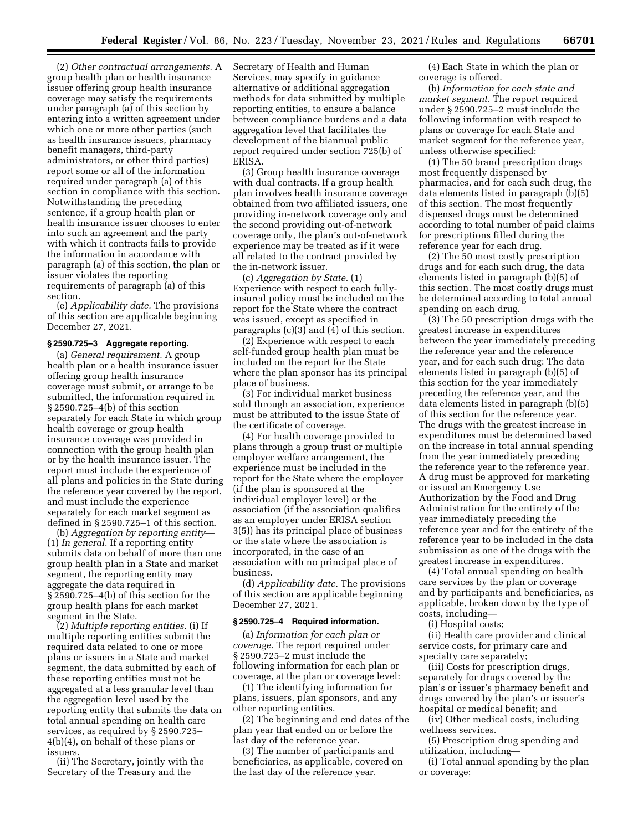(2) *Other contractual arrangements.* A group health plan or health insurance issuer offering group health insurance coverage may satisfy the requirements under paragraph (a) of this section by entering into a written agreement under which one or more other parties (such as health insurance issuers, pharmacy benefit managers, third-party administrators, or other third parties) report some or all of the information required under paragraph (a) of this section in compliance with this section. Notwithstanding the preceding sentence, if a group health plan or health insurance issuer chooses to enter into such an agreement and the party with which it contracts fails to provide the information in accordance with paragraph (a) of this section, the plan or issuer violates the reporting requirements of paragraph (a) of this section.

(e) *Applicability date.* The provisions of this section are applicable beginning December 27, 2021.

### **§ 2590.725–3 Aggregate reporting.**

(a) *General requirement.* A group health plan or a health insurance issuer offering group health insurance coverage must submit, or arrange to be submitted, the information required in § 2590.725–4(b) of this section separately for each State in which group health coverage or group health insurance coverage was provided in connection with the group health plan or by the health insurance issuer. The report must include the experience of all plans and policies in the State during the reference year covered by the report, and must include the experience separately for each market segment as defined in § 2590.725–1 of this section.

(b) *Aggregation by reporting entity*— (1) *In general.* If a reporting entity submits data on behalf of more than one group health plan in a State and market segment, the reporting entity may aggregate the data required in § 2590.725–4(b) of this section for the group health plans for each market segment in the State.

(2) *Multiple reporting entities.* (i) If multiple reporting entities submit the required data related to one or more plans or issuers in a State and market segment, the data submitted by each of these reporting entities must not be aggregated at a less granular level than the aggregation level used by the reporting entity that submits the data on total annual spending on health care services, as required by § 2590.725– 4(b)(4), on behalf of these plans or issuers.

(ii) The Secretary, jointly with the Secretary of the Treasury and the

Secretary of Health and Human Services, may specify in guidance alternative or additional aggregation methods for data submitted by multiple reporting entities, to ensure a balance between compliance burdens and a data aggregation level that facilitates the development of the biannual public report required under section 725(b) of ERISA.

(3) Group health insurance coverage with dual contracts. If a group health plan involves health insurance coverage obtained from two affiliated issuers, one providing in-network coverage only and the second providing out-of-network coverage only, the plan's out-of-network experience may be treated as if it were all related to the contract provided by the in-network issuer.

(c) *Aggregation by State.* (1) Experience with respect to each fullyinsured policy must be included on the report for the State where the contract was issued, except as specified in paragraphs (c)(3) and (4) of this section.

(2) Experience with respect to each self-funded group health plan must be included on the report for the State where the plan sponsor has its principal place of business.

(3) For individual market business sold through an association, experience must be attributed to the issue State of the certificate of coverage.

(4) For health coverage provided to plans through a group trust or multiple employer welfare arrangement, the experience must be included in the report for the State where the employer (if the plan is sponsored at the individual employer level) or the association (if the association qualifies as an employer under ERISA section 3(5)) has its principal place of business or the state where the association is incorporated, in the case of an association with no principal place of business.

(d) *Applicability date.* The provisions of this section are applicable beginning December 27, 2021.

### **§ 2590.725–4 Required information.**

(a) *Information for each plan or coverage.* The report required under § 2590.725–2 must include the following information for each plan or coverage, at the plan or coverage level:

(1) The identifying information for plans, issuers, plan sponsors, and any other reporting entities.

(2) The beginning and end dates of the plan year that ended on or before the last day of the reference year.

(3) The number of participants and beneficiaries, as applicable, covered on the last day of the reference year.

(4) Each State in which the plan or coverage is offered.

(b) *Information for each state and market segment.* The report required under § 2590.725–2 must include the following information with respect to plans or coverage for each State and market segment for the reference year, unless otherwise specified:

(1) The 50 brand prescription drugs most frequently dispensed by pharmacies, and for each such drug, the data elements listed in paragraph (b)(5) of this section. The most frequently dispensed drugs must be determined according to total number of paid claims for prescriptions filled during the reference year for each drug.

(2) The 50 most costly prescription drugs and for each such drug, the data elements listed in paragraph (b)(5) of this section. The most costly drugs must be determined according to total annual spending on each drug.

(3) The 50 prescription drugs with the greatest increase in expenditures between the year immediately preceding the reference year and the reference year, and for each such drug: The data elements listed in paragraph (b)(5) of this section for the year immediately preceding the reference year, and the data elements listed in paragraph (b)(5) of this section for the reference year. The drugs with the greatest increase in expenditures must be determined based on the increase in total annual spending from the year immediately preceding the reference year to the reference year. A drug must be approved for marketing or issued an Emergency Use Authorization by the Food and Drug Administration for the entirety of the year immediately preceding the reference year and for the entirety of the reference year to be included in the data submission as one of the drugs with the greatest increase in expenditures.

(4) Total annual spending on health care services by the plan or coverage and by participants and beneficiaries, as applicable, broken down by the type of costs, including—

(i) Hospital costs;

(ii) Health care provider and clinical service costs, for primary care and specialty care separately;

(iii) Costs for prescription drugs, separately for drugs covered by the plan's or issuer's pharmacy benefit and drugs covered by the plan's or issuer's hospital or medical benefit; and

(iv) Other medical costs, including wellness services.

(5) Prescription drug spending and utilization, including—

(i) Total annual spending by the plan or coverage;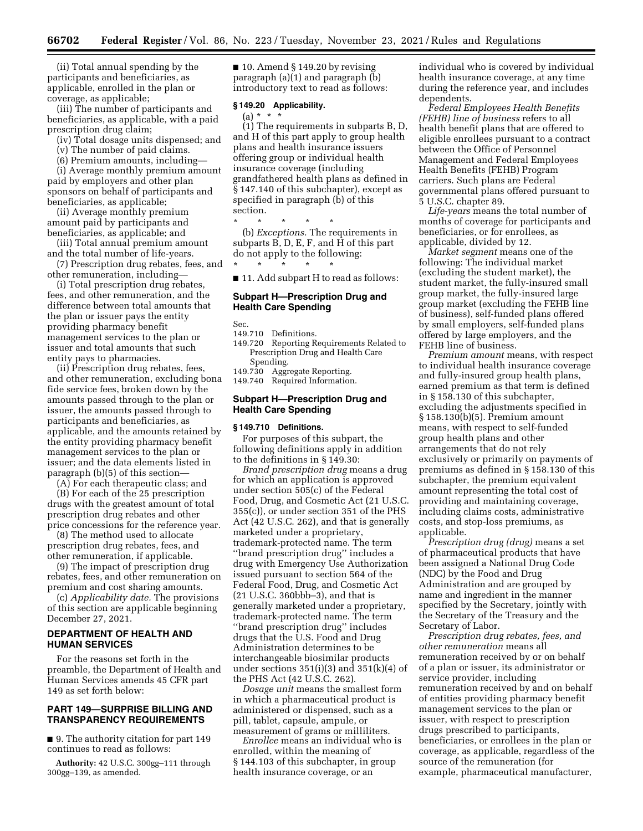(ii) Total annual spending by the participants and beneficiaries, as applicable, enrolled in the plan or coverage, as applicable;

(iii) The number of participants and beneficiaries, as applicable, with a paid prescription drug claim;

(iv) Total dosage units dispensed; and

(v) The number of paid claims.

(6) Premium amounts, including—

(i) Average monthly premium amount paid by employers and other plan sponsors on behalf of participants and beneficiaries, as applicable;

(ii) Average monthly premium amount paid by participants and beneficiaries, as applicable; and

(iii) Total annual premium amount and the total number of life-years.

(7) Prescription drug rebates, fees, and other remuneration, including—

(i) Total prescription drug rebates, fees, and other remuneration, and the difference between total amounts that the plan or issuer pays the entity providing pharmacy benefit management services to the plan or issuer and total amounts that such entity pays to pharmacies.

(ii) Prescription drug rebates, fees, and other remuneration, excluding bona fide service fees, broken down by the amounts passed through to the plan or issuer, the amounts passed through to participants and beneficiaries, as applicable, and the amounts retained by the entity providing pharmacy benefit management services to the plan or issuer; and the data elements listed in paragraph (b)(5) of this section—

(A) For each therapeutic class; and

(B) For each of the 25 prescription drugs with the greatest amount of total prescription drug rebates and other price concessions for the reference year.

(8) The method used to allocate prescription drug rebates, fees, and other remuneration, if applicable.

(9) The impact of prescription drug rebates, fees, and other remuneration on premium and cost sharing amounts.

(c) *Applicability date.* The provisions of this section are applicable beginning December 27, 2021.

# **DEPARTMENT OF HEALTH AND HUMAN SERVICES**

For the reasons set forth in the preamble, the Department of Health and Human Services amends 45 CFR part 149 as set forth below:

# **PART 149—SURPRISE BILLING AND TRANSPARENCY REQUIREMENTS**

■ 9. The authority citation for part 149 continues to read as follows:

**Authority:** 42 U.S.C. 300gg–111 through 300gg–139, as amended.

■ 10. Amend § 149.20 by revising paragraph (a)(1) and paragraph (b) introductory text to read as follows:

## **§ 149.20 Applicability.**

 $(a) * * *$ 

(1) The requirements in subparts B, D, and H of this part apply to group health plans and health insurance issuers offering group or individual health insurance coverage (including grandfathered health plans as defined in § 147.140 of this subchapter), except as specified in paragraph (b) of this section.

\* \* \* \* \* (b) *Exceptions.* The requirements in subparts B, D, E, F, and H of this part do not apply to the following:

■ 11. Add subpart H to read as follows:

# **Subpart H—Prescription Drug and Health Care Spending**

Sec.

149.710 Definitions.

\* \* \* \* \*

- 149.720 Reporting Requirements Related to Prescription Drug and Health Care Spending.
- 149.730 Aggregate Reporting. 149.740 Required Information.

# **Subpart H—Prescription Drug and Health Care Spending**

### **§ 149.710 Definitions.**

For purposes of this subpart, the following definitions apply in addition to the definitions in § 149.30:

*Brand prescription drug* means a drug for which an application is approved under section 505(c) of the Federal Food, Drug, and Cosmetic Act (21 U.S.C. 355(c)), or under section 351 of the PHS Act (42 U.S.C. 262), and that is generally marketed under a proprietary, trademark-protected name. The term ''brand prescription drug'' includes a drug with Emergency Use Authorization issued pursuant to section 564 of the Federal Food, Drug, and Cosmetic Act (21 U.S.C. 360bbb–3), and that is generally marketed under a proprietary, trademark-protected name. The term ''brand prescription drug'' includes drugs that the U.S. Food and Drug Administration determines to be interchangeable biosimilar products under sections  $351(i)(3)$  and  $351(k)(4)$  of the PHS Act (42 U.S.C. 262).

*Dosage unit* means the smallest form in which a pharmaceutical product is administered or dispensed, such as a pill, tablet, capsule, ampule, or measurement of grams or milliliters.

*Enrollee* means an individual who is enrolled, within the meaning of § 144.103 of this subchapter, in group health insurance coverage, or an

individual who is covered by individual health insurance coverage, at any time during the reference year, and includes dependents.

*Federal Employees Health Benefits (FEHB) line of business* refers to all health benefit plans that are offered to eligible enrollees pursuant to a contract between the Office of Personnel Management and Federal Employees Health Benefits (FEHB) Program carriers. Such plans are Federal governmental plans offered pursuant to 5 U.S.C. chapter 89.

*Life-years* means the total number of months of coverage for participants and beneficiaries, or for enrollees, as applicable, divided by 12.

*Market segment* means one of the following: The individual market (excluding the student market), the student market, the fully-insured small group market, the fully-insured large group market (excluding the FEHB line of business), self-funded plans offered by small employers, self-funded plans offered by large employers, and the FEHB line of business.

*Premium amount* means, with respect to individual health insurance coverage and fully-insured group health plans, earned premium as that term is defined in § 158.130 of this subchapter, excluding the adjustments specified in § 158.130(b)(5). Premium amount means, with respect to self-funded group health plans and other arrangements that do not rely exclusively or primarily on payments of premiums as defined in § 158.130 of this subchapter, the premium equivalent amount representing the total cost of providing and maintaining coverage, including claims costs, administrative costs, and stop-loss premiums, as applicable.

*Prescription drug (drug)* means a set of pharmaceutical products that have been assigned a National Drug Code (NDC) by the Food and Drug Administration and are grouped by name and ingredient in the manner specified by the Secretary, jointly with the Secretary of the Treasury and the Secretary of Labor.

*Prescription drug rebates, fees, and other remuneration* means all remuneration received by or on behalf of a plan or issuer, its administrator or service provider, including remuneration received by and on behalf of entities providing pharmacy benefit management services to the plan or issuer, with respect to prescription drugs prescribed to participants, beneficiaries, or enrollees in the plan or coverage, as applicable, regardless of the source of the remuneration (for example, pharmaceutical manufacturer,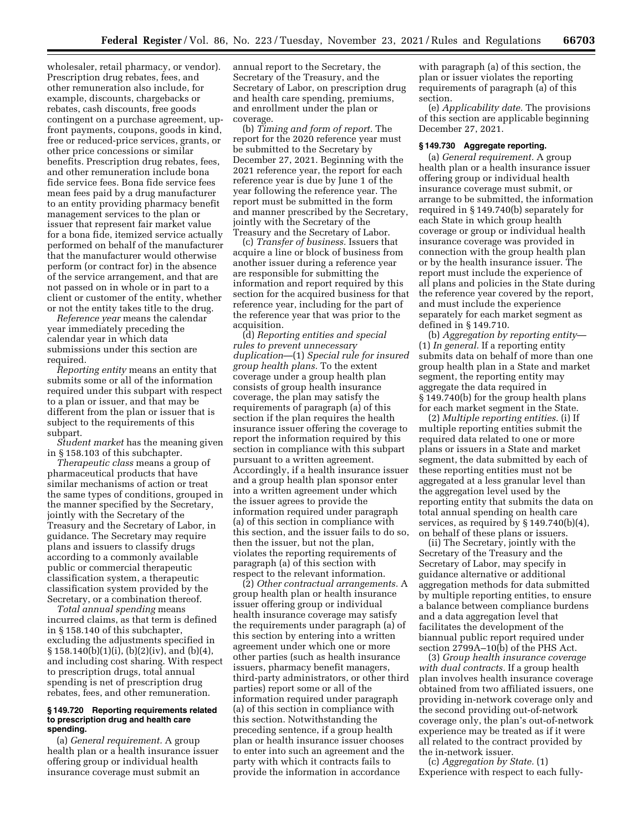wholesaler, retail pharmacy, or vendor). Prescription drug rebates, fees, and other remuneration also include, for example, discounts, chargebacks or rebates, cash discounts, free goods contingent on a purchase agreement, upfront payments, coupons, goods in kind, free or reduced-price services, grants, or other price concessions or similar benefits. Prescription drug rebates, fees, and other remuneration include bona fide service fees. Bona fide service fees mean fees paid by a drug manufacturer to an entity providing pharmacy benefit management services to the plan or issuer that represent fair market value for a bona fide, itemized service actually performed on behalf of the manufacturer that the manufacturer would otherwise perform (or contract for) in the absence of the service arrangement, and that are not passed on in whole or in part to a client or customer of the entity, whether or not the entity takes title to the drug.

*Reference year* means the calendar year immediately preceding the calendar year in which data submissions under this section are required.

*Reporting entity* means an entity that submits some or all of the information required under this subpart with respect to a plan or issuer, and that may be different from the plan or issuer that is subject to the requirements of this subpart.

*Student market* has the meaning given in § 158.103 of this subchapter.

*Therapeutic class* means a group of pharmaceutical products that have similar mechanisms of action or treat the same types of conditions, grouped in the manner specified by the Secretary, jointly with the Secretary of the Treasury and the Secretary of Labor, in guidance. The Secretary may require plans and issuers to classify drugs according to a commonly available public or commercial therapeutic classification system, a therapeutic classification system provided by the Secretary, or a combination thereof.

*Total annual spending* means incurred claims, as that term is defined in § 158.140 of this subchapter, excluding the adjustments specified in § 158.140(b)(1)(i), (b)(2)(iv), and (b)(4), and including cost sharing. With respect to prescription drugs, total annual spending is net of prescription drug rebates, fees, and other remuneration.

## **§ 149.720 Reporting requirements related to prescription drug and health care spending.**

(a) *General requirement.* A group health plan or a health insurance issuer offering group or individual health insurance coverage must submit an

annual report to the Secretary, the Secretary of the Treasury, and the Secretary of Labor, on prescription drug and health care spending, premiums, and enrollment under the plan or coverage.

(b) *Timing and form of report.* The report for the 2020 reference year must be submitted to the Secretary by December 27, 2021. Beginning with the 2021 reference year, the report for each reference year is due by June 1 of the year following the reference year. The report must be submitted in the form and manner prescribed by the Secretary, jointly with the Secretary of the Treasury and the Secretary of Labor.

(c) *Transfer of business.* Issuers that acquire a line or block of business from another issuer during a reference year are responsible for submitting the information and report required by this section for the acquired business for that reference year, including for the part of the reference year that was prior to the acquisition.

(d) *Reporting entities and special rules to prevent unnecessary duplication*—(1) *Special rule for insured group health plans.* To the extent coverage under a group health plan consists of group health insurance coverage, the plan may satisfy the requirements of paragraph (a) of this section if the plan requires the health insurance issuer offering the coverage to report the information required by this section in compliance with this subpart pursuant to a written agreement. Accordingly, if a health insurance issuer and a group health plan sponsor enter into a written agreement under which the issuer agrees to provide the information required under paragraph (a) of this section in compliance with this section, and the issuer fails to do so, then the issuer, but not the plan, violates the reporting requirements of paragraph (a) of this section with respect to the relevant information.

(2) *Other contractual arrangements.* A group health plan or health insurance issuer offering group or individual health insurance coverage may satisfy the requirements under paragraph (a) of this section by entering into a written agreement under which one or more other parties (such as health insurance issuers, pharmacy benefit managers, third-party administrators, or other third parties) report some or all of the information required under paragraph (a) of this section in compliance with this section. Notwithstanding the preceding sentence, if a group health plan or health insurance issuer chooses to enter into such an agreement and the party with which it contracts fails to provide the information in accordance

with paragraph (a) of this section, the plan or issuer violates the reporting requirements of paragraph (a) of this section.

(e) *Applicability date.* The provisions of this section are applicable beginning December 27, 2021.

### **§ 149.730 Aggregate reporting.**

(a) *General requirement.* A group health plan or a health insurance issuer offering group or individual health insurance coverage must submit, or arrange to be submitted, the information required in § 149.740(b) separately for each State in which group health coverage or group or individual health insurance coverage was provided in connection with the group health plan or by the health insurance issuer. The report must include the experience of all plans and policies in the State during the reference year covered by the report, and must include the experience separately for each market segment as defined in § 149.710.

(b) *Aggregation by reporting entity*— (1) *In general.* If a reporting entity submits data on behalf of more than one group health plan in a State and market segment, the reporting entity may aggregate the data required in § 149.740(b) for the group health plans for each market segment in the State.

(2) *Multiple reporting entities.* (i) If multiple reporting entities submit the required data related to one or more plans or issuers in a State and market segment, the data submitted by each of these reporting entities must not be aggregated at a less granular level than the aggregation level used by the reporting entity that submits the data on total annual spending on health care services, as required by § 149.740(b)(4), on behalf of these plans or issuers.

(ii) The Secretary, jointly with the Secretary of the Treasury and the Secretary of Labor, may specify in guidance alternative or additional aggregation methods for data submitted by multiple reporting entities, to ensure a balance between compliance burdens and a data aggregation level that facilitates the development of the biannual public report required under section 2799A–10(b) of the PHS Act.

(3) *Group health insurance coverage with dual contracts.* If a group health plan involves health insurance coverage obtained from two affiliated issuers, one providing in-network coverage only and the second providing out-of-network coverage only, the plan's out-of-network experience may be treated as if it were all related to the contract provided by the in-network issuer.

(c) *Aggregation by State.* (1) Experience with respect to each fully